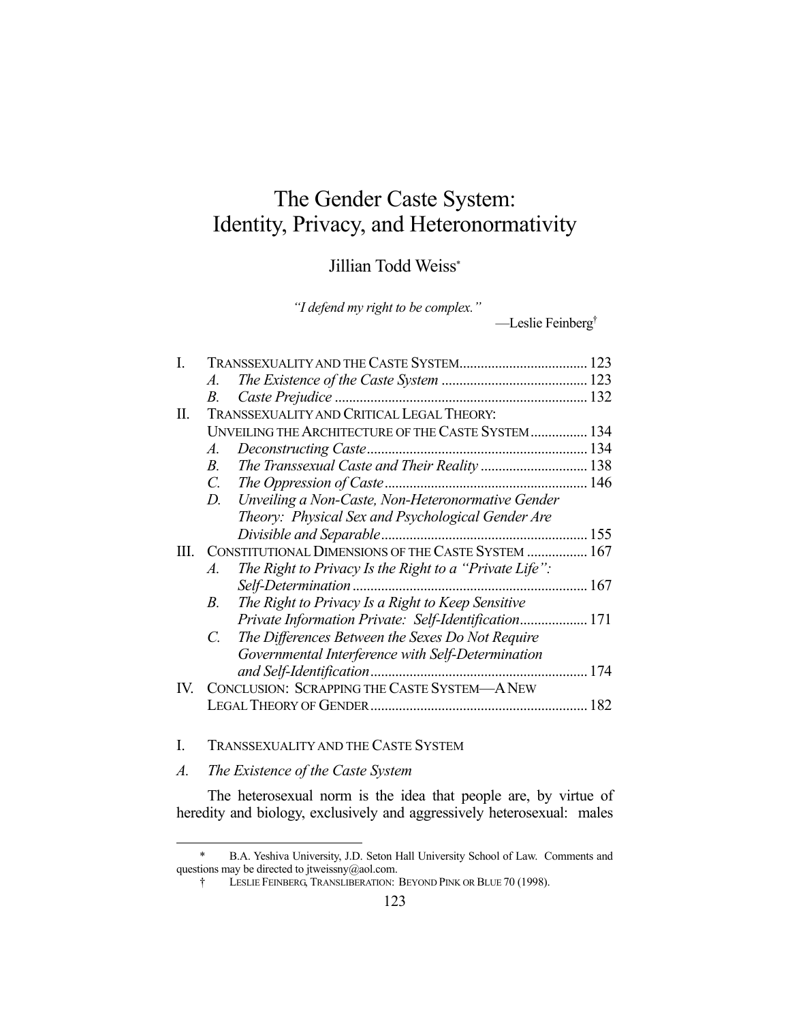# The Gender Caste System: Identity, Privacy, and Heteronormativity

# Jillian Todd Weiss\*

*"I defend my right to be complex."* 

—Leslie Feinberg†

|     |                                                    |                                                        | 123 |  |
|-----|----------------------------------------------------|--------------------------------------------------------|-----|--|
|     | $\mathcal{A}$ .                                    |                                                        |     |  |
|     | $B_{\cdot}$                                        |                                                        |     |  |
| П.  | TRANSSEXUALITY AND CRITICAL LEGAL THEORY:          |                                                        |     |  |
|     | UNVEILING THE ARCHITECTURE OF THE CASTE SYSTEM 134 |                                                        |     |  |
|     | A.                                                 |                                                        |     |  |
|     | В.                                                 |                                                        |     |  |
|     | $C_{\cdot}$                                        |                                                        |     |  |
|     | D.                                                 | Unveiling a Non-Caste, Non-Heteronormative Gender      |     |  |
|     |                                                    | Theory: Physical Sex and Psychological Gender Are      |     |  |
|     |                                                    |                                                        |     |  |
| Ш.  | CONSTITUTIONAL DIMENSIONS OF THE CASTE SYSTEM  167 |                                                        |     |  |
|     | А.                                                 | The Right to Privacy Is the Right to a "Private Life": |     |  |
|     |                                                    | Self-Determination                                     |     |  |
|     | B.                                                 | The Right to Privacy Is a Right to Keep Sensitive      |     |  |
|     |                                                    | Private Information Private: Self-Identification 171   |     |  |
|     | $\overline{C}$                                     | The Differences Between the Sexes Do Not Require       |     |  |
|     |                                                    | Governmental Interference with Self-Determination      |     |  |
|     |                                                    |                                                        |     |  |
| IV. | CONCLUSION: SCRAPPING THE CASTE SYSTEM-A NEW       |                                                        |     |  |
|     |                                                    | 182                                                    |     |  |
|     |                                                    |                                                        |     |  |

# I. TRANSSEXUALITY AND THE CASTE SYSTEM

*A. The Existence of the Caste System* 

1

 The heterosexual norm is the idea that people are, by virtue of heredity and biology, exclusively and aggressively heterosexual: males

 <sup>\*</sup> B.A. Yeshiva University, J.D. Seton Hall University School of Law. Comments and questions may be directed to jtweissny@aol.com.

 <sup>†</sup> LESLIE FEINBERG, TRANSLIBERATION: BEYOND PINK OR BLUE 70 (1998).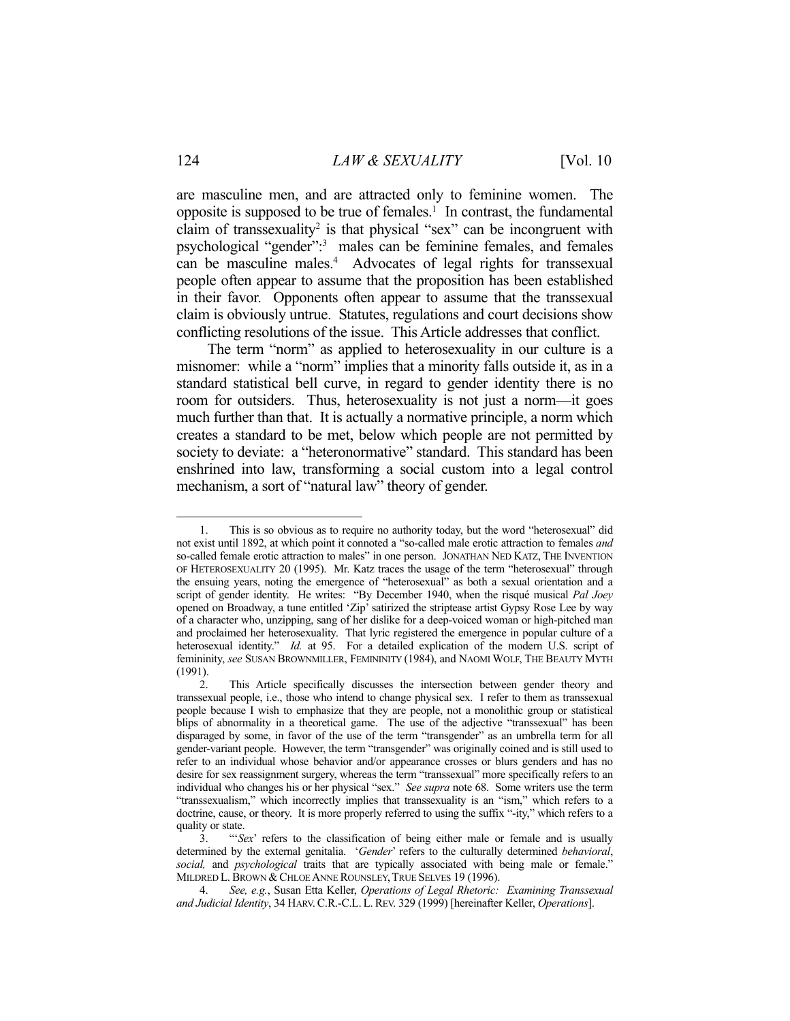are masculine men, and are attracted only to feminine women. The opposite is supposed to be true of females. $<sup>1</sup>$  In contrast, the fundamental</sup> claim of transsexuality<sup>2</sup> is that physical "sex" can be incongruent with psychological "gender":<sup>3</sup> males can be feminine females, and females can be masculine males.<sup>4</sup> Advocates of legal rights for transsexual people often appear to assume that the proposition has been established in their favor. Opponents often appear to assume that the transsexual claim is obviously untrue. Statutes, regulations and court decisions show conflicting resolutions of the issue. This Article addresses that conflict.

 The term "norm" as applied to heterosexuality in our culture is a misnomer: while a "norm" implies that a minority falls outside it, as in a standard statistical bell curve, in regard to gender identity there is no room for outsiders. Thus, heterosexuality is not just a norm—it goes much further than that. It is actually a normative principle, a norm which creates a standard to be met, below which people are not permitted by society to deviate: a "heteronormative" standard. This standard has been enshrined into law, transforming a social custom into a legal control mechanism, a sort of "natural law" theory of gender.

 <sup>1.</sup> This is so obvious as to require no authority today, but the word "heterosexual" did not exist until 1892, at which point it connoted a "so-called male erotic attraction to females *and* so-called female erotic attraction to males" in one person. JONATHAN NED KATZ, THE INVENTION OF HETEROSEXUALITY 20 (1995). Mr. Katz traces the usage of the term "heterosexual" through the ensuing years, noting the emergence of "heterosexual" as both a sexual orientation and a script of gender identity. He writes: "By December 1940, when the risqué musical *Pal Joey* opened on Broadway, a tune entitled 'Zip' satirized the striptease artist Gypsy Rose Lee by way of a character who, unzipping, sang of her dislike for a deep-voiced woman or high-pitched man and proclaimed her heterosexuality. That lyric registered the emergence in popular culture of a heterosexual identity." *Id.* at 95. For a detailed explication of the modern U.S. script of femininity, *see* SUSAN BROWNMILLER, FEMININITY (1984), and NAOMI WOLF, THE BEAUTY MYTH (1991).

 <sup>2.</sup> This Article specifically discusses the intersection between gender theory and transsexual people, i.e., those who intend to change physical sex. I refer to them as transsexual people because I wish to emphasize that they are people, not a monolithic group or statistical blips of abnormality in a theoretical game. The use of the adjective "transsexual" has been disparaged by some, in favor of the use of the term "transgender" as an umbrella term for all gender-variant people. However, the term "transgender" was originally coined and is still used to refer to an individual whose behavior and/or appearance crosses or blurs genders and has no desire for sex reassignment surgery, whereas the term "transsexual" more specifically refers to an individual who changes his or her physical "sex." *See supra* note 68. Some writers use the term "transsexualism," which incorrectly implies that transsexuality is an "ism," which refers to a doctrine, cause, or theory. It is more properly referred to using the suffix "-ity," which refers to a quality or state.

 <sup>3. &</sup>quot;'*Sex*' refers to the classification of being either male or female and is usually determined by the external genitalia. '*Gender*' refers to the culturally determined *behavioral*, *social,* and *psychological* traits that are typically associated with being male or female." MILDRED L. BROWN & CHLOE ANNE ROUNSLEY, TRUE SELVES 19 (1996).

 <sup>4.</sup> *See, e.g.*, Susan Etta Keller, *Operations of Legal Rhetoric: Examining Transsexual and Judicial Identity*, 34 HARV.C.R.-C.L. L. REV. 329 (1999) [hereinafter Keller, *Operations*].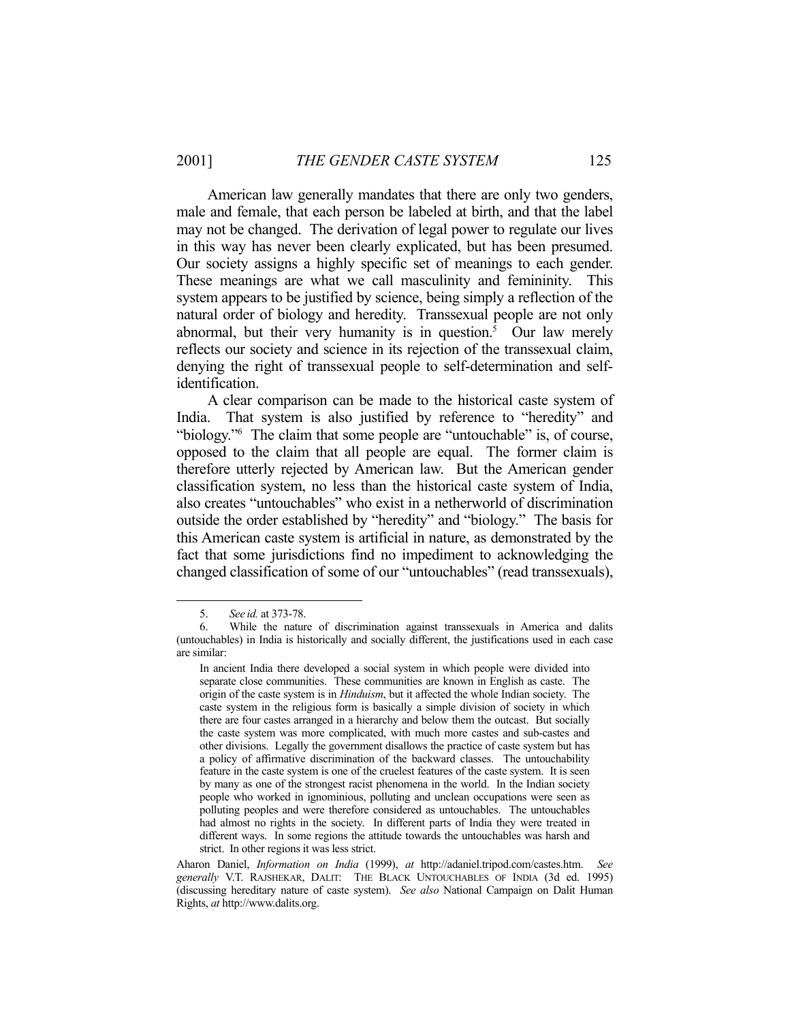American law generally mandates that there are only two genders, male and female, that each person be labeled at birth, and that the label may not be changed. The derivation of legal power to regulate our lives in this way has never been clearly explicated, but has been presumed. Our society assigns a highly specific set of meanings to each gender. These meanings are what we call masculinity and femininity. This system appears to be justified by science, being simply a reflection of the natural order of biology and heredity. Transsexual people are not only abnormal, but their very humanity is in question.<sup>5</sup> Our law merely reflects our society and science in its rejection of the transsexual claim, denying the right of transsexual people to self-determination and selfidentification.

 A clear comparison can be made to the historical caste system of India. That system is also justified by reference to "heredity" and "biology."<sup>6</sup> The claim that some people are "untouchable" is, of course, opposed to the claim that all people are equal. The former claim is therefore utterly rejected by American law. But the American gender classification system, no less than the historical caste system of India, also creates "untouchables" who exist in a netherworld of discrimination outside the order established by "heredity" and "biology." The basis for this American caste system is artificial in nature, as demonstrated by the fact that some jurisdictions find no impediment to acknowledging the changed classification of some of our "untouchables" (read transsexuals),

 <sup>5.</sup> *See id.* at 373-78.

 <sup>6.</sup> While the nature of discrimination against transsexuals in America and dalits (untouchables) in India is historically and socially different, the justifications used in each case are similar:

In ancient India there developed a social system in which people were divided into separate close communities. These communities are known in English as caste. The origin of the caste system is in *Hinduism*, but it affected the whole Indian society. The caste system in the religious form is basically a simple division of society in which there are four castes arranged in a hierarchy and below them the outcast. But socially the caste system was more complicated, with much more castes and sub-castes and other divisions. Legally the government disallows the practice of caste system but has a policy of affirmative discrimination of the backward classes. The untouchability feature in the caste system is one of the cruelest features of the caste system. It is seen by many as one of the strongest racist phenomena in the world. In the Indian society people who worked in ignominious, polluting and unclean occupations were seen as polluting peoples and were therefore considered as untouchables. The untouchables had almost no rights in the society. In different parts of India they were treated in different ways. In some regions the attitude towards the untouchables was harsh and strict. In other regions it was less strict.

Aharon Daniel, *Information on India* (1999), *at* http://adaniel.tripod.com/castes.htm. *See generally* V.T. RAJSHEKAR, DALIT: THE BLACK UNTOUCHABLES OF INDIA (3d ed. 1995) (discussing hereditary nature of caste system). *See also* National Campaign on Dalit Human Rights, *at* http://www.dalits.org.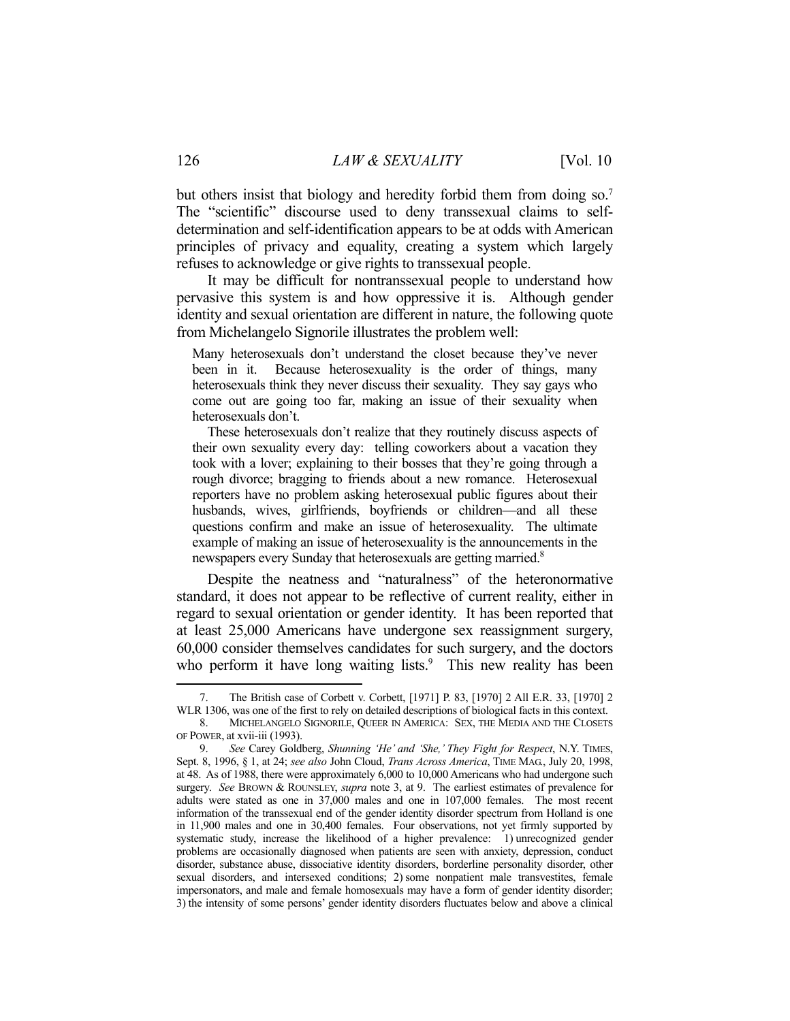but others insist that biology and heredity forbid them from doing so.<sup>7</sup> The "scientific" discourse used to deny transsexual claims to selfdetermination and self-identification appears to be at odds with American principles of privacy and equality, creating a system which largely refuses to acknowledge or give rights to transsexual people.

 It may be difficult for nontranssexual people to understand how pervasive this system is and how oppressive it is. Although gender identity and sexual orientation are different in nature, the following quote from Michelangelo Signorile illustrates the problem well:

Many heterosexuals don't understand the closet because they've never been in it. Because heterosexuality is the order of things, many heterosexuals think they never discuss their sexuality. They say gays who come out are going too far, making an issue of their sexuality when heterosexuals don't.

 These heterosexuals don't realize that they routinely discuss aspects of their own sexuality every day: telling coworkers about a vacation they took with a lover; explaining to their bosses that they're going through a rough divorce; bragging to friends about a new romance. Heterosexual reporters have no problem asking heterosexual public figures about their husbands, wives, girlfriends, boyfriends or children—and all these questions confirm and make an issue of heterosexuality. The ultimate example of making an issue of heterosexuality is the announcements in the newspapers every Sunday that heterosexuals are getting married.<sup>8</sup>

 Despite the neatness and "naturalness" of the heteronormative standard, it does not appear to be reflective of current reality, either in regard to sexual orientation or gender identity. It has been reported that at least 25,000 Americans have undergone sex reassignment surgery, 60,000 consider themselves candidates for such surgery, and the doctors who perform it have long waiting lists.<sup>9</sup> This new reality has been

 <sup>7.</sup> The British case of Corbett v. Corbett, [1971] P. 83, [1970] 2 All E.R. 33, [1970] 2 WLR 1306, was one of the first to rely on detailed descriptions of biological facts in this context.

 <sup>8.</sup> MICHELANGELO SIGNORILE, QUEER IN AMERICA: SEX, THE MEDIA AND THE CLOSETS OF POWER, at xvii-iii (1993).

 <sup>9.</sup> *See* Carey Goldberg, *Shunning 'He' and 'She,' They Fight for Respect*, N.Y. TIMES, Sept. 8, 1996, § 1, at 24; *see also* John Cloud, *Trans Across America*, TIME MAG., July 20, 1998, at 48. As of 1988, there were approximately 6,000 to 10,000 Americans who had undergone such surgery. *See* BROWN & ROUNSLEY, *supra* note 3, at 9. The earliest estimates of prevalence for adults were stated as one in 37,000 males and one in 107,000 females. The most recent information of the transsexual end of the gender identity disorder spectrum from Holland is one in 11,900 males and one in 30,400 females. Four observations, not yet firmly supported by systematic study, increase the likelihood of a higher prevalence: 1) unrecognized gender problems are occasionally diagnosed when patients are seen with anxiety, depression, conduct disorder, substance abuse, dissociative identity disorders, borderline personality disorder, other sexual disorders, and intersexed conditions; 2) some nonpatient male transvestites, female impersonators, and male and female homosexuals may have a form of gender identity disorder; 3) the intensity of some persons' gender identity disorders fluctuates below and above a clinical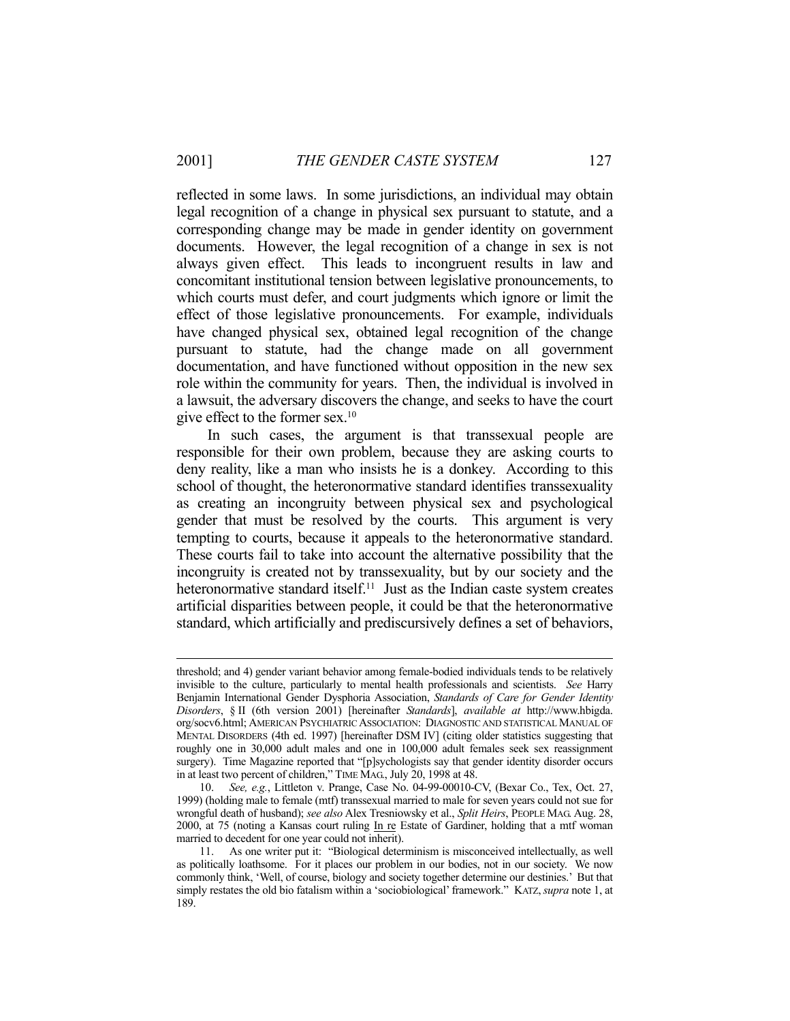reflected in some laws. In some jurisdictions, an individual may obtain legal recognition of a change in physical sex pursuant to statute, and a corresponding change may be made in gender identity on government documents. However, the legal recognition of a change in sex is not always given effect. This leads to incongruent results in law and concomitant institutional tension between legislative pronouncements, to which courts must defer, and court judgments which ignore or limit the effect of those legislative pronouncements. For example, individuals have changed physical sex, obtained legal recognition of the change pursuant to statute, had the change made on all government documentation, and have functioned without opposition in the new sex role within the community for years. Then, the individual is involved in a lawsuit, the adversary discovers the change, and seeks to have the court give effect to the former sex.10

 In such cases, the argument is that transsexual people are responsible for their own problem, because they are asking courts to deny reality, like a man who insists he is a donkey. According to this school of thought, the heteronormative standard identifies transsexuality as creating an incongruity between physical sex and psychological gender that must be resolved by the courts. This argument is very tempting to courts, because it appeals to the heteronormative standard. These courts fail to take into account the alternative possibility that the incongruity is created not by transsexuality, but by our society and the heteronormative standard itself.<sup>11</sup> Just as the Indian caste system creates artificial disparities between people, it could be that the heteronormative standard, which artificially and prediscursively defines a set of behaviors,

threshold; and 4) gender variant behavior among female-bodied individuals tends to be relatively invisible to the culture, particularly to mental health professionals and scientists. *See* Harry Benjamin International Gender Dysphoria Association, *Standards of Care for Gender Identity Disorders*, § II (6th version 2001) [hereinafter *Standards*], *available at* http://www.hbigda. org/socv6.html; AMERICAN PSYCHIATRIC ASSOCIATION: DIAGNOSTIC AND STATISTICAL MANUAL OF MENTAL DISORDERS (4th ed. 1997) [hereinafter DSM IV] (citing older statistics suggesting that roughly one in 30,000 adult males and one in 100,000 adult females seek sex reassignment surgery). Time Magazine reported that "[p]sychologists say that gender identity disorder occurs in at least two percent of children," TIME MAG., July 20, 1998 at 48.

 <sup>10.</sup> *See, e.g.*, Littleton v. Prange, Case No. 04-99-00010-CV, (Bexar Co., Tex, Oct. 27, 1999) (holding male to female (mtf) transsexual married to male for seven years could not sue for wrongful death of husband); *see also* Alex Tresniowsky et al., *Split Heirs*, PEOPLE MAG. Aug. 28, 2000, at 75 (noting a Kansas court ruling  $In$  re Estate of Gardiner, holding that a mtf woman married to decedent for one year could not inherit).

 <sup>11.</sup> As one writer put it: "Biological determinism is misconceived intellectually, as well as politically loathsome. For it places our problem in our bodies, not in our society. We now commonly think, 'Well, of course, biology and society together determine our destinies.' But that simply restates the old bio fatalism within a 'sociobiological' framework." KATZ,*supra* note 1, at 189.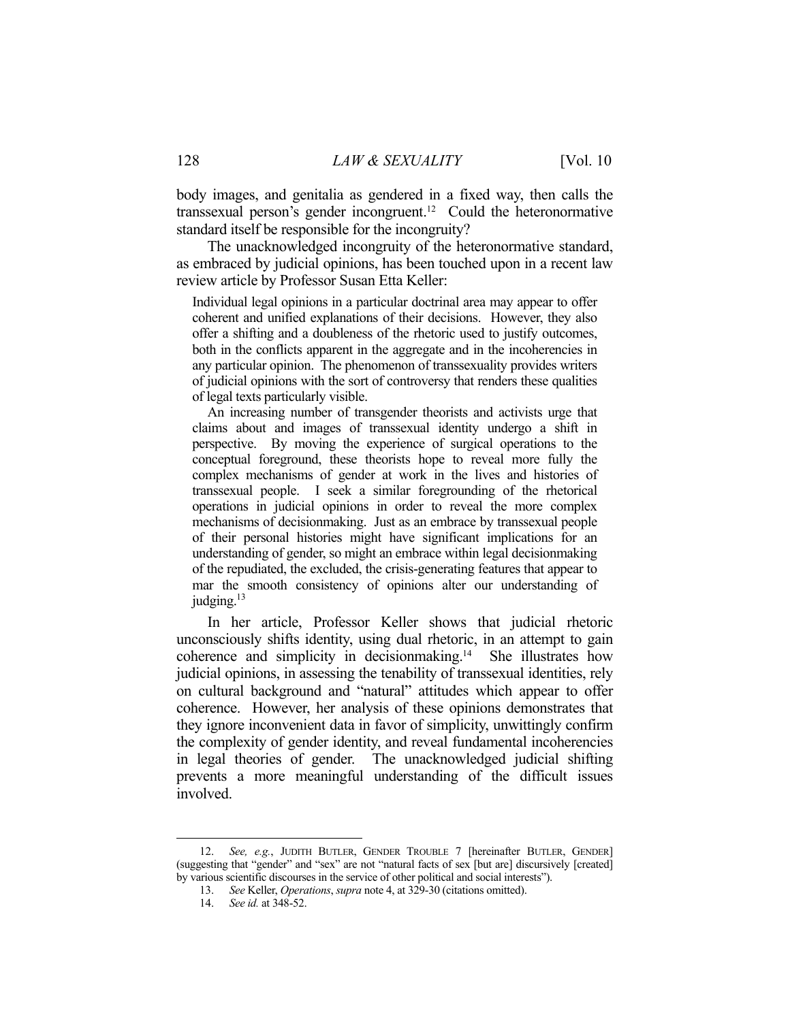body images, and genitalia as gendered in a fixed way, then calls the transsexual person's gender incongruent.12 Could the heteronormative standard itself be responsible for the incongruity?

 The unacknowledged incongruity of the heteronormative standard, as embraced by judicial opinions, has been touched upon in a recent law review article by Professor Susan Etta Keller:

Individual legal opinions in a particular doctrinal area may appear to offer coherent and unified explanations of their decisions. However, they also offer a shifting and a doubleness of the rhetoric used to justify outcomes, both in the conflicts apparent in the aggregate and in the incoherencies in any particular opinion. The phenomenon of transsexuality provides writers of judicial opinions with the sort of controversy that renders these qualities of legal texts particularly visible.

 An increasing number of transgender theorists and activists urge that claims about and images of transsexual identity undergo a shift in perspective. By moving the experience of surgical operations to the conceptual foreground, these theorists hope to reveal more fully the complex mechanisms of gender at work in the lives and histories of transsexual people. I seek a similar foregrounding of the rhetorical operations in judicial opinions in order to reveal the more complex mechanisms of decisionmaking. Just as an embrace by transsexual people of their personal histories might have significant implications for an understanding of gender, so might an embrace within legal decisionmaking of the repudiated, the excluded, the crisis-generating features that appear to mar the smooth consistency of opinions alter our understanding of judging. $13$ 

 In her article, Professor Keller shows that judicial rhetoric unconsciously shifts identity, using dual rhetoric, in an attempt to gain coherence and simplicity in decisionmaking.14 She illustrates how judicial opinions, in assessing the tenability of transsexual identities, rely on cultural background and "natural" attitudes which appear to offer coherence. However, her analysis of these opinions demonstrates that they ignore inconvenient data in favor of simplicity, unwittingly confirm the complexity of gender identity, and reveal fundamental incoherencies in legal theories of gender. The unacknowledged judicial shifting prevents a more meaningful understanding of the difficult issues involved.

 <sup>12.</sup> *See, e.g.*, JUDITH BUTLER, GENDER TROUBLE 7 [hereinafter BUTLER, GENDER] (suggesting that "gender" and "sex" are not "natural facts of sex [but are] discursively [created] by various scientific discourses in the service of other political and social interests").

 <sup>13.</sup> *See* Keller, *Operations*, *supra* note 4, at 329-30 (citations omitted).

 <sup>14.</sup> *See id.* at 348-52.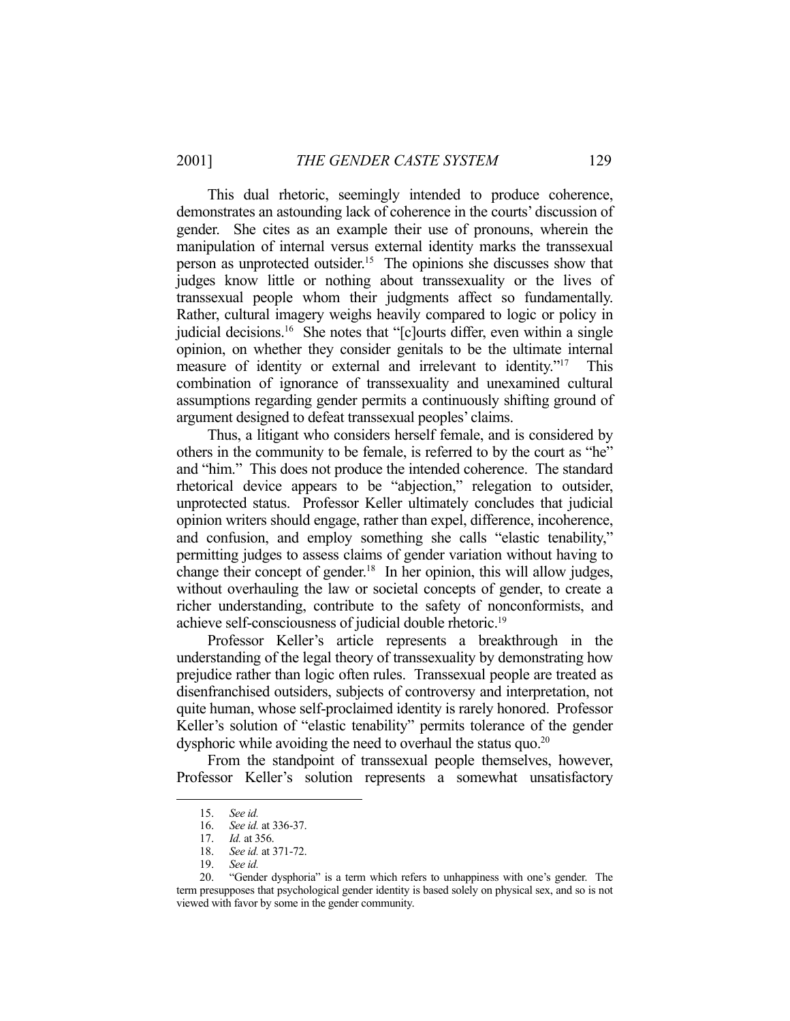This dual rhetoric, seemingly intended to produce coherence, demonstrates an astounding lack of coherence in the courts' discussion of gender. She cites as an example their use of pronouns, wherein the manipulation of internal versus external identity marks the transsexual person as unprotected outsider.15 The opinions she discusses show that judges know little or nothing about transsexuality or the lives of transsexual people whom their judgments affect so fundamentally. Rather, cultural imagery weighs heavily compared to logic or policy in judicial decisions.<sup>16</sup> She notes that " $[c]$ ourts differ, even within a single opinion, on whether they consider genitals to be the ultimate internal measure of identity or external and irrelevant to identity."<sup>17</sup> This combination of ignorance of transsexuality and unexamined cultural assumptions regarding gender permits a continuously shifting ground of argument designed to defeat transsexual peoples' claims.

 Thus, a litigant who considers herself female, and is considered by others in the community to be female, is referred to by the court as "he" and "him." This does not produce the intended coherence. The standard rhetorical device appears to be "abjection," relegation to outsider, unprotected status. Professor Keller ultimately concludes that judicial opinion writers should engage, rather than expel, difference, incoherence, and confusion, and employ something she calls "elastic tenability," permitting judges to assess claims of gender variation without having to change their concept of gender.18 In her opinion, this will allow judges, without overhauling the law or societal concepts of gender, to create a richer understanding, contribute to the safety of nonconformists, and achieve self-consciousness of judicial double rhetoric.<sup>19</sup>

 Professor Keller's article represents a breakthrough in the understanding of the legal theory of transsexuality by demonstrating how prejudice rather than logic often rules. Transsexual people are treated as disenfranchised outsiders, subjects of controversy and interpretation, not quite human, whose self-proclaimed identity is rarely honored. Professor Keller's solution of "elastic tenability" permits tolerance of the gender dysphoric while avoiding the need to overhaul the status quo.<sup>20</sup>

 From the standpoint of transsexual people themselves, however, Professor Keller's solution represents a somewhat unsatisfactory

 <sup>15.</sup> *See id.*

 <sup>16.</sup> *See id.* at 336-37.

 <sup>17.</sup> *Id.* at 356.

 <sup>18.</sup> *See id.* at 371-72.

 <sup>19.</sup> *See id.*

 <sup>20. &</sup>quot;Gender dysphoria" is a term which refers to unhappiness with one's gender. The term presupposes that psychological gender identity is based solely on physical sex, and so is not viewed with favor by some in the gender community.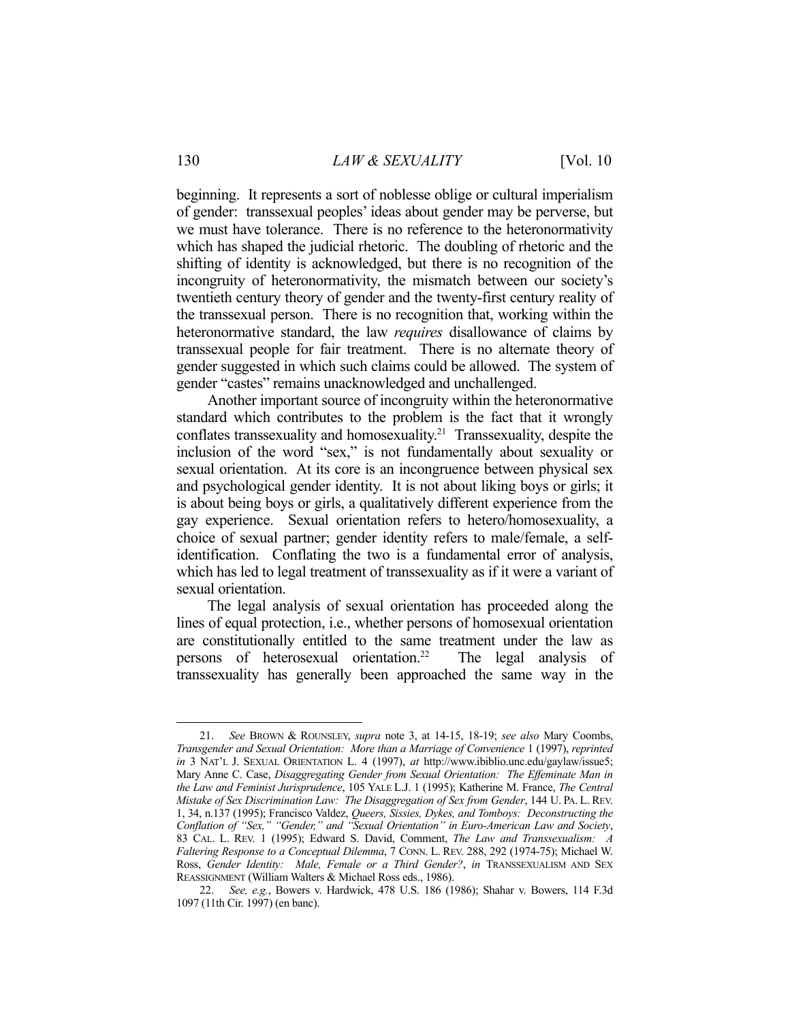beginning. It represents a sort of noblesse oblige or cultural imperialism of gender: transsexual peoples' ideas about gender may be perverse, but we must have tolerance. There is no reference to the heteronormativity which has shaped the judicial rhetoric. The doubling of rhetoric and the shifting of identity is acknowledged, but there is no recognition of the incongruity of heteronormativity, the mismatch between our society's twentieth century theory of gender and the twenty-first century reality of the transsexual person. There is no recognition that, working within the heteronormative standard, the law *requires* disallowance of claims by transsexual people for fair treatment. There is no alternate theory of gender suggested in which such claims could be allowed. The system of gender "castes" remains unacknowledged and unchallenged.

 Another important source of incongruity within the heteronormative standard which contributes to the problem is the fact that it wrongly conflates transsexuality and homosexuality.<sup>21</sup> Transsexuality, despite the inclusion of the word "sex," is not fundamentally about sexuality or sexual orientation. At its core is an incongruence between physical sex and psychological gender identity. It is not about liking boys or girls; it is about being boys or girls, a qualitatively different experience from the gay experience. Sexual orientation refers to hetero/homosexuality, a choice of sexual partner; gender identity refers to male/female, a selfidentification. Conflating the two is a fundamental error of analysis, which has led to legal treatment of transsexuality as if it were a variant of sexual orientation.

 The legal analysis of sexual orientation has proceeded along the lines of equal protection, i.e., whether persons of homosexual orientation are constitutionally entitled to the same treatment under the law as persons of heterosexual orientation.22 The legal analysis of transsexuality has generally been approached the same way in the

 <sup>21.</sup> *See* BROWN & ROUNSLEY, *supra* note 3, at 14-15, 18-19; *see also* Mary Coombs, *Transgender and Sexual Orientation: More than a Marriage of Convenience* 1 (1997), *reprinted in* 3 NAT'L J. SEXUAL ORIENTATION L. 4 (1997), *at* http://www.ibiblio.unc.edu/gaylaw/issue5; Mary Anne C. Case, *Disaggregating Gender from Sexual Orientation: The Effeminate Man in the Law and Feminist Jurisprudence*, 105 YALE L.J. 1 (1995); Katherine M. France, *The Central Mistake of Sex Discrimination Law: The Disaggregation of Sex from Gender*, 144 U. PA. L. REV. 1, 34, n.137 (1995); Francisco Valdez, *Queers, Sissies, Dykes, and Tomboys: Deconstructing the Conflation of "Sex," "Gender," and "Sexual Orientation" in Euro-American Law and Society*, 83 CAL. L. REV. 1 (1995); Edward S. David, Comment, *The Law and Transsexualism: A Faltering Response to a Conceptual Dilemma*, 7 CONN. L. REV. 288, 292 (1974-75); Michael W. Ross, *Gender Identity: Male, Female or a Third Gender?*, *in* TRANSSEXUALISM AND SEX REASSIGNMENT (William Walters & Michael Ross eds., 1986).

 <sup>22.</sup> *See, e.g.*, Bowers v. Hardwick, 478 U.S. 186 (1986); Shahar v. Bowers, 114 F.3d 1097 (11th Cir. 1997) (en banc).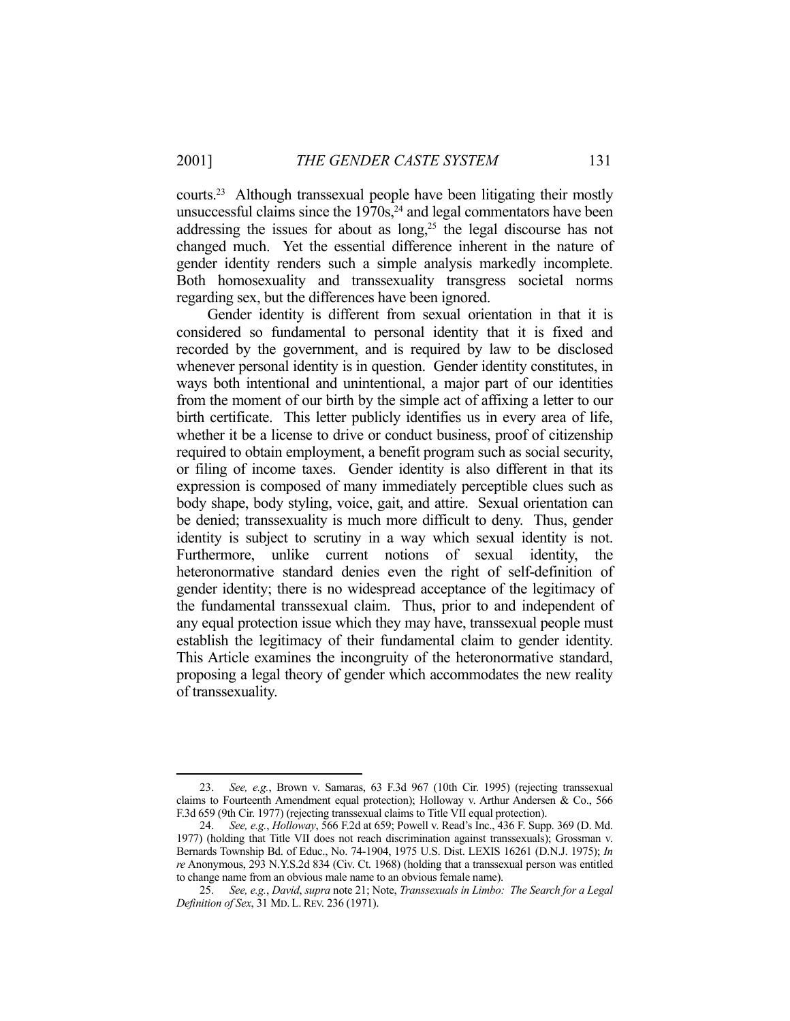1

courts.23 Although transsexual people have been litigating their mostly unsuccessful claims since the  $1970s<sub>1</sub><sup>24</sup>$  and legal commentators have been addressing the issues for about as  $\log$ <sup>25</sup> the legal discourse has not changed much. Yet the essential difference inherent in the nature of gender identity renders such a simple analysis markedly incomplete. Both homosexuality and transsexuality transgress societal norms regarding sex, but the differences have been ignored.

 Gender identity is different from sexual orientation in that it is considered so fundamental to personal identity that it is fixed and recorded by the government, and is required by law to be disclosed whenever personal identity is in question. Gender identity constitutes, in ways both intentional and unintentional, a major part of our identities from the moment of our birth by the simple act of affixing a letter to our birth certificate. This letter publicly identifies us in every area of life, whether it be a license to drive or conduct business, proof of citizenship required to obtain employment, a benefit program such as social security, or filing of income taxes. Gender identity is also different in that its expression is composed of many immediately perceptible clues such as body shape, body styling, voice, gait, and attire. Sexual orientation can be denied; transsexuality is much more difficult to deny. Thus, gender identity is subject to scrutiny in a way which sexual identity is not. Furthermore, unlike current notions of sexual identity, the heteronormative standard denies even the right of self-definition of gender identity; there is no widespread acceptance of the legitimacy of the fundamental transsexual claim. Thus, prior to and independent of any equal protection issue which they may have, transsexual people must establish the legitimacy of their fundamental claim to gender identity. This Article examines the incongruity of the heteronormative standard, proposing a legal theory of gender which accommodates the new reality of transsexuality.

 <sup>23.</sup> *See, e.g.*, Brown v. Samaras, 63 F.3d 967 (10th Cir. 1995) (rejecting transsexual claims to Fourteenth Amendment equal protection); Holloway v. Arthur Andersen & Co., 566 F.3d 659 (9th Cir. 1977) (rejecting transsexual claims to Title VII equal protection).

 <sup>24.</sup> *See, e.g.*, *Holloway*, 566 F.2d at 659; Powell v. Read's Inc., 436 F. Supp. 369 (D. Md. 1977) (holding that Title VII does not reach discrimination against transsexuals); Grossman v. Bernards Township Bd. of Educ., No. 74-1904, 1975 U.S. Dist. LEXIS 16261 (D.N.J. 1975); *In re* Anonymous, 293 N.Y.S.2d 834 (Civ. Ct. 1968) (holding that a transsexual person was entitled to change name from an obvious male name to an obvious female name).

 <sup>25.</sup> *See, e.g.*, *David*, *supra* note 21; Note, *Transsexuals in Limbo: The Search for a Legal Definition of Sex*, 31 MD. L. REV. 236 (1971).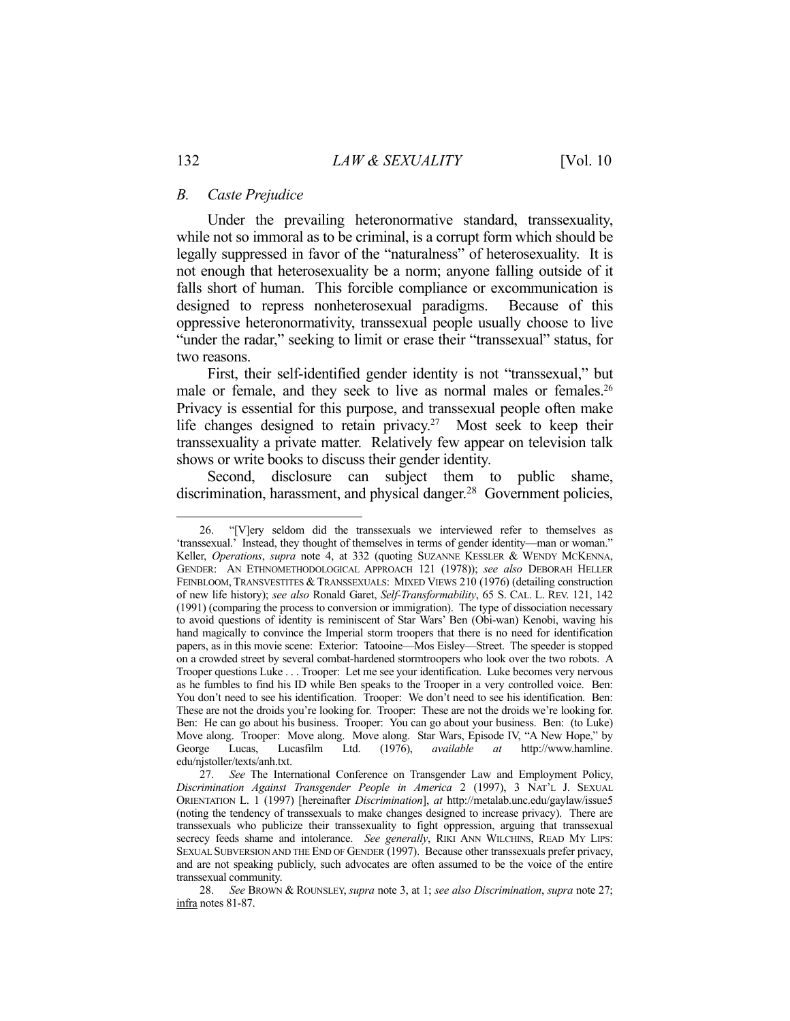#### *B. Caste Prejudice*

 Under the prevailing heteronormative standard, transsexuality, while not so immoral as to be criminal, is a corrupt form which should be legally suppressed in favor of the "naturalness" of heterosexuality. It is not enough that heterosexuality be a norm; anyone falling outside of it falls short of human. This forcible compliance or excommunication is designed to repress nonheterosexual paradigms. Because of this oppressive heteronormativity, transsexual people usually choose to live "under the radar," seeking to limit or erase their "transsexual" status, for two reasons.

 First, their self-identified gender identity is not "transsexual," but male or female, and they seek to live as normal males or females.<sup>26</sup> Privacy is essential for this purpose, and transsexual people often make life changes designed to retain privacy.<sup>27</sup> Most seek to keep their transsexuality a private matter. Relatively few appear on television talk shows or write books to discuss their gender identity.

 Second, disclosure can subject them to public shame, discrimination, harassment, and physical danger.<sup>28</sup> Government policies,

 <sup>26. &</sup>quot;[V]ery seldom did the transsexuals we interviewed refer to themselves as 'transsexual.' Instead, they thought of themselves in terms of gender identity—man or woman." Keller, *Operations*, *supra* note 4, at 332 (quoting SUZANNE KESSLER & WENDY MCKENNA, GENDER: AN ETHNOMETHODOLOGICAL APPROACH 121 (1978)); *see also* DEBORAH HELLER FEINBLOOM, TRANSVESTITES & TRANSSEXUALS: MIXED VIEWS 210 (1976) (detailing construction of new life history); *see also* Ronald Garet, *Self-Transformability*, 65 S. CAL. L. REV. 121, 142 (1991) (comparing the process to conversion or immigration). The type of dissociation necessary to avoid questions of identity is reminiscent of Star Wars' Ben (Obi-wan) Kenobi, waving his hand magically to convince the Imperial storm troopers that there is no need for identification papers, as in this movie scene: Exterior: Tatooine—Mos Eisley—Street. The speeder is stopped on a crowded street by several combat-hardened stormtroopers who look over the two robots. A Trooper questions Luke . . . Trooper: Let me see your identification. Luke becomes very nervous as he fumbles to find his ID while Ben speaks to the Trooper in a very controlled voice. Ben: You don't need to see his identification. Trooper: We don't need to see his identification. Ben: These are not the droids you're looking for. Trooper: These are not the droids we're looking for. Ben: He can go about his business. Trooper: You can go about your business. Ben: (to Luke) Move along. Trooper: Move along. Move along. Star Wars, Episode IV, "A New Hope," by George Lucas, Lucasfilm Ltd. (1976), *available at* http://www.hamline. edu/njstoller/texts/anh.txt.

 <sup>27.</sup> *See* The International Conference on Transgender Law and Employment Policy, *Discrimination Against Transgender People in America* 2 (1997), 3 NAT'L J. SEXUAL ORIENTATION L. 1 (1997) [hereinafter *Discrimination*], *at* http://metalab.unc.edu/gaylaw/issue5 (noting the tendency of transsexuals to make changes designed to increase privacy). There are transsexuals who publicize their transsexuality to fight oppression, arguing that transsexual secrecy feeds shame and intolerance. *See generally*, RIKI ANN WILCHINS, READ MY LIPS: SEXUAL SUBVERSION AND THE END OF GENDER (1997). Because other transsexuals prefer privacy, and are not speaking publicly, such advocates are often assumed to be the voice of the entire transsexual community.

 <sup>28.</sup> *See* BROWN & ROUNSLEY, *supra* note 3, at 1; *see also Discrimination*, *supra* note 27; infra notes 81-87.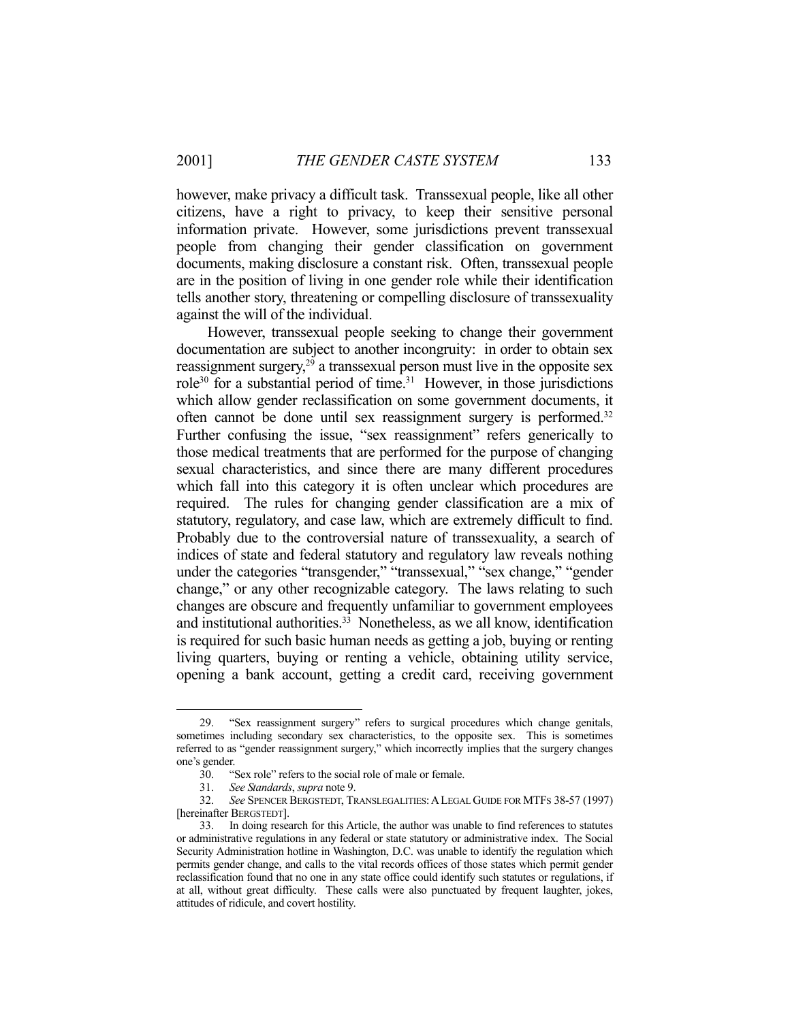however, make privacy a difficult task. Transsexual people, like all other citizens, have a right to privacy, to keep their sensitive personal information private. However, some jurisdictions prevent transsexual people from changing their gender classification on government documents, making disclosure a constant risk. Often, transsexual people are in the position of living in one gender role while their identification tells another story, threatening or compelling disclosure of transsexuality against the will of the individual.

 However, transsexual people seeking to change their government documentation are subject to another incongruity: in order to obtain sex reassignment surgery,<sup>29</sup> a transsexual person must live in the opposite sex role<sup>30</sup> for a substantial period of time.<sup>31</sup> However, in those jurisdictions which allow gender reclassification on some government documents, it often cannot be done until sex reassignment surgery is performed.32 Further confusing the issue, "sex reassignment" refers generically to those medical treatments that are performed for the purpose of changing sexual characteristics, and since there are many different procedures which fall into this category it is often unclear which procedures are required. The rules for changing gender classification are a mix of statutory, regulatory, and case law, which are extremely difficult to find. Probably due to the controversial nature of transsexuality, a search of indices of state and federal statutory and regulatory law reveals nothing under the categories "transgender," "transsexual," "sex change," "gender change," or any other recognizable category. The laws relating to such changes are obscure and frequently unfamiliar to government employees and institutional authorities. $33$  Nonetheless, as we all know, identification is required for such basic human needs as getting a job, buying or renting living quarters, buying or renting a vehicle, obtaining utility service, opening a bank account, getting a credit card, receiving government

 <sup>29. &</sup>quot;Sex reassignment surgery" refers to surgical procedures which change genitals, sometimes including secondary sex characteristics, to the opposite sex. This is sometimes referred to as "gender reassignment surgery," which incorrectly implies that the surgery changes one's gender.

 <sup>30. &</sup>quot;Sex role" refers to the social role of male or female.

 <sup>31.</sup> *See Standards*, *supra* note 9.

 <sup>32.</sup> *See* SPENCER BERGSTEDT, TRANSLEGALITIES:ALEGAL GUIDE FOR MTFS 38-57 (1997) [hereinafter BERGSTEDT].

 <sup>33.</sup> In doing research for this Article, the author was unable to find references to statutes or administrative regulations in any federal or state statutory or administrative index. The Social Security Administration hotline in Washington, D.C. was unable to identify the regulation which permits gender change, and calls to the vital records offices of those states which permit gender reclassification found that no one in any state office could identify such statutes or regulations, if at all, without great difficulty. These calls were also punctuated by frequent laughter, jokes, attitudes of ridicule, and covert hostility.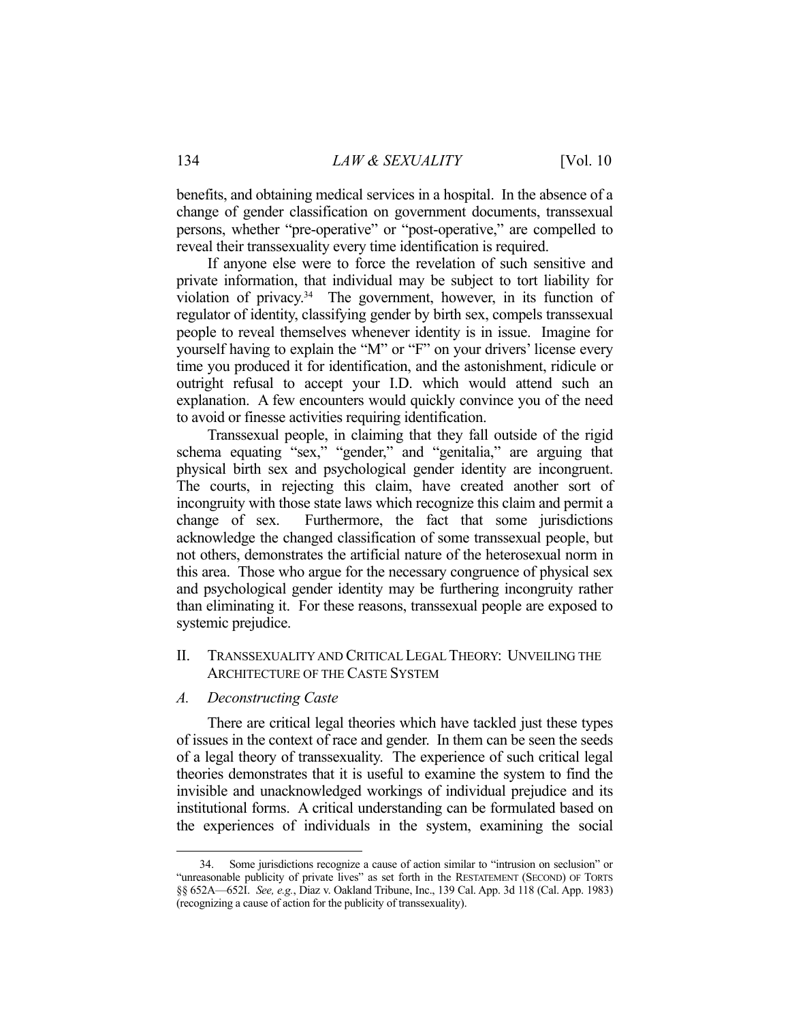benefits, and obtaining medical services in a hospital. In the absence of a change of gender classification on government documents, transsexual persons, whether "pre-operative" or "post-operative," are compelled to reveal their transsexuality every time identification is required.

 If anyone else were to force the revelation of such sensitive and private information, that individual may be subject to tort liability for violation of privacy.34 The government, however, in its function of regulator of identity, classifying gender by birth sex, compels transsexual people to reveal themselves whenever identity is in issue. Imagine for yourself having to explain the "M" or "F" on your drivers' license every time you produced it for identification, and the astonishment, ridicule or outright refusal to accept your I.D. which would attend such an explanation. A few encounters would quickly convince you of the need to avoid or finesse activities requiring identification.

 Transsexual people, in claiming that they fall outside of the rigid schema equating "sex," "gender," and "genitalia," are arguing that physical birth sex and psychological gender identity are incongruent. The courts, in rejecting this claim, have created another sort of incongruity with those state laws which recognize this claim and permit a change of sex. Furthermore, the fact that some jurisdictions acknowledge the changed classification of some transsexual people, but not others, demonstrates the artificial nature of the heterosexual norm in this area. Those who argue for the necessary congruence of physical sex and psychological gender identity may be furthering incongruity rather than eliminating it. For these reasons, transsexual people are exposed to systemic prejudice.

### II. TRANSSEXUALITY AND CRITICAL LEGAL THEORY: UNVEILING THE ARCHITECTURE OF THE CASTE SYSTEM

#### *A. Deconstructing Caste*

<u>.</u>

 There are critical legal theories which have tackled just these types of issues in the context of race and gender. In them can be seen the seeds of a legal theory of transsexuality. The experience of such critical legal theories demonstrates that it is useful to examine the system to find the invisible and unacknowledged workings of individual prejudice and its institutional forms. A critical understanding can be formulated based on the experiences of individuals in the system, examining the social

 <sup>34.</sup> Some jurisdictions recognize a cause of action similar to "intrusion on seclusion" or "unreasonable publicity of private lives" as set forth in the RESTATEMENT (SECOND) OF TORTS §§ 652A—652I. *See, e.g.*, Diaz v. Oakland Tribune, Inc., 139 Cal. App. 3d 118 (Cal. App. 1983) (recognizing a cause of action for the publicity of transsexuality).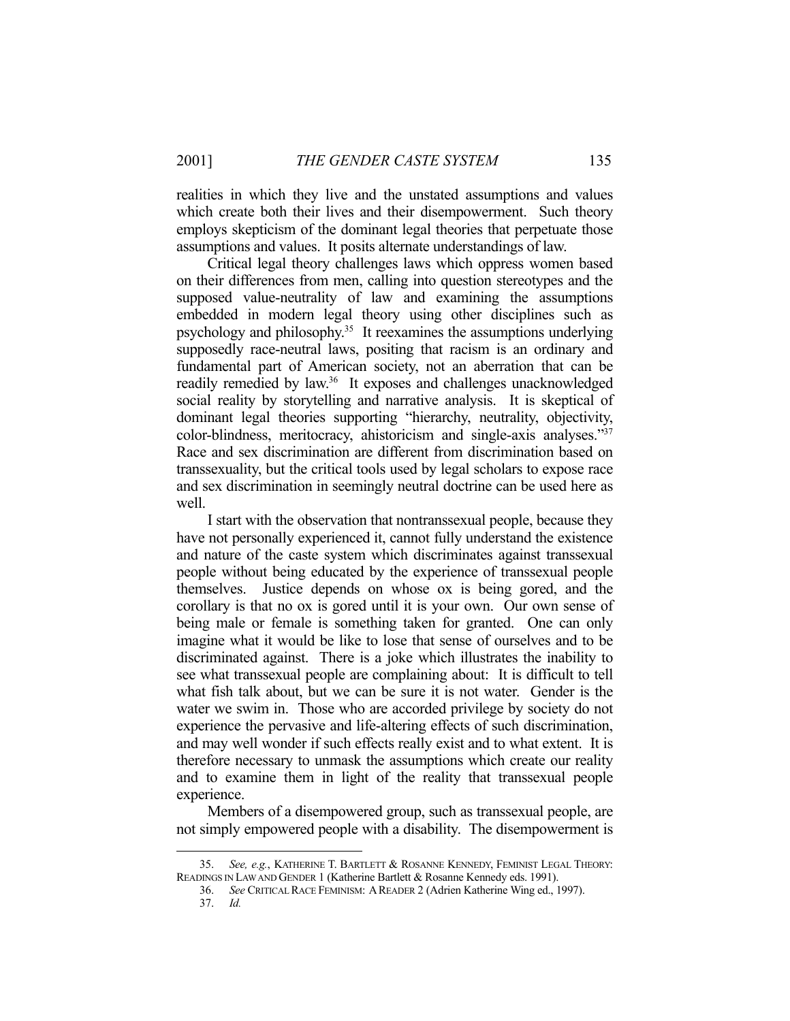realities in which they live and the unstated assumptions and values which create both their lives and their disempowerment. Such theory employs skepticism of the dominant legal theories that perpetuate those assumptions and values. It posits alternate understandings of law.

 Critical legal theory challenges laws which oppress women based on their differences from men, calling into question stereotypes and the supposed value-neutrality of law and examining the assumptions embedded in modern legal theory using other disciplines such as psychology and philosophy.35 It reexamines the assumptions underlying supposedly race-neutral laws, positing that racism is an ordinary and fundamental part of American society, not an aberration that can be readily remedied by law.36 It exposes and challenges unacknowledged social reality by storytelling and narrative analysis. It is skeptical of dominant legal theories supporting "hierarchy, neutrality, objectivity, color-blindness, meritocracy, ahistoricism and single-axis analyses."37 Race and sex discrimination are different from discrimination based on transsexuality, but the critical tools used by legal scholars to expose race and sex discrimination in seemingly neutral doctrine can be used here as well.

 I start with the observation that nontranssexual people, because they have not personally experienced it, cannot fully understand the existence and nature of the caste system which discriminates against transsexual people without being educated by the experience of transsexual people themselves. Justice depends on whose ox is being gored, and the corollary is that no ox is gored until it is your own. Our own sense of being male or female is something taken for granted. One can only imagine what it would be like to lose that sense of ourselves and to be discriminated against. There is a joke which illustrates the inability to see what transsexual people are complaining about: It is difficult to tell what fish talk about, but we can be sure it is not water. Gender is the water we swim in. Those who are accorded privilege by society do not experience the pervasive and life-altering effects of such discrimination, and may well wonder if such effects really exist and to what extent. It is therefore necessary to unmask the assumptions which create our reality and to examine them in light of the reality that transsexual people experience.

 Members of a disempowered group, such as transsexual people, are not simply empowered people with a disability. The disempowerment is

 <sup>35.</sup> *See, e.g.*, KATHERINE T. BARTLETT & ROSANNE KENNEDY, FEMINIST LEGAL THEORY: READINGS IN LAW AND GENDER 1 (Katherine Bartlett & Rosanne Kennedy eds. 1991).

 <sup>36.</sup> *See* CRITICAL RACE FEMINISM: AREADER 2 (Adrien Katherine Wing ed., 1997).

 <sup>37.</sup> *Id.*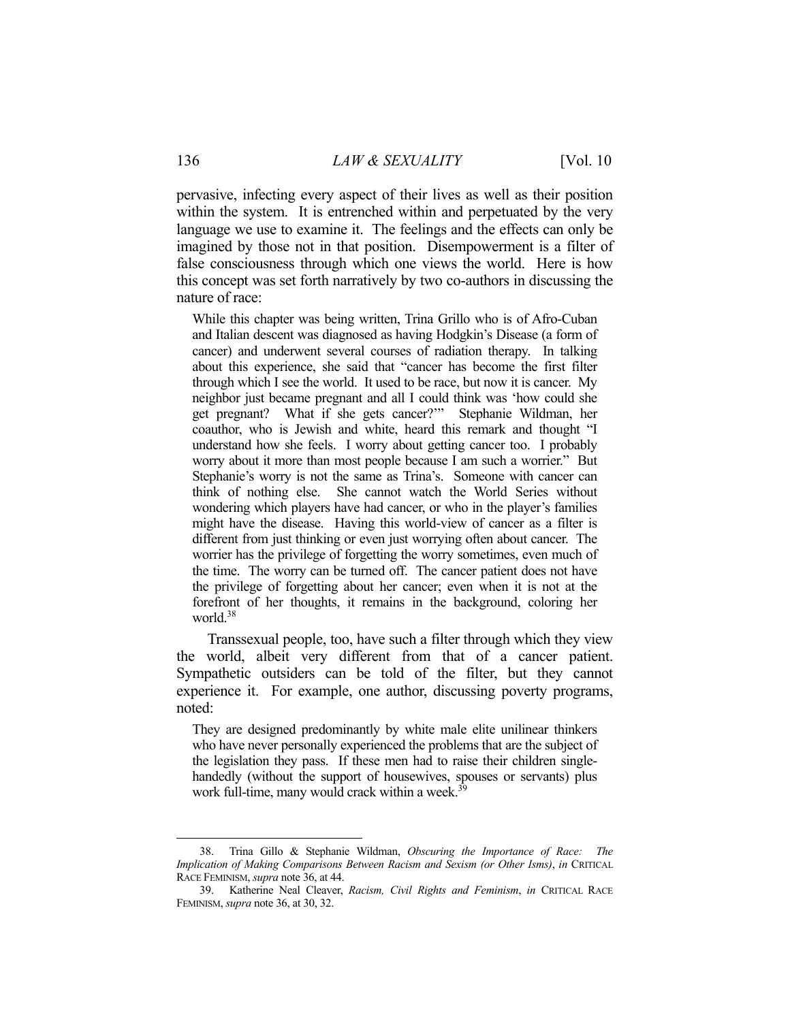pervasive, infecting every aspect of their lives as well as their position within the system. It is entrenched within and perpetuated by the very language we use to examine it. The feelings and the effects can only be imagined by those not in that position. Disempowerment is a filter of false consciousness through which one views the world. Here is how this concept was set forth narratively by two co-authors in discussing the nature of race:

While this chapter was being written, Trina Grillo who is of Afro-Cuban and Italian descent was diagnosed as having Hodgkin's Disease (a form of cancer) and underwent several courses of radiation therapy. In talking about this experience, she said that "cancer has become the first filter through which I see the world. It used to be race, but now it is cancer. My neighbor just became pregnant and all I could think was 'how could she get pregnant? What if she gets cancer?'" Stephanie Wildman, her coauthor, who is Jewish and white, heard this remark and thought "I understand how she feels. I worry about getting cancer too. I probably worry about it more than most people because I am such a worrier." But Stephanie's worry is not the same as Trina's. Someone with cancer can think of nothing else. She cannot watch the World Series without wondering which players have had cancer, or who in the player's families might have the disease. Having this world-view of cancer as a filter is different from just thinking or even just worrying often about cancer. The worrier has the privilege of forgetting the worry sometimes, even much of the time. The worry can be turned off. The cancer patient does not have the privilege of forgetting about her cancer; even when it is not at the forefront of her thoughts, it remains in the background, coloring her world.<sup>38</sup>

 Transsexual people, too, have such a filter through which they view the world, albeit very different from that of a cancer patient. Sympathetic outsiders can be told of the filter, but they cannot experience it. For example, one author, discussing poverty programs, noted:

They are designed predominantly by white male elite unilinear thinkers who have never personally experienced the problems that are the subject of the legislation they pass. If these men had to raise their children singlehandedly (without the support of housewives, spouses or servants) plus work full-time, many would crack within a week.<sup>39</sup>

 <sup>38.</sup> Trina Gillo & Stephanie Wildman, *Obscuring the Importance of Race: The Implication of Making Comparisons Between Racism and Sexism (or Other Isms)*, *in* CRITICAL RACE FEMINISM, *supra* note 36, at 44.

 <sup>39.</sup> Katherine Neal Cleaver, *Racism, Civil Rights and Feminism*, *in* CRITICAL RACE FEMINISM, *supra* note 36, at 30, 32.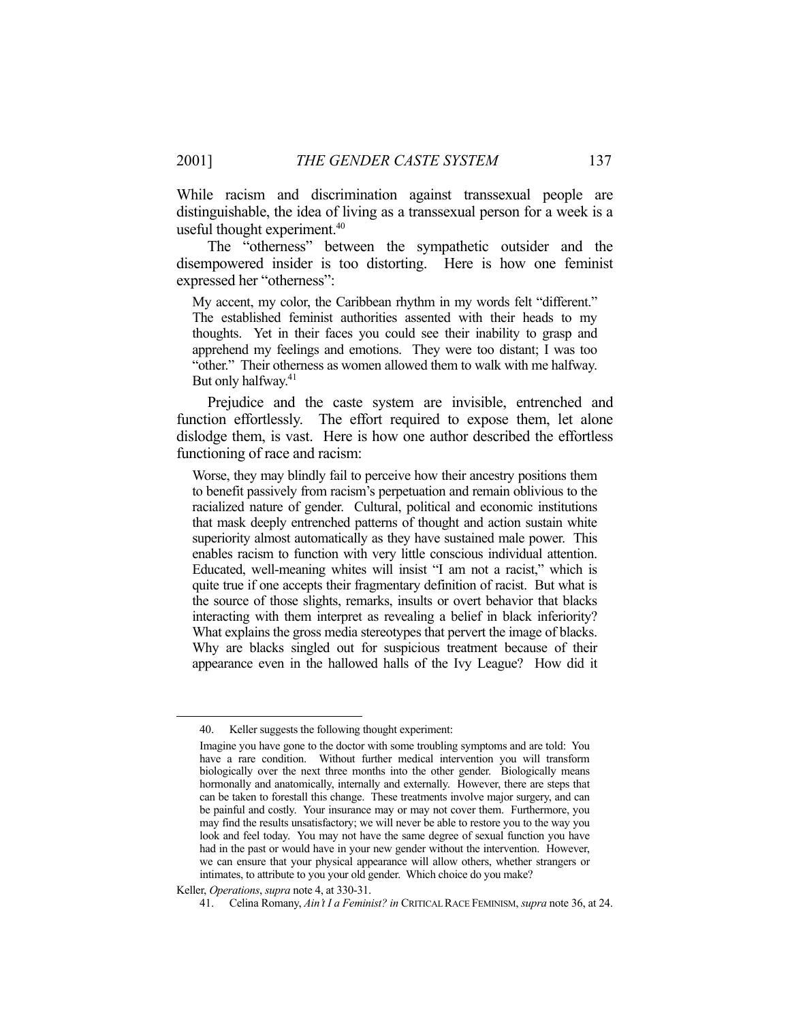While racism and discrimination against transsexual people are distinguishable, the idea of living as a transsexual person for a week is a useful thought experiment.40

 The "otherness" between the sympathetic outsider and the disempowered insider is too distorting. Here is how one feminist expressed her "otherness":

My accent, my color, the Caribbean rhythm in my words felt "different." The established feminist authorities assented with their heads to my thoughts. Yet in their faces you could see their inability to grasp and apprehend my feelings and emotions. They were too distant; I was too "other." Their otherness as women allowed them to walk with me halfway. But only halfway.<sup>41</sup>

 Prejudice and the caste system are invisible, entrenched and function effortlessly. The effort required to expose them, let alone dislodge them, is vast. Here is how one author described the effortless functioning of race and racism:

Worse, they may blindly fail to perceive how their ancestry positions them to benefit passively from racism's perpetuation and remain oblivious to the racialized nature of gender. Cultural, political and economic institutions that mask deeply entrenched patterns of thought and action sustain white superiority almost automatically as they have sustained male power. This enables racism to function with very little conscious individual attention. Educated, well-meaning whites will insist "I am not a racist," which is quite true if one accepts their fragmentary definition of racist. But what is the source of those slights, remarks, insults or overt behavior that blacks interacting with them interpret as revealing a belief in black inferiority? What explains the gross media stereotypes that pervert the image of blacks. Why are blacks singled out for suspicious treatment because of their appearance even in the hallowed halls of the Ivy League? How did it

 <sup>40.</sup> Keller suggests the following thought experiment:

Imagine you have gone to the doctor with some troubling symptoms and are told: You have a rare condition. Without further medical intervention you will transform biologically over the next three months into the other gender. Biologically means hormonally and anatomically, internally and externally. However, there are steps that can be taken to forestall this change. These treatments involve major surgery, and can be painful and costly. Your insurance may or may not cover them. Furthermore, you may find the results unsatisfactory; we will never be able to restore you to the way you look and feel today. You may not have the same degree of sexual function you have had in the past or would have in your new gender without the intervention. However, we can ensure that your physical appearance will allow others, whether strangers or intimates, to attribute to you your old gender. Which choice do you make?

Keller, *Operations*, *supra* note 4, at 330-31.

 <sup>41.</sup> Celina Romany, *Ain't I a Feminist? in* CRITICAL RACE FEMINISM, *supra* note 36, at 24.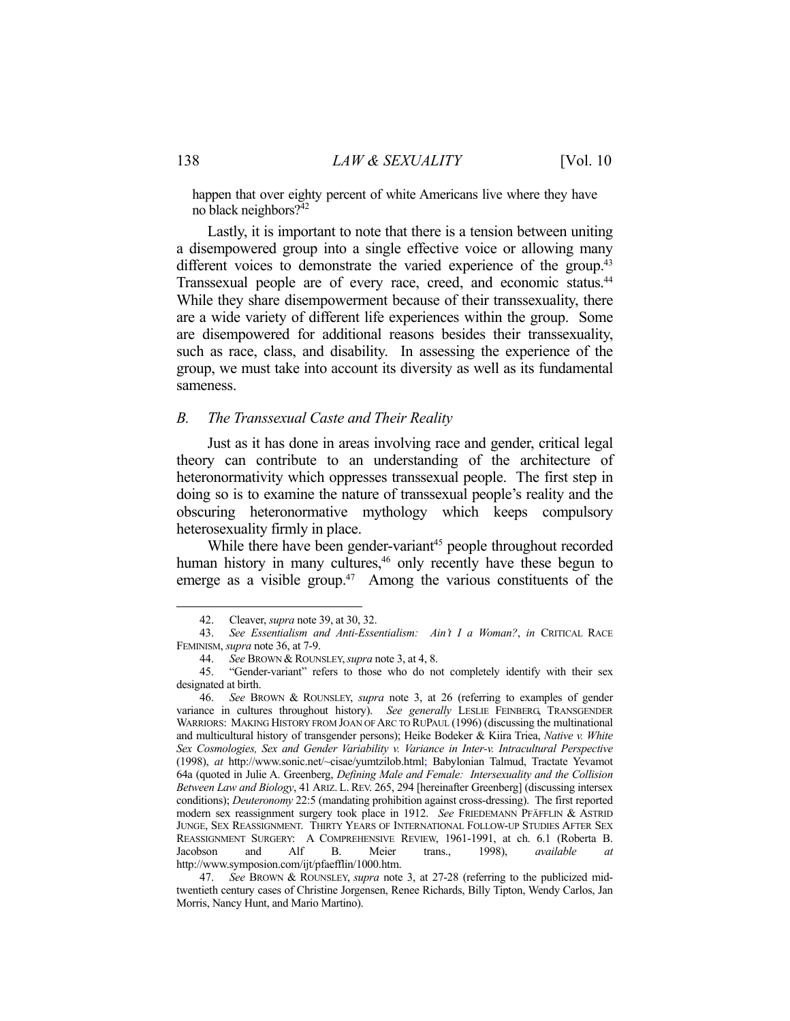happen that over eighty percent of white Americans live where they have no black neighbors?42

 Lastly, it is important to note that there is a tension between uniting a disempowered group into a single effective voice or allowing many different voices to demonstrate the varied experience of the group.<sup>43</sup> Transsexual people are of every race, creed, and economic status.<sup>44</sup> While they share disempowerment because of their transsexuality, there are a wide variety of different life experiences within the group. Some are disempowered for additional reasons besides their transsexuality, such as race, class, and disability. In assessing the experience of the group, we must take into account its diversity as well as its fundamental sameness.

## *B. The Transsexual Caste and Their Reality*

 Just as it has done in areas involving race and gender, critical legal theory can contribute to an understanding of the architecture of heteronormativity which oppresses transsexual people. The first step in doing so is to examine the nature of transsexual people's reality and the obscuring heteronormative mythology which keeps compulsory heterosexuality firmly in place.

While there have been gender-variant<sup>45</sup> people throughout recorded human history in many cultures,<sup>46</sup> only recently have these begun to emerge as a visible group.<sup>47</sup> Among the various constituents of the

 <sup>42.</sup> Cleaver, *supra* note 39, at 30, 32.

 <sup>43.</sup> *See Essentialism and Anti-Essentialism: Ain't I a Woman?*, *in* CRITICAL RACE FEMINISM, *supra* note 36, at 7-9.

 <sup>44.</sup> *See* BROWN & ROUNSLEY,*supra* note 3, at 4, 8.

 <sup>45. &</sup>quot;Gender-variant" refers to those who do not completely identify with their sex designated at birth.

 <sup>46.</sup> *See* BROWN & ROUNSLEY, *supra* note 3, at 26 (referring to examples of gender variance in cultures throughout history). *See generally* LESLIE FEINBERG, TRANSGENDER WARRIORS: MAKING HISTORY FROM JOAN OF ARC TO RUPAUL (1996) (discussing the multinational and multicultural history of transgender persons); Heike Bodeker & Kiira Triea, *Native v. White Sex Cosmologies, Sex and Gender Variability v. Variance in Inter-v. Intracultural Perspective* (1998), *at* http://www.sonic.net/~cisae/yumtzilob.html; Babylonian Talmud, Tractate Yevamot 64a (quoted in Julie A. Greenberg, *Defining Male and Female: Intersexuality and the Collision Between Law and Biology*, 41 ARIZ. L. REV. 265, 294 [hereinafter Greenberg] (discussing intersex conditions); *Deuteronomy* 22:5 (mandating prohibition against cross-dressing). The first reported modern sex reassignment surgery took place in 1912. *See* FRIEDEMANN PFÄFFLIN & ASTRID JUNGE, SEX REASSIGNMENT. THIRTY YEARS OF INTERNATIONAL FOLLOW-UP STUDIES AFTER SEX REASSIGNMENT SURGERY: A COMPREHENSIVE REVIEW, 1961-1991, at ch. 6.1 (Roberta B. Jacobson and Alf B. Meier trans., 1998), *available at* http://www.symposion.com/ijt/pfaefflin/1000.htm.

 <sup>47.</sup> *See* BROWN & ROUNSLEY, *supra* note 3, at 27-28 (referring to the publicized midtwentieth century cases of Christine Jorgensen, Renee Richards, Billy Tipton, Wendy Carlos, Jan Morris, Nancy Hunt, and Mario Martino).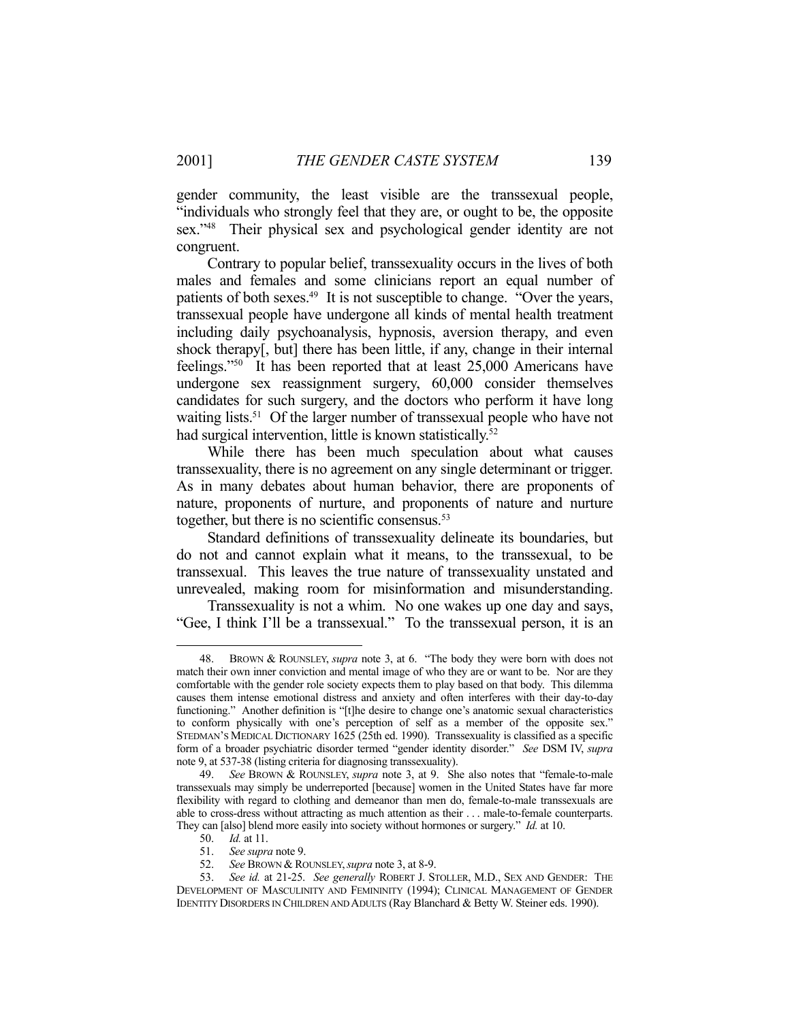gender community, the least visible are the transsexual people, "individuals who strongly feel that they are, or ought to be, the opposite sex."48 Their physical sex and psychological gender identity are not congruent.

 Contrary to popular belief, transsexuality occurs in the lives of both males and females and some clinicians report an equal number of patients of both sexes.<sup>49</sup> It is not susceptible to change. "Over the years, transsexual people have undergone all kinds of mental health treatment including daily psychoanalysis, hypnosis, aversion therapy, and even shock therapy[, but] there has been little, if any, change in their internal feelings."50 It has been reported that at least 25,000 Americans have undergone sex reassignment surgery, 60,000 consider themselves candidates for such surgery, and the doctors who perform it have long waiting lists.<sup>51</sup> Of the larger number of transsexual people who have not had surgical intervention, little is known statistically.<sup>52</sup>

 While there has been much speculation about what causes transsexuality, there is no agreement on any single determinant or trigger. As in many debates about human behavior, there are proponents of nature, proponents of nurture, and proponents of nature and nurture together, but there is no scientific consensus.<sup>53</sup>

 Standard definitions of transsexuality delineate its boundaries, but do not and cannot explain what it means, to the transsexual, to be transsexual. This leaves the true nature of transsexuality unstated and unrevealed, making room for misinformation and misunderstanding.

 Transsexuality is not a whim. No one wakes up one day and says, "Gee, I think I'll be a transsexual." To the transsexual person, it is an

 <sup>48.</sup> BROWN & ROUNSLEY, *supra* note 3, at 6. "The body they were born with does not match their own inner conviction and mental image of who they are or want to be. Nor are they comfortable with the gender role society expects them to play based on that body. This dilemma causes them intense emotional distress and anxiety and often interferes with their day-to-day functioning." Another definition is "[t]he desire to change one's anatomic sexual characteristics to conform physically with one's perception of self as a member of the opposite sex." STEDMAN'S MEDICAL DICTIONARY 1625 (25th ed. 1990). Transsexuality is classified as a specific form of a broader psychiatric disorder termed "gender identity disorder." *See* DSM IV, *supra* note 9, at 537-38 (listing criteria for diagnosing transsexuality).

 <sup>49.</sup> *See* BROWN & ROUNSLEY, *supra* note 3, at 9. She also notes that "female-to-male transsexuals may simply be underreported [because] women in the United States have far more flexibility with regard to clothing and demeanor than men do, female-to-male transsexuals are able to cross-dress without attracting as much attention as their . . . male-to-female counterparts. They can [also] blend more easily into society without hormones or surgery." *Id.* at 10.

 <sup>50.</sup> *Id.* at 11.

 <sup>51.</sup> *See supra* note 9.

 <sup>52.</sup> *See* BROWN & ROUNSLEY,*supra* note 3, at 8-9.

 <sup>53.</sup> *See id.* at 21-25. *See generally* ROBERT J. STOLLER, M.D., SEX AND GENDER: THE DEVELOPMENT OF MASCULINITY AND FEMININITY (1994); CLINICAL MANAGEMENT OF GENDER IDENTITY DISORDERS IN CHILDREN AND ADULTS (Ray Blanchard & Betty W. Steiner eds. 1990).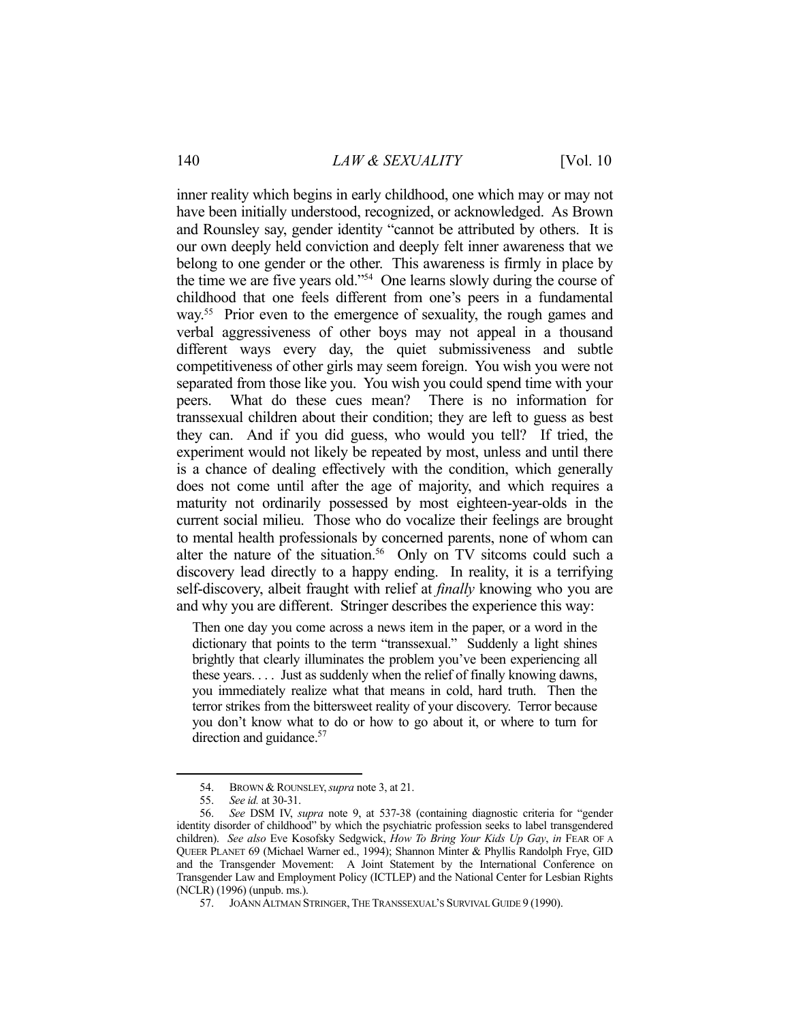inner reality which begins in early childhood, one which may or may not have been initially understood, recognized, or acknowledged. As Brown and Rounsley say, gender identity "cannot be attributed by others. It is our own deeply held conviction and deeply felt inner awareness that we belong to one gender or the other. This awareness is firmly in place by the time we are five years old."54 One learns slowly during the course of childhood that one feels different from one's peers in a fundamental way.<sup>55</sup> Prior even to the emergence of sexuality, the rough games and verbal aggressiveness of other boys may not appeal in a thousand different ways every day, the quiet submissiveness and subtle competitiveness of other girls may seem foreign. You wish you were not separated from those like you. You wish you could spend time with your peers. What do these cues mean? There is no information for transsexual children about their condition; they are left to guess as best they can. And if you did guess, who would you tell? If tried, the experiment would not likely be repeated by most, unless and until there is a chance of dealing effectively with the condition, which generally does not come until after the age of majority, and which requires a maturity not ordinarily possessed by most eighteen-year-olds in the current social milieu. Those who do vocalize their feelings are brought to mental health professionals by concerned parents, none of whom can alter the nature of the situation.<sup>56</sup> Only on TV sitcoms could such a discovery lead directly to a happy ending. In reality, it is a terrifying self-discovery, albeit fraught with relief at *finally* knowing who you are and why you are different. Stringer describes the experience this way:

Then one day you come across a news item in the paper, or a word in the dictionary that points to the term "transsexual." Suddenly a light shines brightly that clearly illuminates the problem you've been experiencing all these years. . . . Just as suddenly when the relief of finally knowing dawns, you immediately realize what that means in cold, hard truth. Then the terror strikes from the bittersweet reality of your discovery. Terror because you don't know what to do or how to go about it, or where to turn for direction and guidance.<sup>57</sup>

 <sup>54.</sup> BROWN & ROUNSLEY,*supra* note 3, at 21.

 <sup>55.</sup> *See id.* at 30-31.

 <sup>56.</sup> *See* DSM IV, *supra* note 9, at 537-38 (containing diagnostic criteria for "gender identity disorder of childhood" by which the psychiatric profession seeks to label transgendered children). *See also* Eve Kosofsky Sedgwick, *How To Bring Your Kids Up Gay*, *in* FEAR OF A QUEER PLANET 69 (Michael Warner ed., 1994); Shannon Minter & Phyllis Randolph Frye, GID and the Transgender Movement: A Joint Statement by the International Conference on Transgender Law and Employment Policy (ICTLEP) and the National Center for Lesbian Rights (NCLR) (1996) (unpub. ms.).

 <sup>57.</sup> JOANN ALTMAN STRINGER,THE TRANSSEXUAL'S SURVIVAL GUIDE 9 (1990).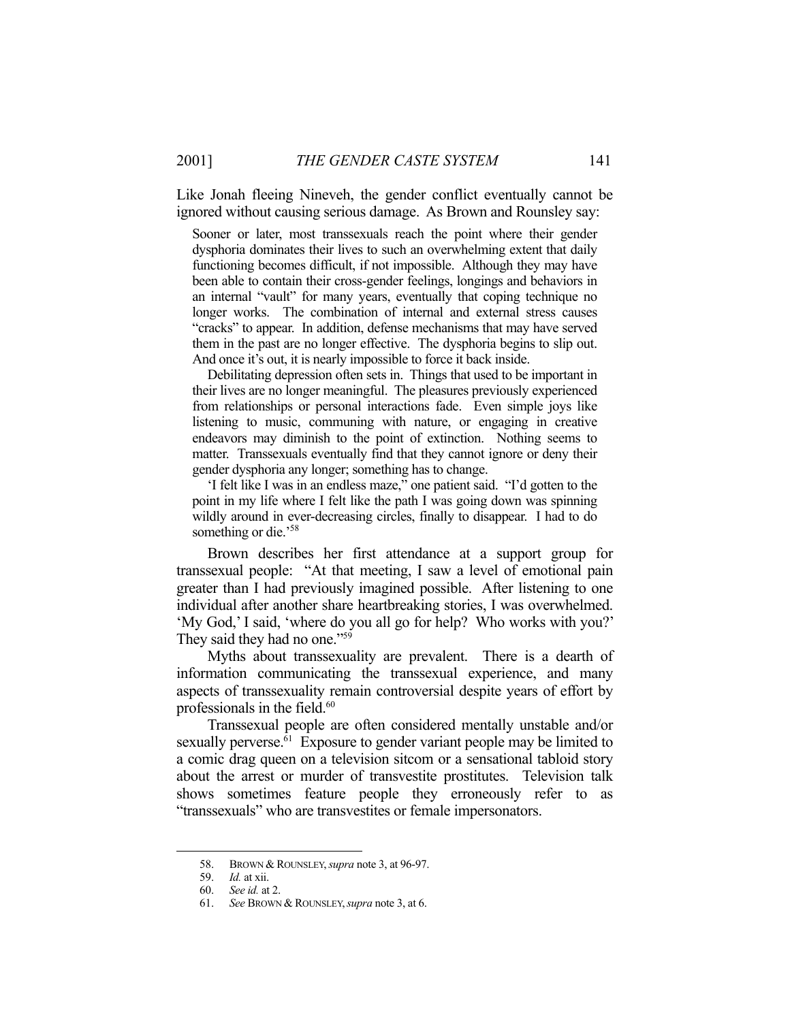Like Jonah fleeing Nineveh, the gender conflict eventually cannot be ignored without causing serious damage. As Brown and Rounsley say:

Sooner or later, most transsexuals reach the point where their gender dysphoria dominates their lives to such an overwhelming extent that daily functioning becomes difficult, if not impossible. Although they may have been able to contain their cross-gender feelings, longings and behaviors in an internal "vault" for many years, eventually that coping technique no longer works. The combination of internal and external stress causes "cracks" to appear. In addition, defense mechanisms that may have served them in the past are no longer effective. The dysphoria begins to slip out. And once it's out, it is nearly impossible to force it back inside.

 Debilitating depression often sets in. Things that used to be important in their lives are no longer meaningful. The pleasures previously experienced from relationships or personal interactions fade. Even simple joys like listening to music, communing with nature, or engaging in creative endeavors may diminish to the point of extinction. Nothing seems to matter. Transsexuals eventually find that they cannot ignore or deny their gender dysphoria any longer; something has to change.

 'I felt like I was in an endless maze," one patient said. "I'd gotten to the point in my life where I felt like the path I was going down was spinning wildly around in ever-decreasing circles, finally to disappear. I had to do something or die.'<sup>58</sup>

 Brown describes her first attendance at a support group for transsexual people: "At that meeting, I saw a level of emotional pain greater than I had previously imagined possible. After listening to one individual after another share heartbreaking stories, I was overwhelmed. 'My God,' I said, 'where do you all go for help? Who works with you?' They said they had no one."<sup>59</sup>

 Myths about transsexuality are prevalent. There is a dearth of information communicating the transsexual experience, and many aspects of transsexuality remain controversial despite years of effort by professionals in the field.<sup>60</sup>

 Transsexual people are often considered mentally unstable and/or sexually perverse.<sup>61</sup> Exposure to gender variant people may be limited to a comic drag queen on a television sitcom or a sensational tabloid story about the arrest or murder of transvestite prostitutes. Television talk shows sometimes feature people they erroneously refer to as "transsexuals" who are transvestites or female impersonators.

 <sup>58.</sup> BROWN & ROUNSLEY,*supra* note 3, at 96-97.

 <sup>59.</sup> *Id.* at xii.

 <sup>60.</sup> *See id.* at 2.

 <sup>61.</sup> *See* BROWN & ROUNSLEY,*supra* note 3, at 6.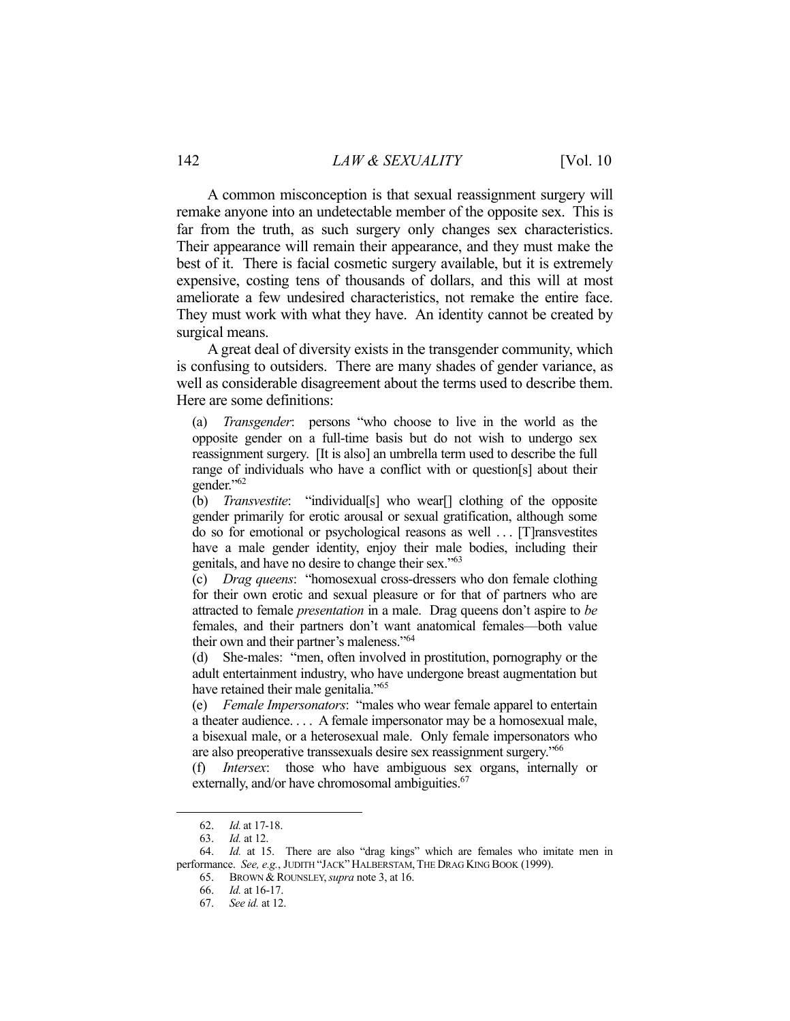A common misconception is that sexual reassignment surgery will remake anyone into an undetectable member of the opposite sex. This is far from the truth, as such surgery only changes sex characteristics. Their appearance will remain their appearance, and they must make the best of it. There is facial cosmetic surgery available, but it is extremely expensive, costing tens of thousands of dollars, and this will at most ameliorate a few undesired characteristics, not remake the entire face. They must work with what they have. An identity cannot be created by surgical means.

 A great deal of diversity exists in the transgender community, which is confusing to outsiders. There are many shades of gender variance, as well as considerable disagreement about the terms used to describe them. Here are some definitions:

(a) *Transgender*: persons "who choose to live in the world as the opposite gender on a full-time basis but do not wish to undergo sex reassignment surgery. [It is also] an umbrella term used to describe the full range of individuals who have a conflict with or question[s] about their gender."62

(b) *Transvestite*: "individual[s] who wear[] clothing of the opposite gender primarily for erotic arousal or sexual gratification, although some do so for emotional or psychological reasons as well . . . [T]ransvestites have a male gender identity, enjoy their male bodies, including their genitals, and have no desire to change their sex."63

(c) *Drag queens*: "homosexual cross-dressers who don female clothing for their own erotic and sexual pleasure or for that of partners who are attracted to female *presentation* in a male. Drag queens don't aspire to *be* females, and their partners don't want anatomical females—both value their own and their partner's maleness."64

(d) She-males: "men, often involved in prostitution, pornography or the adult entertainment industry, who have undergone breast augmentation but have retained their male genitalia."<sup>65</sup>

(e) *Female Impersonators*: "males who wear female apparel to entertain a theater audience. . . . A female impersonator may be a homosexual male, a bisexual male, or a heterosexual male. Only female impersonators who are also preoperative transsexuals desire sex reassignment surgery."66

(f) *Intersex*: those who have ambiguous sex organs, internally or externally, and/or have chromosomal ambiguities.<sup>67</sup>

 <sup>62.</sup> *Id.* at 17-18.

 <sup>63.</sup> *Id.* at 12.

 <sup>64.</sup> *Id.* at 15. There are also "drag kings" which are females who imitate men in performance. *See, e.g.*, JUDITH "JACK" HALBERSTAM, THE DRAG KING BOOK (1999).

 <sup>65.</sup> BROWN & ROUNSLEY,*supra* note 3, at 16.

 <sup>66.</sup> *Id.* at 16-17.

 <sup>67.</sup> *See id.* at 12.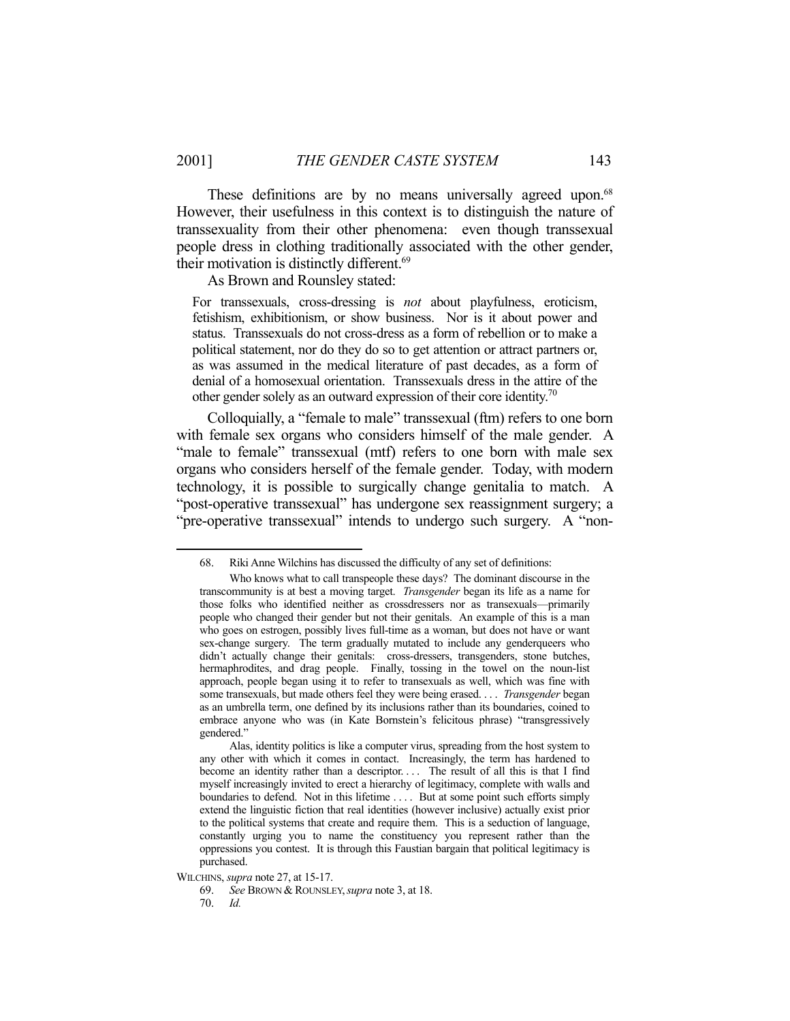<u>.</u>

These definitions are by no means universally agreed upon.<sup>68</sup> However, their usefulness in this context is to distinguish the nature of transsexuality from their other phenomena: even though transsexual people dress in clothing traditionally associated with the other gender, their motivation is distinctly different.69

As Brown and Rounsley stated:

For transsexuals, cross-dressing is *not* about playfulness, eroticism, fetishism, exhibitionism, or show business. Nor is it about power and status. Transsexuals do not cross-dress as a form of rebellion or to make a political statement, nor do they do so to get attention or attract partners or, as was assumed in the medical literature of past decades, as a form of denial of a homosexual orientation. Transsexuals dress in the attire of the other gender solely as an outward expression of their core identity.70

 Colloquially, a "female to male" transsexual (ftm) refers to one born with female sex organs who considers himself of the male gender. A "male to female" transsexual (mtf) refers to one born with male sex organs who considers herself of the female gender. Today, with modern technology, it is possible to surgically change genitalia to match. A "post-operative transsexual" has undergone sex reassignment surgery; a "pre-operative transsexual" intends to undergo such surgery. A "non-

WILCHINS, *supra* note 27, at 15-17.

 <sup>68.</sup> Riki Anne Wilchins has discussed the difficulty of any set of definitions:

Who knows what to call transpeople these days? The dominant discourse in the transcommunity is at best a moving target. *Transgender* began its life as a name for those folks who identified neither as crossdressers nor as transexuals—primarily people who changed their gender but not their genitals. An example of this is a man who goes on estrogen, possibly lives full-time as a woman, but does not have or want sex-change surgery. The term gradually mutated to include any genderqueers who didn't actually change their genitals: cross-dressers, transgenders, stone butches, hermaphrodites, and drag people. Finally, tossing in the towel on the noun-list approach, people began using it to refer to transexuals as well, which was fine with some transexuals, but made others feel they were being erased. . . . *Transgender* began as an umbrella term, one defined by its inclusions rather than its boundaries, coined to embrace anyone who was (in Kate Bornstein's felicitous phrase) "transgressively gendered."

Alas, identity politics is like a computer virus, spreading from the host system to any other with which it comes in contact. Increasingly, the term has hardened to become an identity rather than a descriptor.... The result of all this is that I find myself increasingly invited to erect a hierarchy of legitimacy, complete with walls and boundaries to defend. Not in this lifetime . . . . But at some point such efforts simply extend the linguistic fiction that real identities (however inclusive) actually exist prior to the political systems that create and require them. This is a seduction of language, constantly urging you to name the constituency you represent rather than the oppressions you contest. It is through this Faustian bargain that political legitimacy is purchased.

 <sup>69.</sup> *See* BROWN & ROUNSLEY,*supra* note 3, at 18. 70. *Id.*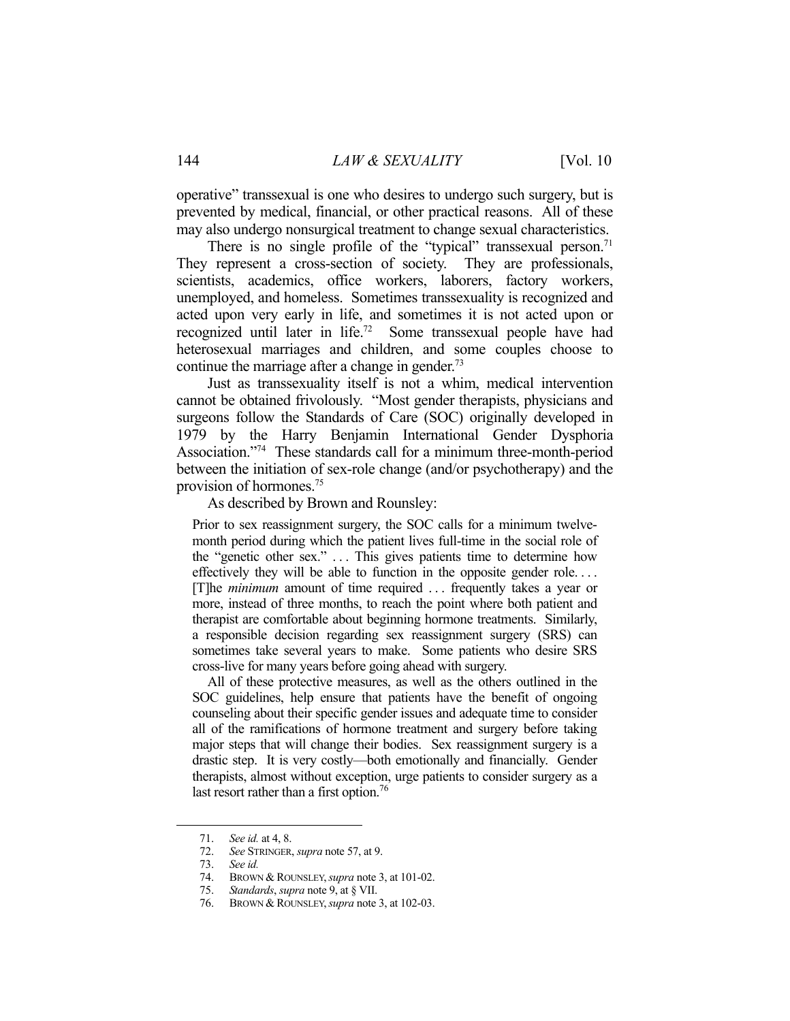operative" transsexual is one who desires to undergo such surgery, but is prevented by medical, financial, or other practical reasons. All of these may also undergo nonsurgical treatment to change sexual characteristics.

There is no single profile of the "typical" transsexual person.<sup>71</sup> They represent a cross-section of society. They are professionals, scientists, academics, office workers, laborers, factory workers, unemployed, and homeless. Sometimes transsexuality is recognized and acted upon very early in life, and sometimes it is not acted upon or recognized until later in life.72 Some transsexual people have had heterosexual marriages and children, and some couples choose to continue the marriage after a change in gender.<sup>73</sup>

 Just as transsexuality itself is not a whim, medical intervention cannot be obtained frivolously. "Most gender therapists, physicians and surgeons follow the Standards of Care (SOC) originally developed in 1979 by the Harry Benjamin International Gender Dysphoria Association."74 These standards call for a minimum three-month-period between the initiation of sex-role change (and/or psychotherapy) and the provision of hormones.75

As described by Brown and Rounsley:

Prior to sex reassignment surgery, the SOC calls for a minimum twelvemonth period during which the patient lives full-time in the social role of the "genetic other sex." . . . This gives patients time to determine how effectively they will be able to function in the opposite gender role. . . . [T]he *minimum* amount of time required . . . frequently takes a year or more, instead of three months, to reach the point where both patient and therapist are comfortable about beginning hormone treatments. Similarly, a responsible decision regarding sex reassignment surgery (SRS) can sometimes take several years to make. Some patients who desire SRS cross-live for many years before going ahead with surgery.

 All of these protective measures, as well as the others outlined in the SOC guidelines, help ensure that patients have the benefit of ongoing counseling about their specific gender issues and adequate time to consider all of the ramifications of hormone treatment and surgery before taking major steps that will change their bodies. Sex reassignment surgery is a drastic step. It is very costly—both emotionally and financially. Gender therapists, almost without exception, urge patients to consider surgery as a last resort rather than a first option.<sup>76</sup>

 <sup>71.</sup> *See id.* at 4, 8.

 <sup>72.</sup> *See* STRINGER, *supra* note 57, at 9.

 <sup>73.</sup> *See id.*

 <sup>74.</sup> BROWN & ROUNSLEY,*supra* note 3, at 101-02.

 <sup>75.</sup> *Standards*, *supra* note 9, at § VII.

 <sup>76.</sup> BROWN & ROUNSLEY,*supra* note 3, at 102-03.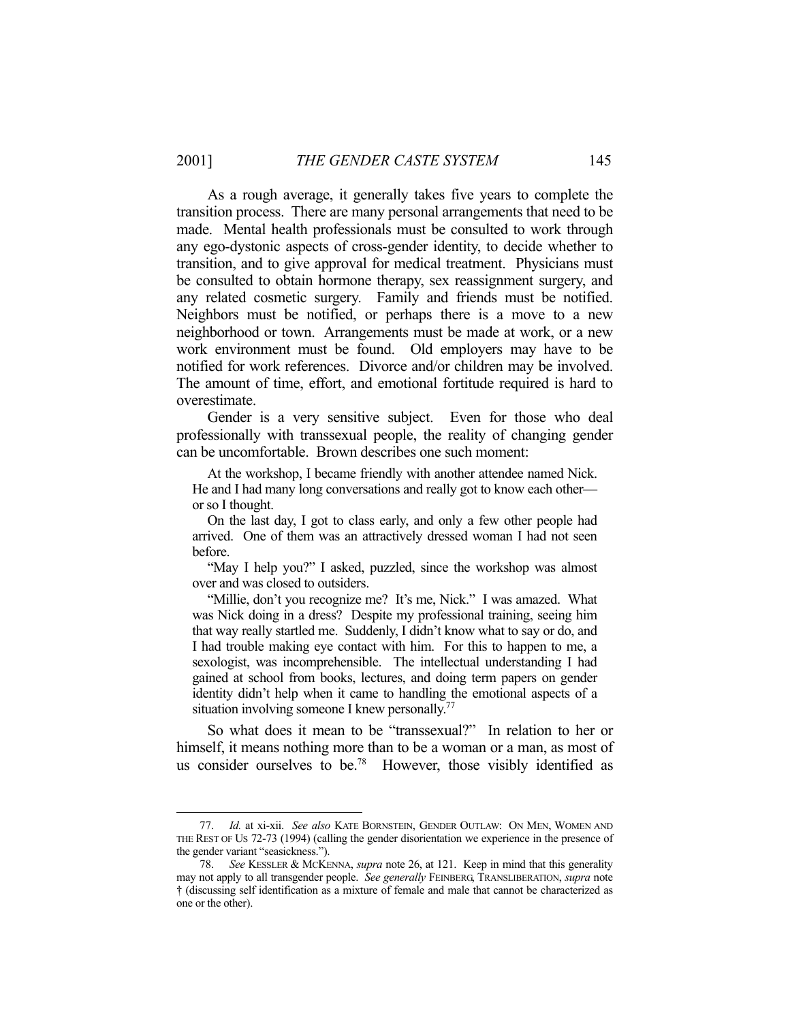1

 As a rough average, it generally takes five years to complete the transition process. There are many personal arrangements that need to be made. Mental health professionals must be consulted to work through any ego-dystonic aspects of cross-gender identity, to decide whether to transition, and to give approval for medical treatment. Physicians must be consulted to obtain hormone therapy, sex reassignment surgery, and any related cosmetic surgery. Family and friends must be notified. Neighbors must be notified, or perhaps there is a move to a new neighborhood or town. Arrangements must be made at work, or a new work environment must be found. Old employers may have to be notified for work references. Divorce and/or children may be involved. The amount of time, effort, and emotional fortitude required is hard to overestimate.

 Gender is a very sensitive subject. Even for those who deal professionally with transsexual people, the reality of changing gender can be uncomfortable. Brown describes one such moment:

 At the workshop, I became friendly with another attendee named Nick. He and I had many long conversations and really got to know each other or so I thought.

 On the last day, I got to class early, and only a few other people had arrived. One of them was an attractively dressed woman I had not seen before.

"May I help you?" I asked, puzzled, since the workshop was almost over and was closed to outsiders.

 "Millie, don't you recognize me? It's me, Nick." I was amazed. What was Nick doing in a dress? Despite my professional training, seeing him that way really startled me. Suddenly, I didn't know what to say or do, and I had trouble making eye contact with him. For this to happen to me, a sexologist, was incomprehensible. The intellectual understanding I had gained at school from books, lectures, and doing term papers on gender identity didn't help when it came to handling the emotional aspects of a situation involving someone I knew personally.<sup>77</sup>

 So what does it mean to be "transsexual?" In relation to her or himself, it means nothing more than to be a woman or a man, as most of us consider ourselves to be.<sup>78</sup> However, those visibly identified as

 <sup>77.</sup> *Id.* at xi-xii. *See also* KATE BORNSTEIN, GENDER OUTLAW: ON MEN, WOMEN AND THE REST OF US 72-73 (1994) (calling the gender disorientation we experience in the presence of the gender variant "seasickness.").

 <sup>78.</sup> *See* KESSLER & MCKENNA, *supra* note 26, at 121. Keep in mind that this generality may not apply to all transgender people. *See generally* FEINBERG, TRANSLIBERATION, *supra* note † (discussing self identification as a mixture of female and male that cannot be characterized as one or the other).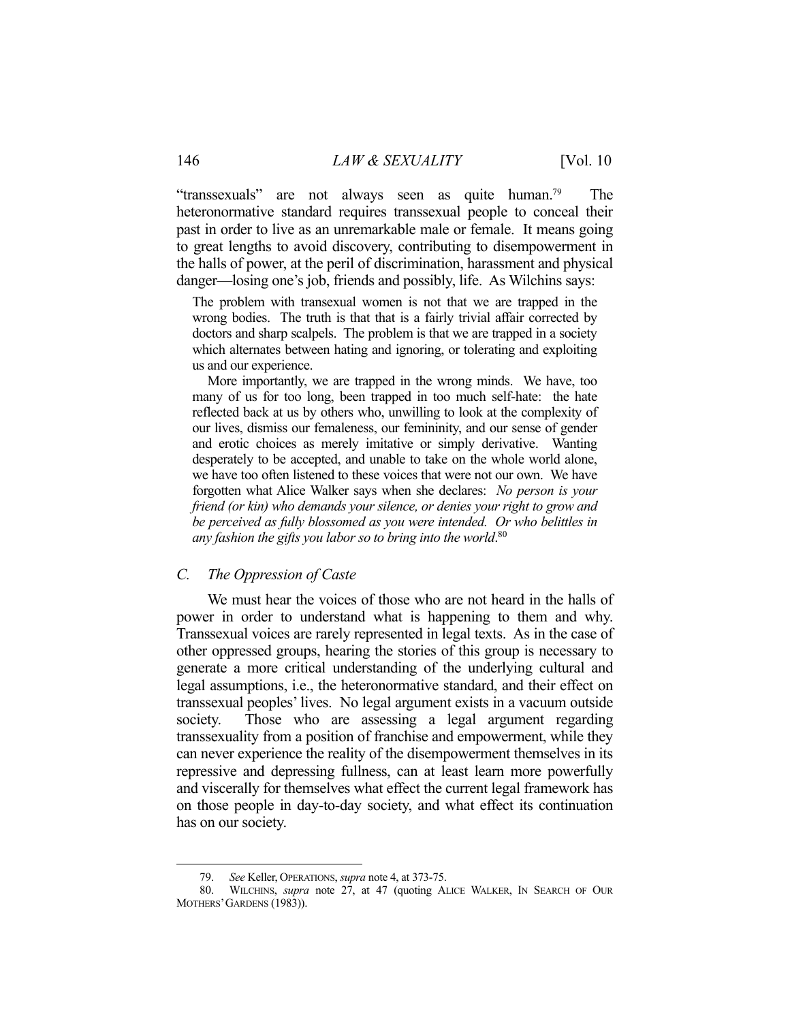"transsexuals" are not always seen as quite human.<sup>79</sup> The heteronormative standard requires transsexual people to conceal their past in order to live as an unremarkable male or female. It means going to great lengths to avoid discovery, contributing to disempowerment in the halls of power, at the peril of discrimination, harassment and physical danger—losing one's job, friends and possibly, life. As Wilchins says:

The problem with transexual women is not that we are trapped in the wrong bodies. The truth is that that is a fairly trivial affair corrected by doctors and sharp scalpels. The problem is that we are trapped in a society which alternates between hating and ignoring, or tolerating and exploiting us and our experience.

 More importantly, we are trapped in the wrong minds. We have, too many of us for too long, been trapped in too much self-hate: the hate reflected back at us by others who, unwilling to look at the complexity of our lives, dismiss our femaleness, our femininity, and our sense of gender and erotic choices as merely imitative or simply derivative. Wanting desperately to be accepted, and unable to take on the whole world alone, we have too often listened to these voices that were not our own. We have forgotten what Alice Walker says when she declares: *No person is your friend (or kin) who demands your silence, or denies your right to grow and be perceived as fully blossomed as you were intended. Or who belittles in any fashion the gifts you labor so to bring into the world*. 80

#### *C. The Oppression of Caste*

1

 We must hear the voices of those who are not heard in the halls of power in order to understand what is happening to them and why. Transsexual voices are rarely represented in legal texts. As in the case of other oppressed groups, hearing the stories of this group is necessary to generate a more critical understanding of the underlying cultural and legal assumptions, i.e., the heteronormative standard, and their effect on transsexual peoples' lives. No legal argument exists in a vacuum outside society. Those who are assessing a legal argument regarding transsexuality from a position of franchise and empowerment, while they can never experience the reality of the disempowerment themselves in its repressive and depressing fullness, can at least learn more powerfully and viscerally for themselves what effect the current legal framework has on those people in day-to-day society, and what effect its continuation has on our society.

 <sup>79.</sup> *See* Keller, OPERATIONS, *supra* note 4, at 373-75.

 <sup>80.</sup> WILCHINS, *supra* note 27, at 47 (quoting ALICE WALKER, IN SEARCH OF OUR MOTHERS'GARDENS (1983)).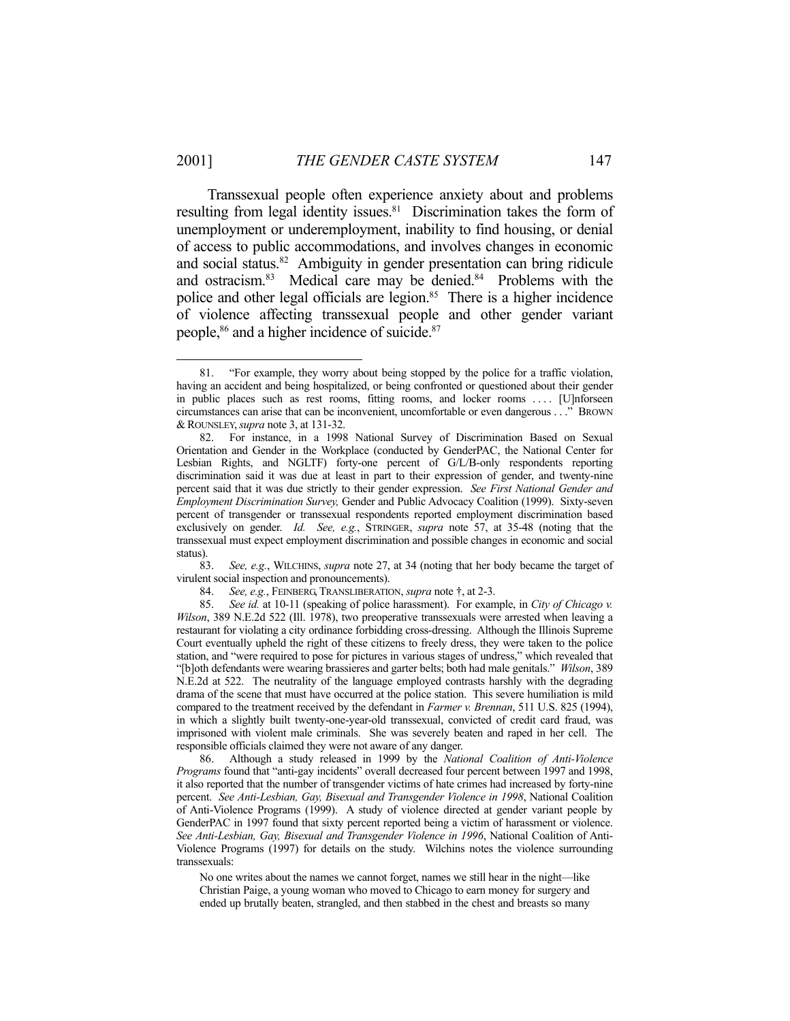1

 Transsexual people often experience anxiety about and problems resulting from legal identity issues.<sup>81</sup> Discrimination takes the form of unemployment or underemployment, inability to find housing, or denial of access to public accommodations, and involves changes in economic and social status.82 Ambiguity in gender presentation can bring ridicule and ostracism.<sup>83</sup> Medical care may be denied.<sup>84</sup> Problems with the police and other legal officials are legion.<sup>85</sup> There is a higher incidence of violence affecting transsexual people and other gender variant people,<sup>86</sup> and a higher incidence of suicide.<sup>87</sup>

 83. *See, e.g.*, WILCHINS, *supra* note 27, at 34 (noting that her body became the target of virulent social inspection and pronouncements).

84. *See, e.g.*, FEINBERG,TRANSLIBERATION, *supra* note †, at 2-3.

 85. *See id.* at 10-11 (speaking of police harassment). For example, in *City of Chicago v. Wilson*, 389 N.E.2d 522 (Ill. 1978), two preoperative transsexuals were arrested when leaving a restaurant for violating a city ordinance forbidding cross-dressing. Although the Illinois Supreme Court eventually upheld the right of these citizens to freely dress, they were taken to the police station, and "were required to pose for pictures in various stages of undress," which revealed that "[b]oth defendants were wearing brassieres and garter belts; both had male genitals." *Wilson*, 389 N.E.2d at 522. The neutrality of the language employed contrasts harshly with the degrading drama of the scene that must have occurred at the police station. This severe humiliation is mild compared to the treatment received by the defendant in *Farmer v. Brennan*, 511 U.S. 825 (1994), in which a slightly built twenty-one-year-old transsexual, convicted of credit card fraud, was imprisoned with violent male criminals. She was severely beaten and raped in her cell. The responsible officials claimed they were not aware of any danger.

 86. Although a study released in 1999 by the *National Coalition of Anti-Violence Programs* found that "anti-gay incidents" overall decreased four percent between 1997 and 1998, it also reported that the number of transgender victims of hate crimes had increased by forty-nine percent. *See Anti-Lesbian, Gay, Bisexual and Transgender Violence in 1998*, National Coalition of Anti-Violence Programs (1999). A study of violence directed at gender variant people by GenderPAC in 1997 found that sixty percent reported being a victim of harassment or violence. *See Anti-Lesbian, Gay, Bisexual and Transgender Violence in 1996*, National Coalition of Anti-Violence Programs (1997) for details on the study. Wilchins notes the violence surrounding transsexuals:

No one writes about the names we cannot forget, names we still hear in the night—like Christian Paige, a young woman who moved to Chicago to earn money for surgery and ended up brutally beaten, strangled, and then stabbed in the chest and breasts so many

 <sup>81. &</sup>quot;For example, they worry about being stopped by the police for a traffic violation, having an accident and being hospitalized, or being confronted or questioned about their gender in public places such as rest rooms, fitting rooms, and locker rooms .... [U]nforseen circumstances can arise that can be inconvenient, uncomfortable or even dangerous . . ." BROWN &ROUNSLEY,*supra* note 3, at 131-32.

 <sup>82.</sup> For instance, in a 1998 National Survey of Discrimination Based on Sexual Orientation and Gender in the Workplace (conducted by GenderPAC, the National Center for Lesbian Rights, and NGLTF) forty-one percent of G/L/B-only respondents reporting discrimination said it was due at least in part to their expression of gender, and twenty-nine percent said that it was due strictly to their gender expression. *See First National Gender and Employment Discrimination Survey,* Gender and Public Advocacy Coalition (1999). Sixty-seven percent of transgender or transsexual respondents reported employment discrimination based exclusively on gender. *Id. See, e.g.*, STRINGER, *supra* note 57, at 35-48 (noting that the transsexual must expect employment discrimination and possible changes in economic and social status).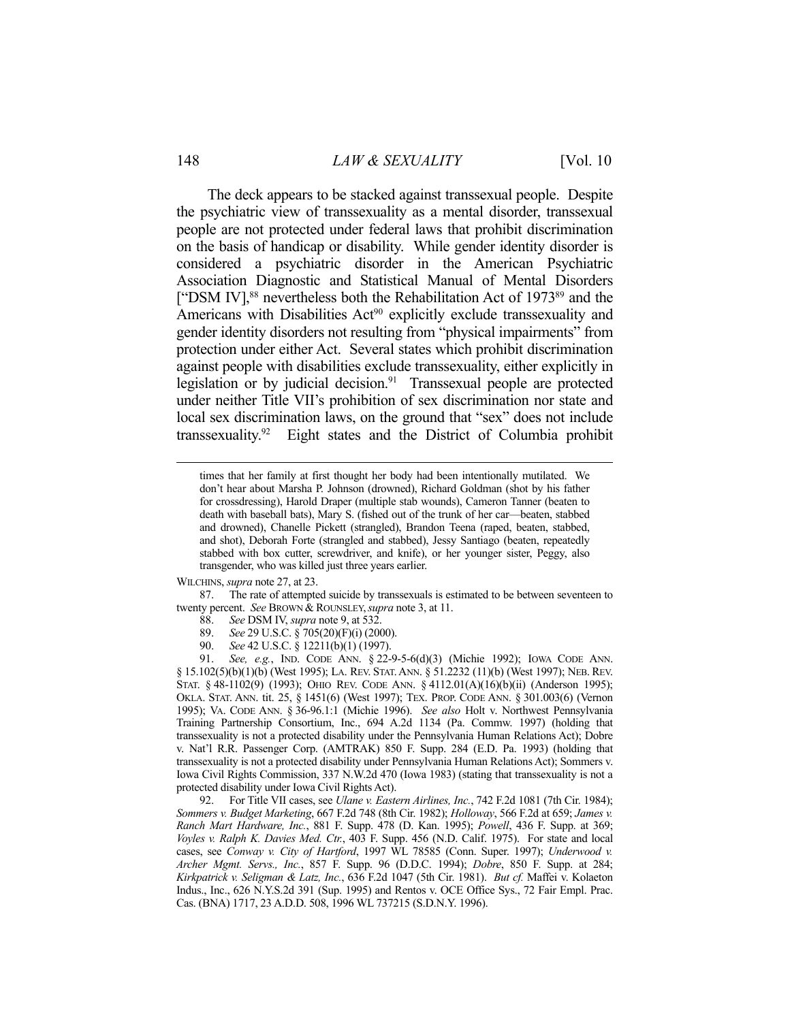#### 148 *LAW & SEXUALITY* [Vol. 10

 The deck appears to be stacked against transsexual people. Despite the psychiatric view of transsexuality as a mental disorder, transsexual people are not protected under federal laws that prohibit discrimination on the basis of handicap or disability. While gender identity disorder is considered a psychiatric disorder in the American Psychiatric Association Diagnostic and Statistical Manual of Mental Disorders ["DSM IV],<sup>88</sup> nevertheless both the Rehabilitation Act of 1973<sup>89</sup> and the Americans with Disabilities Act<sup>90</sup> explicitly exclude transsexuality and gender identity disorders not resulting from "physical impairments" from protection under either Act. Several states which prohibit discrimination against people with disabilities exclude transsexuality, either explicitly in legislation or by judicial decision.<sup>91</sup> Transsexual people are protected under neither Title VII's prohibition of sex discrimination nor state and local sex discrimination laws, on the ground that "sex" does not include transsexuality.92 Eight states and the District of Columbia prohibit

WILCHINS, *supra* note 27, at 23.

 87. The rate of attempted suicide by transsexuals is estimated to be between seventeen to twenty percent. *See* BROWN & ROUNSLEY,*supra* note 3, at 11.

- 88. *See* DSM IV, *supra* note 9, at 532.
- 89. *See* 29 U.S.C. § 705(20)(F)(i) (2000).
- 90. *See* 42 U.S.C. § 12211(b)(1) (1997).

 91. *See, e.g.*, IND. CODE ANN. § 22-9-5-6(d)(3) (Michie 1992); IOWA CODE ANN. § 15.102(5)(b)(1)(b) (West 1995); LA. REV. STAT.ANN. § 51.2232 (11)(b) (West 1997); NEB. REV. STAT. § 48-1102(9) (1993); OHIO REV. CODE ANN. § 4112.01(A)(16)(b)(ii) (Anderson 1995); OKLA. STAT. ANN. tit. 25, § 1451(6) (West 1997); TEX. PROP. CODE ANN. § 301.003(6) (Vernon 1995); VA. CODE ANN. § 36-96.1:1 (Michie 1996). *See also* Holt v. Northwest Pennsylvania Training Partnership Consortium, Inc., 694 A.2d 1134 (Pa. Commw. 1997) (holding that transsexuality is not a protected disability under the Pennsylvania Human Relations Act); Dobre v. Nat'l R.R. Passenger Corp. (AMTRAK) 850 F. Supp. 284 (E.D. Pa. 1993) (holding that transsexuality is not a protected disability under Pennsylvania Human Relations Act); Sommers v. Iowa Civil Rights Commission, 337 N.W.2d 470 (Iowa 1983) (stating that transsexuality is not a protected disability under Iowa Civil Rights Act).

 92. For Title VII cases, see *Ulane v. Eastern Airlines, Inc.*, 742 F.2d 1081 (7th Cir. 1984); *Sommers v. Budget Marketing*, 667 F.2d 748 (8th Cir. 1982); *Holloway*, 566 F.2d at 659; *James v. Ranch Mart Hardware, Inc.*, 881 F. Supp. 478 (D. Kan. 1995); *Powell*, 436 F. Supp. at 369; *Voyles v. Ralph K. Davies Med. Ctr.*, 403 F. Supp. 456 (N.D. Calif. 1975). For state and local cases, see *Conway v. City of Hartford*, 1997 WL 78585 (Conn. Super. 1997); *Underwood v. Archer Mgmt. Servs., Inc.*, 857 F. Supp. 96 (D.D.C. 1994); *Dobre*, 850 F. Supp. at 284; *Kirkpatrick v. Seligman & Latz, Inc.*, 636 F.2d 1047 (5th Cir. 1981). *But cf.* Maffei v. Kolaeton Indus., Inc., 626 N.Y.S.2d 391 (Sup. 1995) and Rentos v. OCE Office Sys., 72 Fair Empl. Prac. Cas. (BNA) 1717, 23 A.D.D. 508, 1996 WL 737215 (S.D.N.Y. 1996).

times that her family at first thought her body had been intentionally mutilated. We don't hear about Marsha P. Johnson (drowned), Richard Goldman (shot by his father for crossdressing), Harold Draper (multiple stab wounds), Cameron Tanner (beaten to death with baseball bats), Mary S. (fished out of the trunk of her car—beaten, stabbed and drowned), Chanelle Pickett (strangled), Brandon Teena (raped, beaten, stabbed, and shot), Deborah Forte (strangled and stabbed), Jessy Santiago (beaten, repeatedly stabbed with box cutter, screwdriver, and knife), or her younger sister, Peggy, also transgender, who was killed just three years earlier.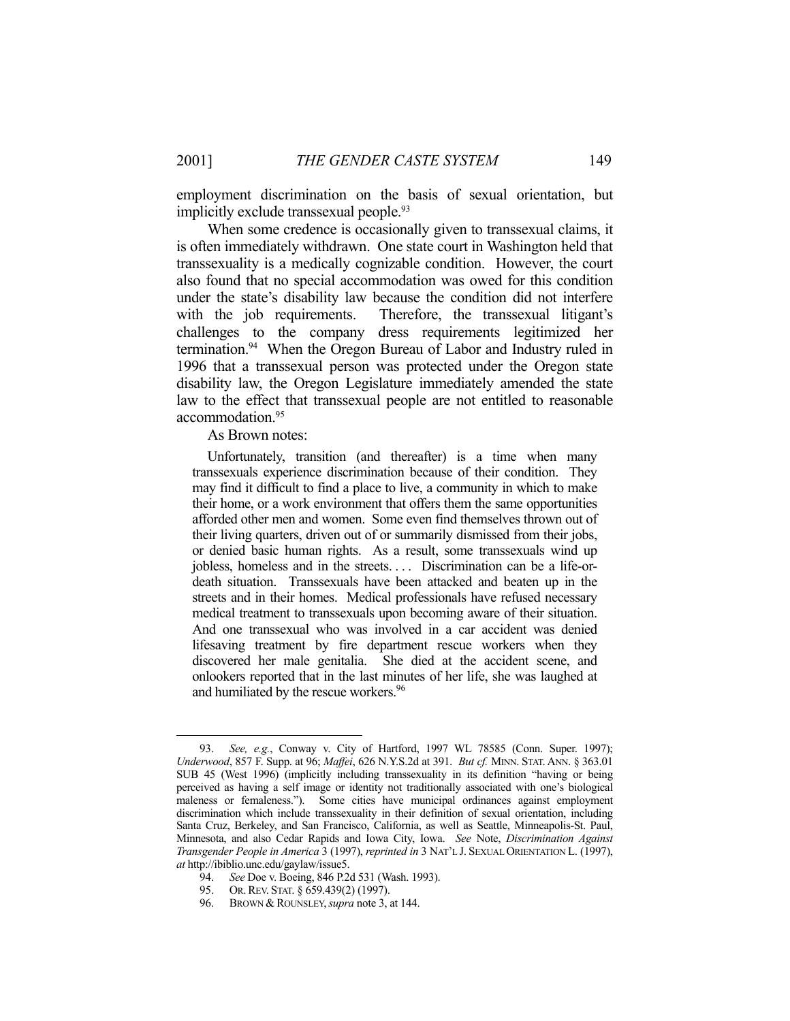employment discrimination on the basis of sexual orientation, but implicitly exclude transsexual people.<sup>93</sup>

 When some credence is occasionally given to transsexual claims, it is often immediately withdrawn. One state court in Washington held that transsexuality is a medically cognizable condition. However, the court also found that no special accommodation was owed for this condition under the state's disability law because the condition did not interfere with the job requirements. Therefore, the transsexual litigant's challenges to the company dress requirements legitimized her termination.<sup>94</sup> When the Oregon Bureau of Labor and Industry ruled in 1996 that a transsexual person was protected under the Oregon state disability law, the Oregon Legislature immediately amended the state law to the effect that transsexual people are not entitled to reasonable accommodation.95

As Brown notes:

 Unfortunately, transition (and thereafter) is a time when many transsexuals experience discrimination because of their condition. They may find it difficult to find a place to live, a community in which to make their home, or a work environment that offers them the same opportunities afforded other men and women. Some even find themselves thrown out of their living quarters, driven out of or summarily dismissed from their jobs, or denied basic human rights. As a result, some transsexuals wind up jobless, homeless and in the streets.... Discrimination can be a life-ordeath situation. Transsexuals have been attacked and beaten up in the streets and in their homes. Medical professionals have refused necessary medical treatment to transsexuals upon becoming aware of their situation. And one transsexual who was involved in a car accident was denied lifesaving treatment by fire department rescue workers when they discovered her male genitalia. She died at the accident scene, and onlookers reported that in the last minutes of her life, she was laughed at and humiliated by the rescue workers.<sup>96</sup>

 <sup>93.</sup> *See, e.g.*, Conway v. City of Hartford, 1997 WL 78585 (Conn. Super. 1997); *Underwood*, 857 F. Supp. at 96; *Maffei*, 626 N.Y.S.2d at 391. *But cf.* MINN. STAT. ANN. § 363.01 SUB 45 (West 1996) (implicitly including transsexuality in its definition "having or being perceived as having a self image or identity not traditionally associated with one's biological maleness or femaleness."). Some cities have municipal ordinances against employment discrimination which include transsexuality in their definition of sexual orientation, including Santa Cruz, Berkeley, and San Francisco, California, as well as Seattle, Minneapolis-St. Paul, Minnesota, and also Cedar Rapids and Iowa City, Iowa. *See* Note, *Discrimination Against Transgender People in America* 3 (1997), *reprinted in* 3 NAT'L J. SEXUAL ORIENTATION L. (1997), *at* http://ibiblio.unc.edu/gaylaw/issue5.

 <sup>94.</sup> *See* Doe v. Boeing, 846 P.2d 531 (Wash. 1993).

 <sup>95.</sup> OR.REV. STAT. § 659.439(2) (1997).

 <sup>96.</sup> BROWN & ROUNSLEY,*supra* note 3, at 144.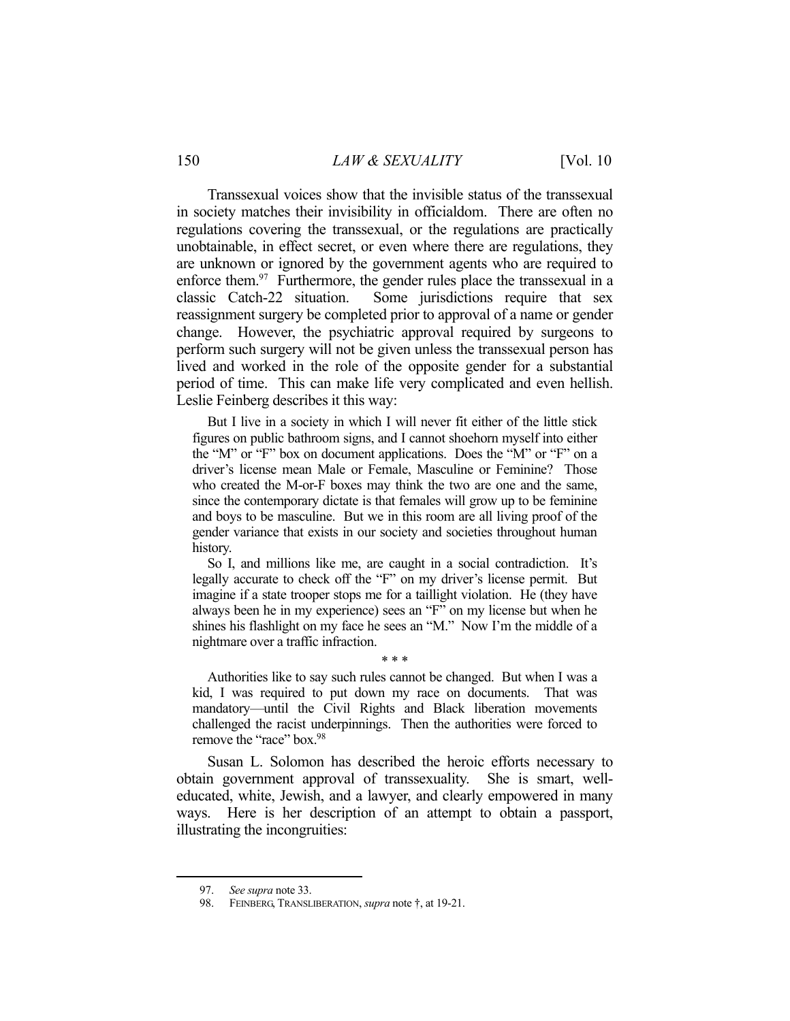#### 150 *LAW & SEXUALITY* [Vol. 10

 Transsexual voices show that the invisible status of the transsexual in society matches their invisibility in officialdom. There are often no regulations covering the transsexual, or the regulations are practically unobtainable, in effect secret, or even where there are regulations, they are unknown or ignored by the government agents who are required to enforce them.<sup>97</sup> Furthermore, the gender rules place the transsexual in a classic Catch-22 situation. Some jurisdictions require that sex reassignment surgery be completed prior to approval of a name or gender change. However, the psychiatric approval required by surgeons to perform such surgery will not be given unless the transsexual person has lived and worked in the role of the opposite gender for a substantial period of time. This can make life very complicated and even hellish. Leslie Feinberg describes it this way:

 But I live in a society in which I will never fit either of the little stick figures on public bathroom signs, and I cannot shoehorn myself into either the "M" or "F" box on document applications. Does the "M" or "F" on a driver's license mean Male or Female, Masculine or Feminine? Those who created the M-or-F boxes may think the two are one and the same, since the contemporary dictate is that females will grow up to be feminine and boys to be masculine. But we in this room are all living proof of the gender variance that exists in our society and societies throughout human history.

 So I, and millions like me, are caught in a social contradiction. It's legally accurate to check off the "F" on my driver's license permit. But imagine if a state trooper stops me for a taillight violation. He (they have always been he in my experience) sees an "F" on my license but when he shines his flashlight on my face he sees an "M." Now I'm the middle of a nightmare over a traffic infraction.

\* \* \*

 Authorities like to say such rules cannot be changed. But when I was a kid, I was required to put down my race on documents. That was mandatory—until the Civil Rights and Black liberation movements challenged the racist underpinnings. Then the authorities were forced to remove the "race" box.98

 Susan L. Solomon has described the heroic efforts necessary to obtain government approval of transsexuality. She is smart, welleducated, white, Jewish, and a lawyer, and clearly empowered in many ways. Here is her description of an attempt to obtain a passport, illustrating the incongruities:

 <sup>97.</sup> *See supra* note 33.

 <sup>98.</sup> FEINBERG, TRANSLIBERATION, *supra* note †, at 19-21.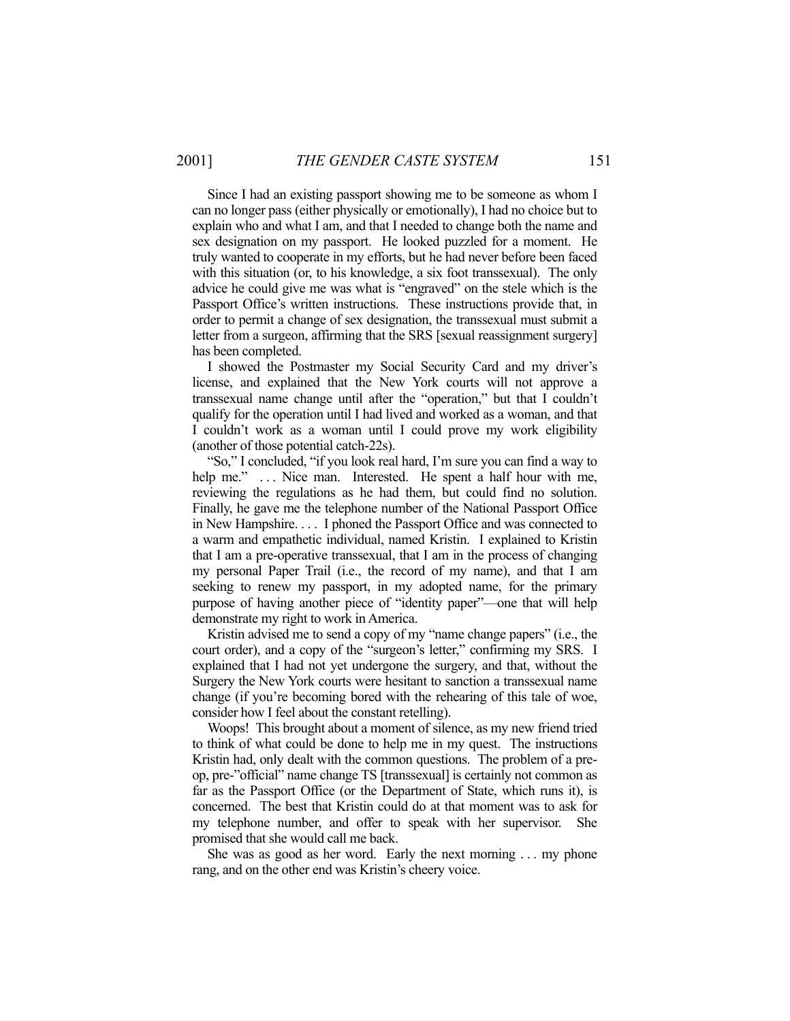Since I had an existing passport showing me to be someone as whom I can no longer pass (either physically or emotionally), I had no choice but to explain who and what I am, and that I needed to change both the name and sex designation on my passport. He looked puzzled for a moment. He truly wanted to cooperate in my efforts, but he had never before been faced with this situation (or, to his knowledge, a six foot transsexual). The only advice he could give me was what is "engraved" on the stele which is the Passport Office's written instructions. These instructions provide that, in order to permit a change of sex designation, the transsexual must submit a letter from a surgeon, affirming that the SRS [sexual reassignment surgery] has been completed.

 I showed the Postmaster my Social Security Card and my driver's license, and explained that the New York courts will not approve a transsexual name change until after the "operation," but that I couldn't qualify for the operation until I had lived and worked as a woman, and that I couldn't work as a woman until I could prove my work eligibility (another of those potential catch-22s).

 "So," I concluded, "if you look real hard, I'm sure you can find a way to help me." ... Nice man. Interested. He spent a half hour with me, reviewing the regulations as he had them, but could find no solution. Finally, he gave me the telephone number of the National Passport Office in New Hampshire. . . . I phoned the Passport Office and was connected to a warm and empathetic individual, named Kristin. I explained to Kristin that I am a pre-operative transsexual, that I am in the process of changing my personal Paper Trail (i.e., the record of my name), and that I am seeking to renew my passport, in my adopted name, for the primary purpose of having another piece of "identity paper"—one that will help demonstrate my right to work in America.

 Kristin advised me to send a copy of my "name change papers" (i.e., the court order), and a copy of the "surgeon's letter," confirming my SRS. I explained that I had not yet undergone the surgery, and that, without the Surgery the New York courts were hesitant to sanction a transsexual name change (if you're becoming bored with the rehearing of this tale of woe, consider how I feel about the constant retelling).

 Woops! This brought about a moment of silence, as my new friend tried to think of what could be done to help me in my quest. The instructions Kristin had, only dealt with the common questions. The problem of a preop, pre-"official" name change TS [transsexual] is certainly not common as far as the Passport Office (or the Department of State, which runs it), is concerned. The best that Kristin could do at that moment was to ask for my telephone number, and offer to speak with her supervisor. She promised that she would call me back.

 She was as good as her word. Early the next morning . . . my phone rang, and on the other end was Kristin's cheery voice.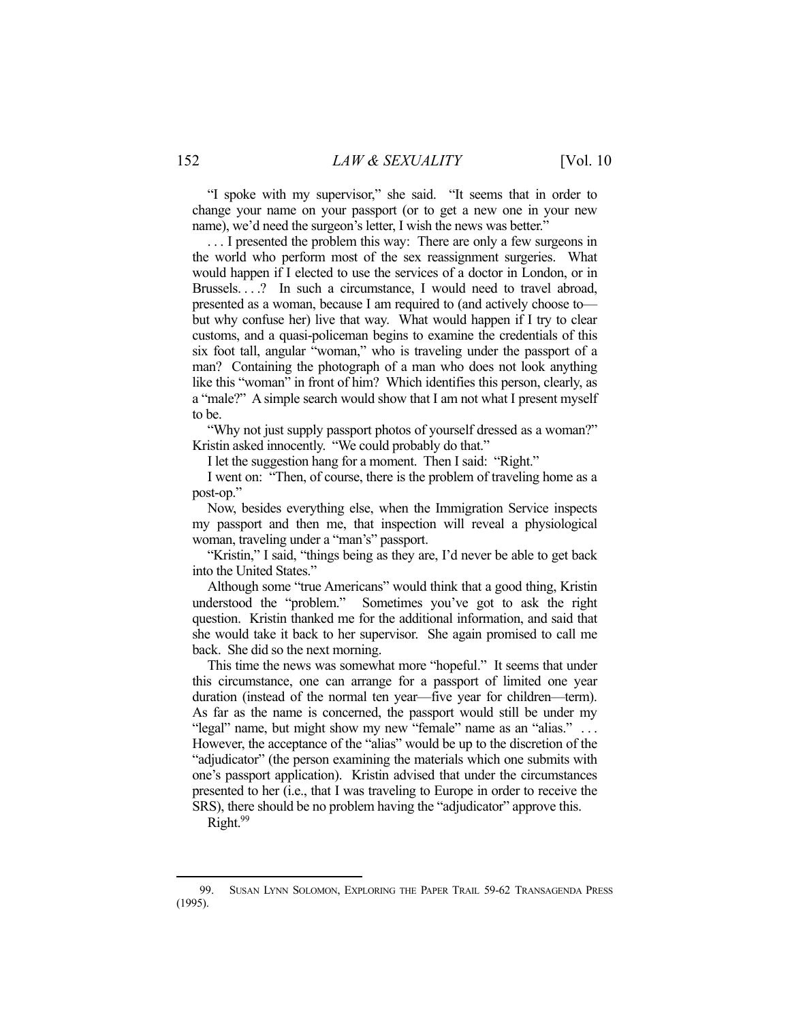"I spoke with my supervisor," she said. "It seems that in order to change your name on your passport (or to get a new one in your new name), we'd need the surgeon's letter, I wish the news was better."

 . . . I presented the problem this way: There are only a few surgeons in the world who perform most of the sex reassignment surgeries. What would happen if I elected to use the services of a doctor in London, or in Brussels. . . .? In such a circumstance, I would need to travel abroad, presented as a woman, because I am required to (and actively choose to but why confuse her) live that way. What would happen if I try to clear customs, and a quasi-policeman begins to examine the credentials of this six foot tall, angular "woman," who is traveling under the passport of a man? Containing the photograph of a man who does not look anything like this "woman" in front of him? Which identifies this person, clearly, as a "male?" A simple search would show that I am not what I present myself to be.

 "Why not just supply passport photos of yourself dressed as a woman?" Kristin asked innocently. "We could probably do that."

I let the suggestion hang for a moment. Then I said: "Right."

 I went on: "Then, of course, there is the problem of traveling home as a post-op."

 Now, besides everything else, when the Immigration Service inspects my passport and then me, that inspection will reveal a physiological woman, traveling under a "man's" passport.

 "Kristin," I said, "things being as they are, I'd never be able to get back into the United States."

 Although some "true Americans" would think that a good thing, Kristin understood the "problem." Sometimes you've got to ask the right question. Kristin thanked me for the additional information, and said that she would take it back to her supervisor. She again promised to call me back. She did so the next morning.

 This time the news was somewhat more "hopeful." It seems that under this circumstance, one can arrange for a passport of limited one year duration (instead of the normal ten year—five year for children—term). As far as the name is concerned, the passport would still be under my "legal" name, but might show my new "female" name as an "alias." ... However, the acceptance of the "alias" would be up to the discretion of the "adjudicator" (the person examining the materials which one submits with one's passport application). Kristin advised that under the circumstances presented to her (i.e., that I was traveling to Europe in order to receive the SRS), there should be no problem having the "adjudicator" approve this.

Right.<sup>99</sup>

 <sup>99.</sup> SUSAN LYNN SOLOMON, EXPLORING THE PAPER TRAIL 59-62 TRANSAGENDA PRESS (1995).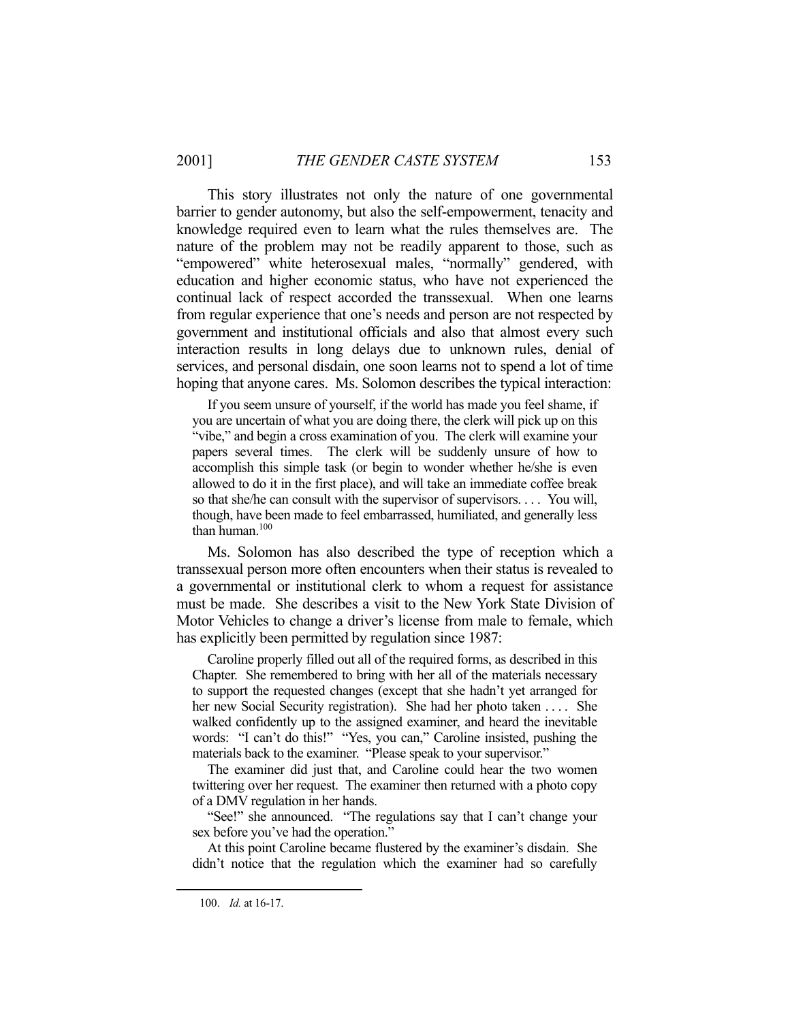This story illustrates not only the nature of one governmental barrier to gender autonomy, but also the self-empowerment, tenacity and knowledge required even to learn what the rules themselves are. The nature of the problem may not be readily apparent to those, such as "empowered" white heterosexual males, "normally" gendered, with education and higher economic status, who have not experienced the continual lack of respect accorded the transsexual. When one learns from regular experience that one's needs and person are not respected by government and institutional officials and also that almost every such interaction results in long delays due to unknown rules, denial of services, and personal disdain, one soon learns not to spend a lot of time hoping that anyone cares. Ms. Solomon describes the typical interaction:

 If you seem unsure of yourself, if the world has made you feel shame, if you are uncertain of what you are doing there, the clerk will pick up on this "vibe," and begin a cross examination of you. The clerk will examine your papers several times. The clerk will be suddenly unsure of how to accomplish this simple task (or begin to wonder whether he/she is even allowed to do it in the first place), and will take an immediate coffee break so that she/he can consult with the supervisor of supervisors. . . . You will, though, have been made to feel embarrassed, humiliated, and generally less than human.<sup>100</sup>

 Ms. Solomon has also described the type of reception which a transsexual person more often encounters when their status is revealed to a governmental or institutional clerk to whom a request for assistance must be made. She describes a visit to the New York State Division of Motor Vehicles to change a driver's license from male to female, which has explicitly been permitted by regulation since 1987:

 Caroline properly filled out all of the required forms, as described in this Chapter. She remembered to bring with her all of the materials necessary to support the requested changes (except that she hadn't yet arranged for her new Social Security registration). She had her photo taken .... She walked confidently up to the assigned examiner, and heard the inevitable words: "I can't do this!" "Yes, you can," Caroline insisted, pushing the materials back to the examiner. "Please speak to your supervisor."

 The examiner did just that, and Caroline could hear the two women twittering over her request. The examiner then returned with a photo copy of a DMV regulation in her hands.

 "See!" she announced. "The regulations say that I can't change your sex before you've had the operation."

 At this point Caroline became flustered by the examiner's disdain. She didn't notice that the regulation which the examiner had so carefully

 <sup>100.</sup> *Id.* at 16-17.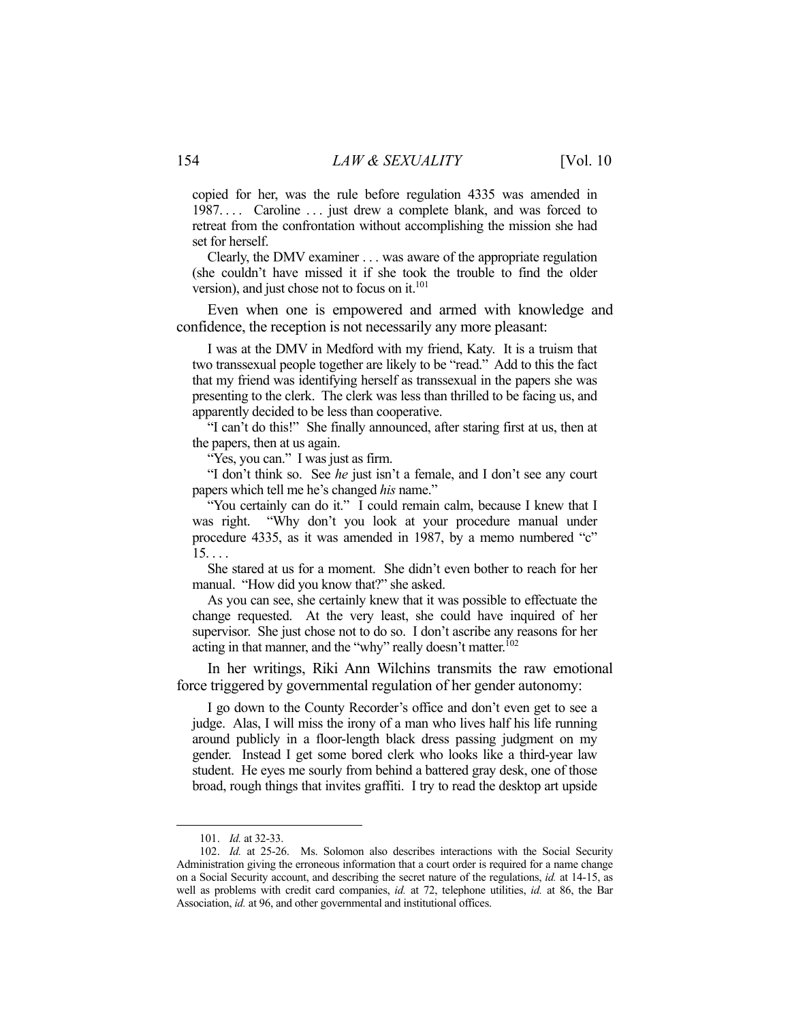copied for her, was the rule before regulation 4335 was amended in 1987.... Caroline ... just drew a complete blank, and was forced to retreat from the confrontation without accomplishing the mission she had set for herself.

 Clearly, the DMV examiner . . . was aware of the appropriate regulation (she couldn't have missed it if she took the trouble to find the older version), and just chose not to focus on it.101

 Even when one is empowered and armed with knowledge and confidence, the reception is not necessarily any more pleasant:

 I was at the DMV in Medford with my friend, Katy. It is a truism that two transsexual people together are likely to be "read." Add to this the fact that my friend was identifying herself as transsexual in the papers she was presenting to the clerk. The clerk was less than thrilled to be facing us, and apparently decided to be less than cooperative.

 "I can't do this!" She finally announced, after staring first at us, then at the papers, then at us again.

"Yes, you can." I was just as firm.

 "I don't think so. See *he* just isn't a female, and I don't see any court papers which tell me he's changed *his* name."

 "You certainly can do it." I could remain calm, because I knew that I was right. "Why don't you look at your procedure manual under procedure 4335, as it was amended in 1987, by a memo numbered "c"  $15. \ldots$ 

 She stared at us for a moment. She didn't even bother to reach for her manual. "How did you know that?" she asked.

 As you can see, she certainly knew that it was possible to effectuate the change requested. At the very least, she could have inquired of her supervisor. She just chose not to do so. I don't ascribe any reasons for her acting in that manner, and the "why" really doesn't matter. $^{102}$ 

 In her writings, Riki Ann Wilchins transmits the raw emotional force triggered by governmental regulation of her gender autonomy:

 I go down to the County Recorder's office and don't even get to see a judge. Alas, I will miss the irony of a man who lives half his life running around publicly in a floor-length black dress passing judgment on my gender. Instead I get some bored clerk who looks like a third-year law student. He eyes me sourly from behind a battered gray desk, one of those broad, rough things that invites graffiti. I try to read the desktop art upside

 <sup>101.</sup> *Id.* at 32-33.

 <sup>102.</sup> *Id.* at 25-26. Ms. Solomon also describes interactions with the Social Security Administration giving the erroneous information that a court order is required for a name change on a Social Security account, and describing the secret nature of the regulations, *id.* at 14-15, as well as problems with credit card companies, *id.* at 72, telephone utilities, *id.* at 86, the Bar Association, *id.* at 96, and other governmental and institutional offices.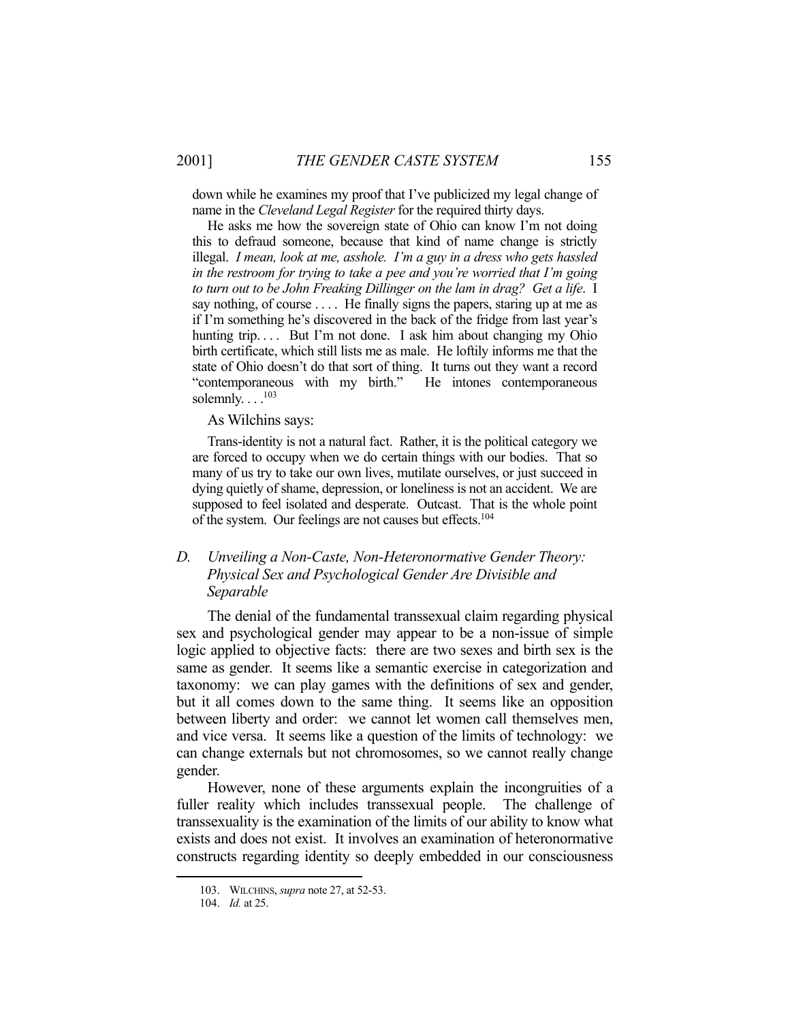down while he examines my proof that I've publicized my legal change of name in the *Cleveland Legal Register* for the required thirty days.

 He asks me how the sovereign state of Ohio can know I'm not doing this to defraud someone, because that kind of name change is strictly illegal. *I mean, look at me, asshole. I'm a guy in a dress who gets hassled in the restroom for trying to take a pee and you're worried that I'm going to turn out to be John Freaking Dillinger on the lam in drag? Get a life*. I say nothing, of course .... He finally signs the papers, staring up at me as if I'm something he's discovered in the back of the fridge from last year's hunting trip.... But I'm not done. I ask him about changing my Ohio birth certificate, which still lists me as male. He loftily informs me that the state of Ohio doesn't do that sort of thing. It turns out they want a record "contemporaneous with my birth." He intones contemporaneous solemnly.  $\ldots$ <sup>103</sup>

#### As Wilchins says:

 Trans-identity is not a natural fact. Rather, it is the political category we are forced to occupy when we do certain things with our bodies. That so many of us try to take our own lives, mutilate ourselves, or just succeed in dying quietly of shame, depression, or loneliness is not an accident. We are supposed to feel isolated and desperate. Outcast. That is the whole point of the system. Our feelings are not causes but effects.<sup>104</sup>

# *D. Unveiling a Non-Caste, Non-Heteronormative Gender Theory: Physical Sex and Psychological Gender Are Divisible and Separable*

 The denial of the fundamental transsexual claim regarding physical sex and psychological gender may appear to be a non-issue of simple logic applied to objective facts: there are two sexes and birth sex is the same as gender. It seems like a semantic exercise in categorization and taxonomy: we can play games with the definitions of sex and gender, but it all comes down to the same thing. It seems like an opposition between liberty and order: we cannot let women call themselves men, and vice versa. It seems like a question of the limits of technology: we can change externals but not chromosomes, so we cannot really change gender.

 However, none of these arguments explain the incongruities of a fuller reality which includes transsexual people. The challenge of transsexuality is the examination of the limits of our ability to know what exists and does not exist. It involves an examination of heteronormative constructs regarding identity so deeply embedded in our consciousness

 <sup>103.</sup> WILCHINS, *supra* note 27, at 52-53.

 <sup>104.</sup> *Id.* at 25.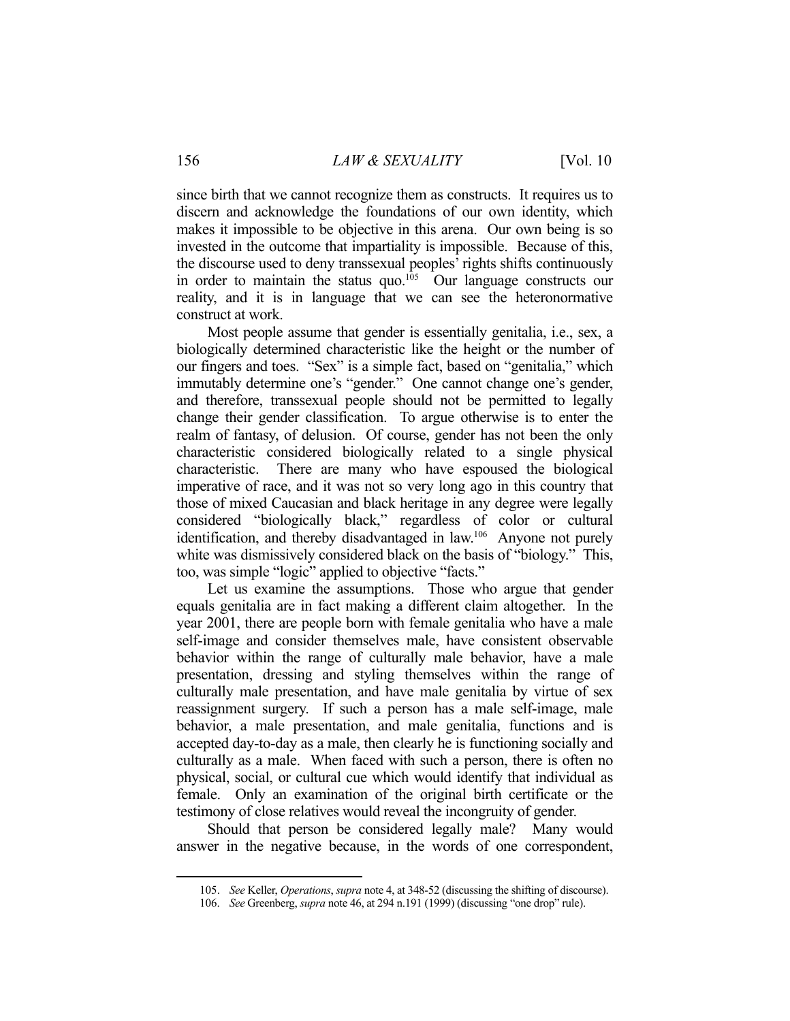since birth that we cannot recognize them as constructs. It requires us to discern and acknowledge the foundations of our own identity, which makes it impossible to be objective in this arena. Our own being is so invested in the outcome that impartiality is impossible. Because of this, the discourse used to deny transsexual peoples' rights shifts continuously in order to maintain the status quo. $105$  Our language constructs our reality, and it is in language that we can see the heteronormative construct at work.

 Most people assume that gender is essentially genitalia, i.e., sex, a biologically determined characteristic like the height or the number of our fingers and toes. "Sex" is a simple fact, based on "genitalia," which immutably determine one's "gender." One cannot change one's gender, and therefore, transsexual people should not be permitted to legally change their gender classification. To argue otherwise is to enter the realm of fantasy, of delusion. Of course, gender has not been the only characteristic considered biologically related to a single physical characteristic. There are many who have espoused the biological imperative of race, and it was not so very long ago in this country that those of mixed Caucasian and black heritage in any degree were legally considered "biologically black," regardless of color or cultural identification, and thereby disadvantaged in law.106 Anyone not purely white was dismissively considered black on the basis of "biology." This, too, was simple "logic" applied to objective "facts."

 Let us examine the assumptions. Those who argue that gender equals genitalia are in fact making a different claim altogether. In the year 2001, there are people born with female genitalia who have a male self-image and consider themselves male, have consistent observable behavior within the range of culturally male behavior, have a male presentation, dressing and styling themselves within the range of culturally male presentation, and have male genitalia by virtue of sex reassignment surgery. If such a person has a male self-image, male behavior, a male presentation, and male genitalia, functions and is accepted day-to-day as a male, then clearly he is functioning socially and culturally as a male. When faced with such a person, there is often no physical, social, or cultural cue which would identify that individual as female. Only an examination of the original birth certificate or the testimony of close relatives would reveal the incongruity of gender.

 Should that person be considered legally male? Many would answer in the negative because, in the words of one correspondent,

 <sup>105.</sup> *See* Keller, *Operations*, *supra* note 4, at 348-52 (discussing the shifting of discourse).

 <sup>106.</sup> *See* Greenberg, *supra* note 46, at 294 n.191 (1999) (discussing "one drop" rule).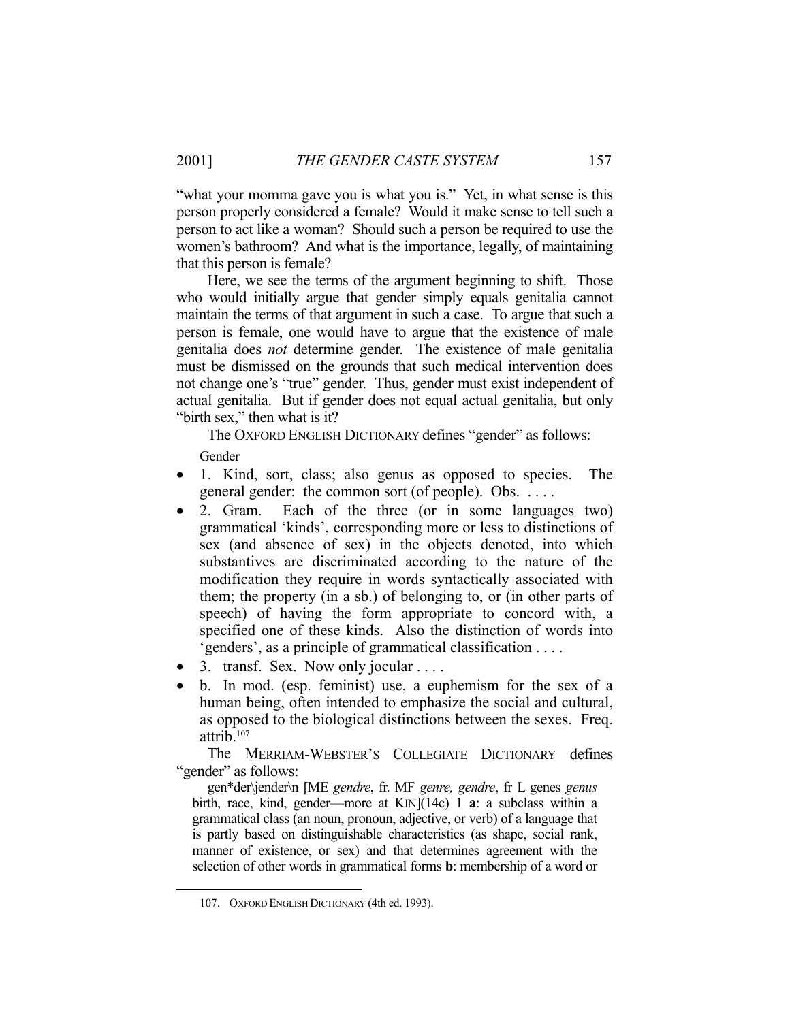"what your momma gave you is what you is." Yet, in what sense is this person properly considered a female? Would it make sense to tell such a person to act like a woman? Should such a person be required to use the women's bathroom? And what is the importance, legally, of maintaining that this person is female?

 Here, we see the terms of the argument beginning to shift. Those who would initially argue that gender simply equals genitalia cannot maintain the terms of that argument in such a case. To argue that such a person is female, one would have to argue that the existence of male genitalia does *not* determine gender. The existence of male genitalia must be dismissed on the grounds that such medical intervention does not change one's "true" gender. Thus, gender must exist independent of actual genitalia. But if gender does not equal actual genitalia, but only "birth sex," then what is it?

The OXFORD ENGLISH DICTIONARY defines "gender" as follows:

Gender

1

- 1. Kind, sort, class; also genus as opposed to species. The general gender: the common sort (of people). Obs. . . . .
- 2. Gram. Each of the three (or in some languages two) grammatical 'kinds', corresponding more or less to distinctions of sex (and absence of sex) in the objects denoted, into which substantives are discriminated according to the nature of the modification they require in words syntactically associated with them; the property (in a sb.) of belonging to, or (in other parts of speech) of having the form appropriate to concord with, a specified one of these kinds. Also the distinction of words into 'genders', as a principle of grammatical classification . . . .
- 3. transf. Sex. Now only jocular . . . .
- b. In mod. (esp. feminist) use, a euphemism for the sex of a human being, often intended to emphasize the social and cultural, as opposed to the biological distinctions between the sexes. Freq. attrib<sup>107</sup>

 The MERRIAM-WEBSTER'S COLLEGIATE DICTIONARY defines "gender" as follows:

 gen\*der\jender\n [ME *gendre*, fr. MF *genre, gendre*, fr L genes *genus* birth, race, kind, gender—more at KIN](14c) 1 **a**: a subclass within a grammatical class (an noun, pronoun, adjective, or verb) of a language that is partly based on distinguishable characteristics (as shape, social rank, manner of existence, or sex) and that determines agreement with the selection of other words in grammatical forms **b**: membership of a word or

 <sup>107.</sup> OXFORD ENGLISH DICTIONARY (4th ed. 1993).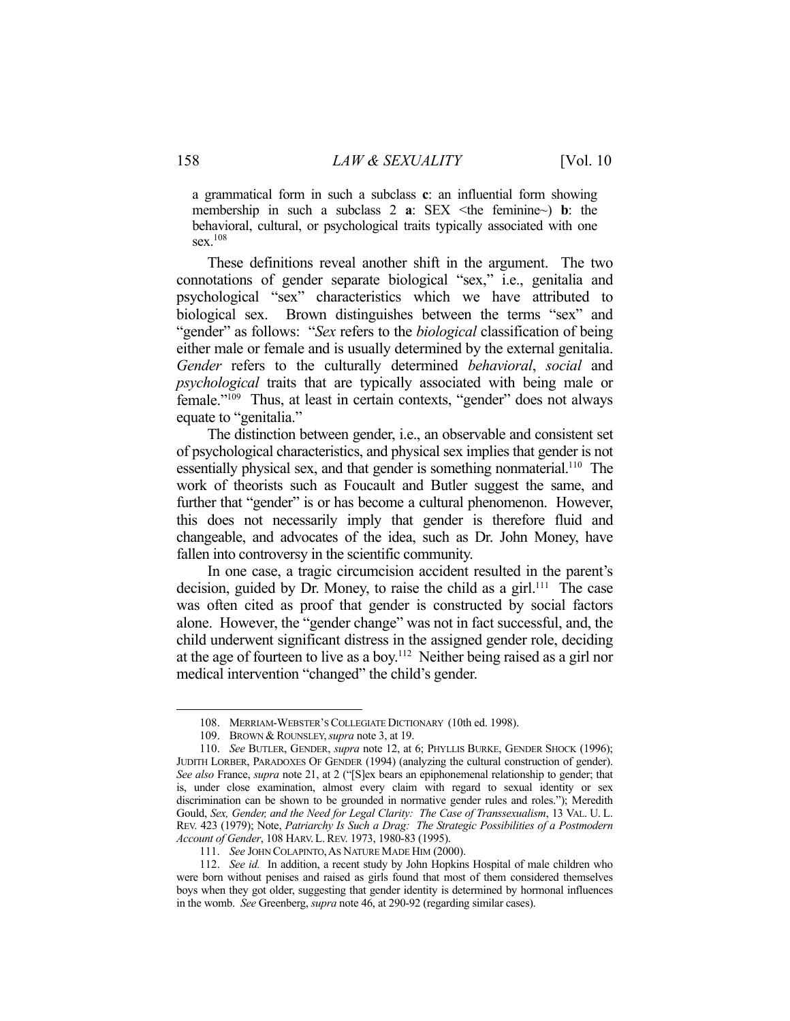a grammatical form in such a subclass **c**: an influential form showing membership in such a subclass 2 **a**: SEX  $\leq$  the feminine $\sim$ ) **b**: the behavioral, cultural, or psychological traits typically associated with one sex.108

 These definitions reveal another shift in the argument. The two connotations of gender separate biological "sex," i.e., genitalia and psychological "sex" characteristics which we have attributed to biological sex. Brown distinguishes between the terms "sex" and "gender" as follows: "*Sex* refers to the *biological* classification of being either male or female and is usually determined by the external genitalia. *Gender* refers to the culturally determined *behavioral*, *social* and *psychological* traits that are typically associated with being male or female."109 Thus, at least in certain contexts, "gender" does not always equate to "genitalia."

 The distinction between gender, i.e., an observable and consistent set of psychological characteristics, and physical sex implies that gender is not essentially physical sex, and that gender is something nonmaterial.<sup>110</sup> The work of theorists such as Foucault and Butler suggest the same, and further that "gender" is or has become a cultural phenomenon. However, this does not necessarily imply that gender is therefore fluid and changeable, and advocates of the idea, such as Dr. John Money, have fallen into controversy in the scientific community.

 In one case, a tragic circumcision accident resulted in the parent's decision, guided by Dr. Money, to raise the child as a girl.<sup>111</sup> The case was often cited as proof that gender is constructed by social factors alone. However, the "gender change" was not in fact successful, and, the child underwent significant distress in the assigned gender role, deciding at the age of fourteen to live as a boy.112 Neither being raised as a girl nor medical intervention "changed" the child's gender.

 <sup>108.</sup> MERRIAM-WEBSTER'S COLLEGIATE DICTIONARY (10th ed. 1998).

 <sup>109.</sup> BROWN & ROUNSLEY,*supra* note 3, at 19.

 <sup>110.</sup> *See* BUTLER, GENDER, *supra* note 12, at 6; PHYLLIS BURKE, GENDER SHOCK (1996); JUDITH LORBER, PARADOXES OF GENDER (1994) (analyzing the cultural construction of gender). *See also* France, *supra* note 21, at 2 ("[S]ex bears an epiphonemenal relationship to gender; that is, under close examination, almost every claim with regard to sexual identity or sex discrimination can be shown to be grounded in normative gender rules and roles."); Meredith Gould, *Sex, Gender, and the Need for Legal Clarity: The Case of Transsexualism*, 13 VAL. U. L. REV. 423 (1979); Note, *Patriarchy Is Such a Drag: The Strategic Possibilities of a Postmodern Account of Gender*, 108 HARV. L. REV. 1973, 1980-83 (1995).

 <sup>111.</sup> *See* JOHN COLAPINTO,AS NATURE MADE HIM (2000).

 <sup>112.</sup> *See id.* In addition, a recent study by John Hopkins Hospital of male children who were born without penises and raised as girls found that most of them considered themselves boys when they got older, suggesting that gender identity is determined by hormonal influences in the womb. *See* Greenberg, *supra* note 46, at 290-92 (regarding similar cases).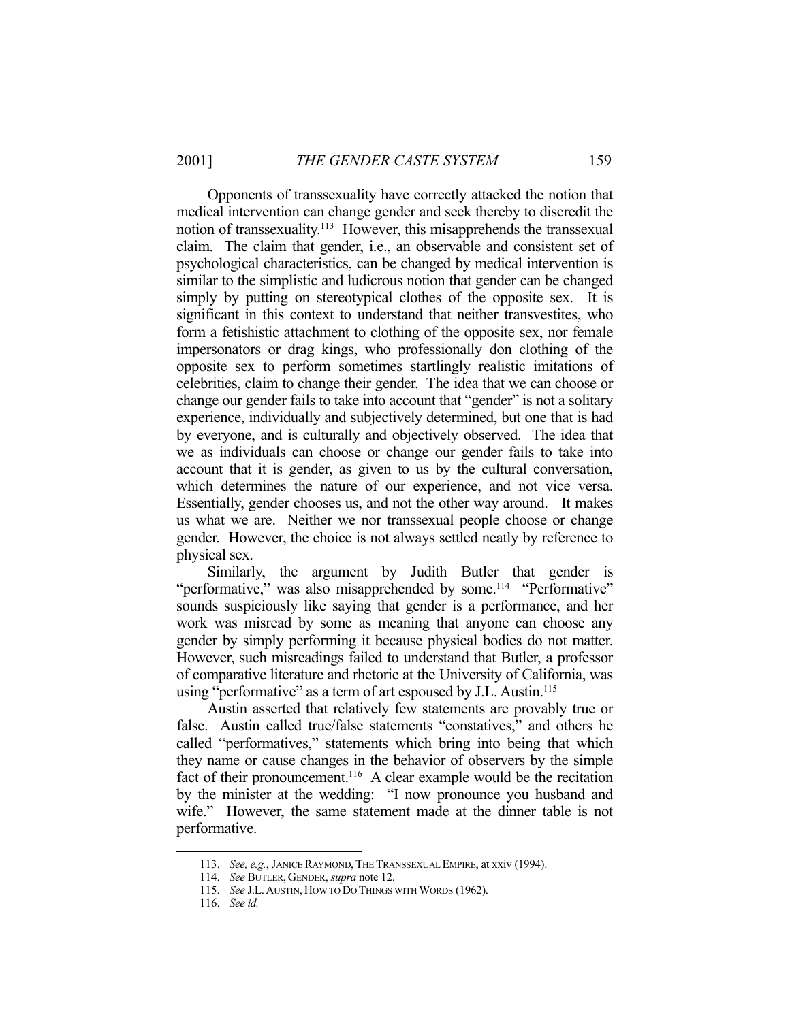Opponents of transsexuality have correctly attacked the notion that medical intervention can change gender and seek thereby to discredit the notion of transsexuality.<sup>113</sup> However, this misapprehends the transsexual claim. The claim that gender, i.e., an observable and consistent set of psychological characteristics, can be changed by medical intervention is similar to the simplistic and ludicrous notion that gender can be changed simply by putting on stereotypical clothes of the opposite sex. It is significant in this context to understand that neither transvestites, who form a fetishistic attachment to clothing of the opposite sex, nor female impersonators or drag kings, who professionally don clothing of the opposite sex to perform sometimes startlingly realistic imitations of celebrities, claim to change their gender. The idea that we can choose or change our gender fails to take into account that "gender" is not a solitary experience, individually and subjectively determined, but one that is had by everyone, and is culturally and objectively observed. The idea that we as individuals can choose or change our gender fails to take into account that it is gender, as given to us by the cultural conversation, which determines the nature of our experience, and not vice versa. Essentially, gender chooses us, and not the other way around. It makes us what we are. Neither we nor transsexual people choose or change gender. However, the choice is not always settled neatly by reference to physical sex.

 Similarly, the argument by Judith Butler that gender is "performative," was also misapprehended by some.<sup>114</sup> "Performative" sounds suspiciously like saying that gender is a performance, and her work was misread by some as meaning that anyone can choose any gender by simply performing it because physical bodies do not matter. However, such misreadings failed to understand that Butler, a professor of comparative literature and rhetoric at the University of California, was using "performative" as a term of art espoused by J.L. Austin.<sup>115</sup>

 Austin asserted that relatively few statements are provably true or false. Austin called true/false statements "constatives," and others he called "performatives," statements which bring into being that which they name or cause changes in the behavior of observers by the simple fact of their pronouncement.<sup>116</sup> A clear example would be the recitation by the minister at the wedding: "I now pronounce you husband and wife." However, the same statement made at the dinner table is not performative.

 <sup>113.</sup> *See, e.g.*, JANICE RAYMOND,THE TRANSSEXUAL EMPIRE, at xxiv (1994).

 <sup>114.</sup> *See* BUTLER, GENDER, *supra* note 12.

 <sup>115.</sup> *See* J.L.AUSTIN, HOW TO DO THINGS WITH WORDS (1962).

 <sup>116.</sup> *See id.*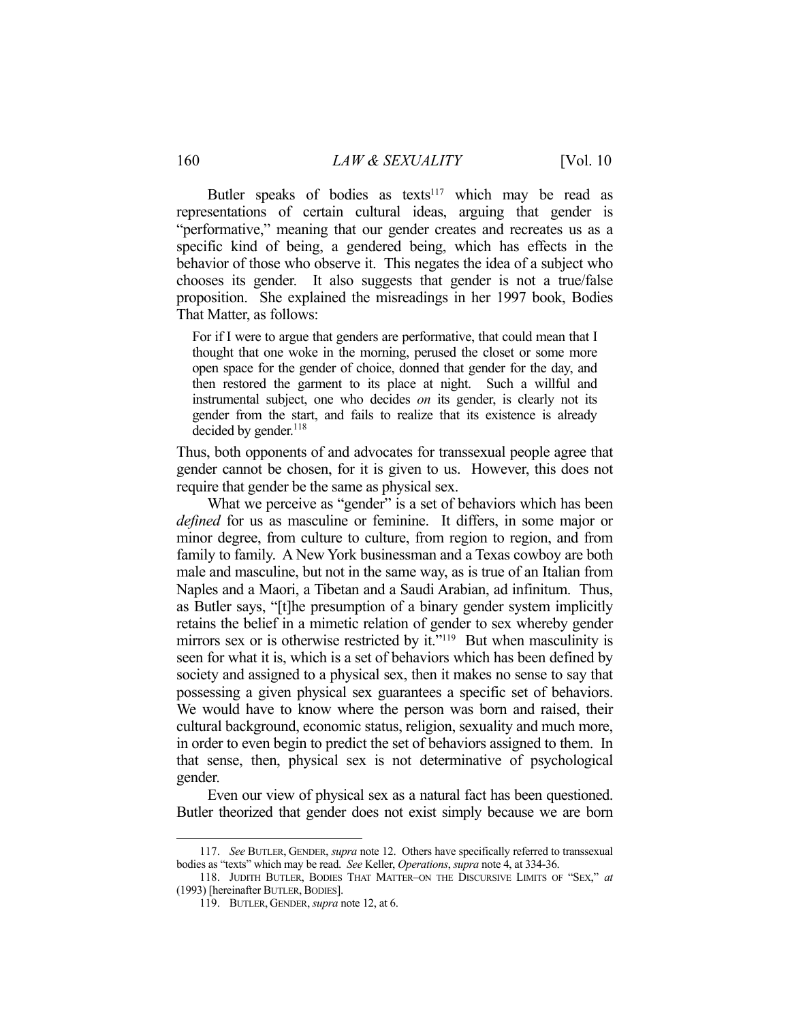Butler speaks of bodies as texts<sup>117</sup> which may be read as representations of certain cultural ideas, arguing that gender is "performative," meaning that our gender creates and recreates us as a specific kind of being, a gendered being, which has effects in the behavior of those who observe it. This negates the idea of a subject who chooses its gender. It also suggests that gender is not a true/false proposition. She explained the misreadings in her 1997 book, Bodies That Matter, as follows:

For if I were to argue that genders are performative, that could mean that I thought that one woke in the morning, perused the closet or some more open space for the gender of choice, donned that gender for the day, and then restored the garment to its place at night. Such a willful and instrumental subject, one who decides *on* its gender, is clearly not its gender from the start, and fails to realize that its existence is already decided by gender.<sup>118</sup>

Thus, both opponents of and advocates for transsexual people agree that gender cannot be chosen, for it is given to us. However, this does not require that gender be the same as physical sex.

What we perceive as "gender" is a set of behaviors which has been *defined* for us as masculine or feminine. It differs, in some major or minor degree, from culture to culture, from region to region, and from family to family. A New York businessman and a Texas cowboy are both male and masculine, but not in the same way, as is true of an Italian from Naples and a Maori, a Tibetan and a Saudi Arabian, ad infinitum. Thus, as Butler says, "[t]he presumption of a binary gender system implicitly retains the belief in a mimetic relation of gender to sex whereby gender mirrors sex or is otherwise restricted by it."<sup>119</sup> But when masculinity is seen for what it is, which is a set of behaviors which has been defined by society and assigned to a physical sex, then it makes no sense to say that possessing a given physical sex guarantees a specific set of behaviors. We would have to know where the person was born and raised, their cultural background, economic status, religion, sexuality and much more, in order to even begin to predict the set of behaviors assigned to them. In that sense, then, physical sex is not determinative of psychological gender.

 Even our view of physical sex as a natural fact has been questioned. Butler theorized that gender does not exist simply because we are born

 <sup>117.</sup> *See* BUTLER, GENDER, *supra* note 12. Others have specifically referred to transsexual bodies as "texts" which may be read. *See* Keller, *Operations*, *supra* note 4, at 334-36.

 <sup>118.</sup> JUDITH BUTLER, BODIES THAT MATTER–ON THE DISCURSIVE LIMITS OF "SEX," *at* (1993) [hereinafter BUTLER, BODIES].

 <sup>119.</sup> BUTLER, GENDER, *supra* note 12, at 6.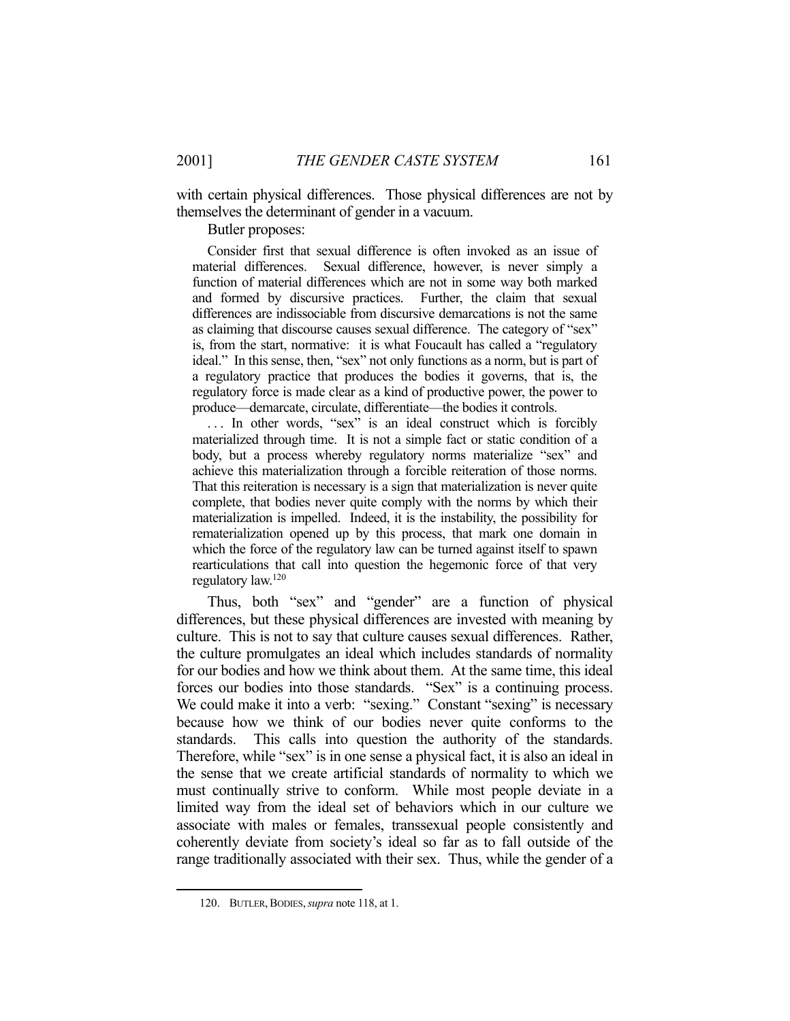with certain physical differences. Those physical differences are not by themselves the determinant of gender in a vacuum.

Butler proposes:

 Consider first that sexual difference is often invoked as an issue of material differences. Sexual difference, however, is never simply a function of material differences which are not in some way both marked and formed by discursive practices. Further, the claim that sexual differences are indissociable from discursive demarcations is not the same as claiming that discourse causes sexual difference. The category of "sex" is, from the start, normative: it is what Foucault has called a "regulatory ideal." In this sense, then, "sex" not only functions as a norm, but is part of a regulatory practice that produces the bodies it governs, that is, the regulatory force is made clear as a kind of productive power, the power to produce—demarcate, circulate, differentiate—the bodies it controls.

... In other words, "sex" is an ideal construct which is forcibly materialized through time. It is not a simple fact or static condition of a body, but a process whereby regulatory norms materialize "sex" and achieve this materialization through a forcible reiteration of those norms. That this reiteration is necessary is a sign that materialization is never quite complete, that bodies never quite comply with the norms by which their materialization is impelled. Indeed, it is the instability, the possibility for rematerialization opened up by this process, that mark one domain in which the force of the regulatory law can be turned against itself to spawn rearticulations that call into question the hegemonic force of that very regulatory law.120

 Thus, both "sex" and "gender" are a function of physical differences, but these physical differences are invested with meaning by culture. This is not to say that culture causes sexual differences. Rather, the culture promulgates an ideal which includes standards of normality for our bodies and how we think about them. At the same time, this ideal forces our bodies into those standards. "Sex" is a continuing process. We could make it into a verb: "sexing." Constant "sexing" is necessary because how we think of our bodies never quite conforms to the standards. This calls into question the authority of the standards. Therefore, while "sex" is in one sense a physical fact, it is also an ideal in the sense that we create artificial standards of normality to which we must continually strive to conform. While most people deviate in a limited way from the ideal set of behaviors which in our culture we associate with males or females, transsexual people consistently and coherently deviate from society's ideal so far as to fall outside of the range traditionally associated with their sex. Thus, while the gender of a

<sup>120.</sup> BUTLER, BODIES, *supra* note 118, at 1.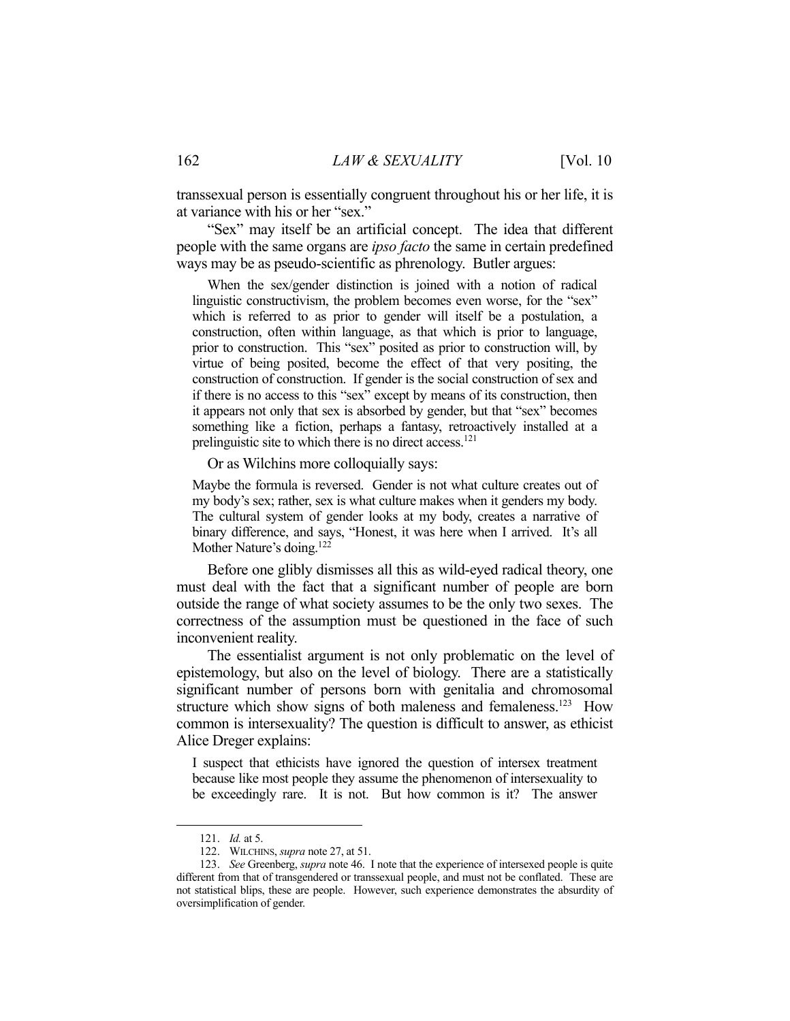transsexual person is essentially congruent throughout his or her life, it is at variance with his or her "sex."

 "Sex" may itself be an artificial concept. The idea that different people with the same organs are *ipso facto* the same in certain predefined ways may be as pseudo-scientific as phrenology. Butler argues:

 When the sex/gender distinction is joined with a notion of radical linguistic constructivism, the problem becomes even worse, for the "sex" which is referred to as prior to gender will itself be a postulation, a construction, often within language, as that which is prior to language, prior to construction. This "sex" posited as prior to construction will, by virtue of being posited, become the effect of that very positing, the construction of construction. If gender is the social construction of sex and if there is no access to this "sex" except by means of its construction, then it appears not only that sex is absorbed by gender, but that "sex" becomes something like a fiction, perhaps a fantasy, retroactively installed at a prelinguistic site to which there is no direct access.<sup>121</sup>

Or as Wilchins more colloquially says:

Maybe the formula is reversed. Gender is not what culture creates out of my body's sex; rather, sex is what culture makes when it genders my body. The cultural system of gender looks at my body, creates a narrative of binary difference, and says, "Honest, it was here when I arrived. It's all Mother Nature's doing.<sup>122</sup>

 Before one glibly dismisses all this as wild-eyed radical theory, one must deal with the fact that a significant number of people are born outside the range of what society assumes to be the only two sexes. The correctness of the assumption must be questioned in the face of such inconvenient reality.

 The essentialist argument is not only problematic on the level of epistemology, but also on the level of biology. There are a statistically significant number of persons born with genitalia and chromosomal structure which show signs of both maleness and femaleness.<sup>123</sup> How common is intersexuality? The question is difficult to answer, as ethicist Alice Dreger explains:

I suspect that ethicists have ignored the question of intersex treatment because like most people they assume the phenomenon of intersexuality to be exceedingly rare. It is not. But how common is it? The answer

 <sup>121.</sup> *Id.* at 5.

 <sup>122.</sup> WILCHINS, *supra* note 27, at 51.

 <sup>123.</sup> *See* Greenberg, *supra* note 46. I note that the experience of intersexed people is quite different from that of transgendered or transsexual people, and must not be conflated. These are not statistical blips, these are people. However, such experience demonstrates the absurdity of oversimplification of gender.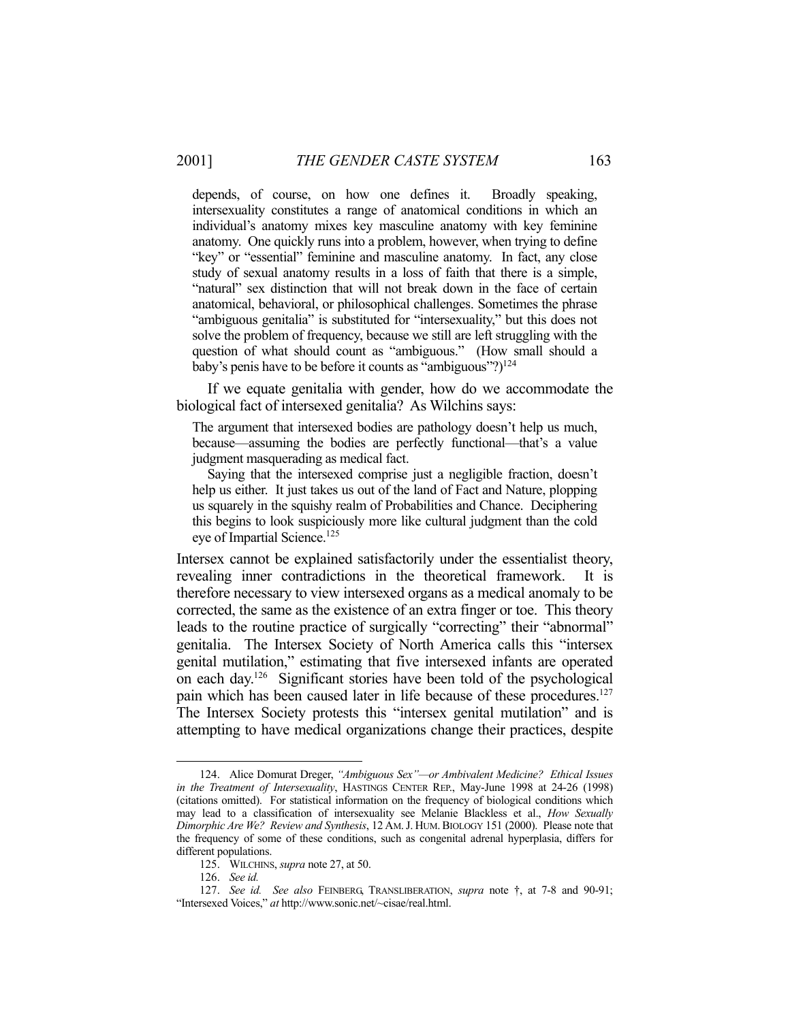depends, of course, on how one defines it. Broadly speaking, intersexuality constitutes a range of anatomical conditions in which an individual's anatomy mixes key masculine anatomy with key feminine anatomy. One quickly runs into a problem, however, when trying to define "key" or "essential" feminine and masculine anatomy. In fact, any close study of sexual anatomy results in a loss of faith that there is a simple, "natural" sex distinction that will not break down in the face of certain anatomical, behavioral, or philosophical challenges. Sometimes the phrase "ambiguous genitalia" is substituted for "intersexuality," but this does not solve the problem of frequency, because we still are left struggling with the question of what should count as "ambiguous." (How small should a baby's penis have to be before it counts as "ambiguous"?) $124$ 

 If we equate genitalia with gender, how do we accommodate the biological fact of intersexed genitalia? As Wilchins says:

The argument that intersexed bodies are pathology doesn't help us much, because—assuming the bodies are perfectly functional—that's a value judgment masquerading as medical fact.

 Saying that the intersexed comprise just a negligible fraction, doesn't help us either. It just takes us out of the land of Fact and Nature, plopping us squarely in the squishy realm of Probabilities and Chance. Deciphering this begins to look suspiciously more like cultural judgment than the cold eye of Impartial Science.<sup>125</sup>

Intersex cannot be explained satisfactorily under the essentialist theory, revealing inner contradictions in the theoretical framework. It is therefore necessary to view intersexed organs as a medical anomaly to be corrected, the same as the existence of an extra finger or toe. This theory leads to the routine practice of surgically "correcting" their "abnormal" genitalia. The Intersex Society of North America calls this "intersex genital mutilation," estimating that five intersexed infants are operated on each day.126 Significant stories have been told of the psychological pain which has been caused later in life because of these procedures.<sup>127</sup> The Intersex Society protests this "intersex genital mutilation" and is attempting to have medical organizations change their practices, despite

 <sup>124.</sup> Alice Domurat Dreger, *"Ambiguous Sex"—or Ambivalent Medicine? Ethical Issues in the Treatment of Intersexuality*, HASTINGS CENTER REP., May-June 1998 at 24-26 (1998) (citations omitted). For statistical information on the frequency of biological conditions which may lead to a classification of intersexuality see Melanie Blackless et al., *How Sexually Dimorphic Are We? Review and Synthesis*, 12 AM.J. HUM.BIOLOGY 151 (2000). Please note that the frequency of some of these conditions, such as congenital adrenal hyperplasia, differs for different populations.

 <sup>125.</sup> WILCHINS, *supra* note 27, at 50.

 <sup>126.</sup> *See id.*

 <sup>127.</sup> *See id. See also* FEINBERG, TRANSLIBERATION, *supra* note †, at 7-8 and 90-91; "Intersexed Voices," *at* http://www.sonic.net/~cisae/real.html.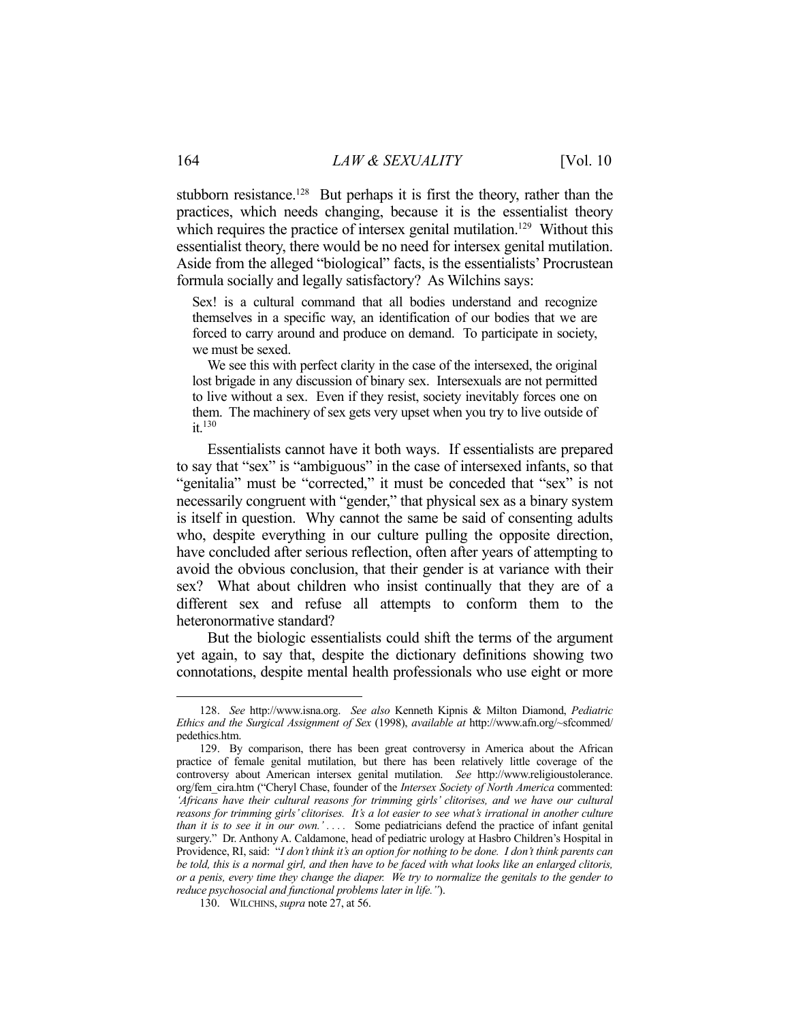stubborn resistance.<sup>128</sup> But perhaps it is first the theory, rather than the practices, which needs changing, because it is the essentialist theory which requires the practice of intersex genital mutilation.<sup>129</sup> Without this essentialist theory, there would be no need for intersex genital mutilation. Aside from the alleged "biological" facts, is the essentialists' Procrustean formula socially and legally satisfactory? As Wilchins says:

Sex! is a cultural command that all bodies understand and recognize themselves in a specific way, an identification of our bodies that we are forced to carry around and produce on demand. To participate in society, we must be sexed.

 We see this with perfect clarity in the case of the intersexed, the original lost brigade in any discussion of binary sex. Intersexuals are not permitted to live without a sex. Even if they resist, society inevitably forces one on them. The machinery of sex gets very upset when you try to live outside of  $it.<sup>130</sup>$ 

 Essentialists cannot have it both ways. If essentialists are prepared to say that "sex" is "ambiguous" in the case of intersexed infants, so that "genitalia" must be "corrected," it must be conceded that "sex" is not necessarily congruent with "gender," that physical sex as a binary system is itself in question. Why cannot the same be said of consenting adults who, despite everything in our culture pulling the opposite direction, have concluded after serious reflection, often after years of attempting to avoid the obvious conclusion, that their gender is at variance with their sex? What about children who insist continually that they are of a different sex and refuse all attempts to conform them to the heteronormative standard?

 But the biologic essentialists could shift the terms of the argument yet again, to say that, despite the dictionary definitions showing two connotations, despite mental health professionals who use eight or more

 <sup>128.</sup> *See* http://www.isna.org. *See also* Kenneth Kipnis & Milton Diamond, *Pediatric Ethics and the Surgical Assignment of Sex* (1998), *available at* http://www.afn.org/~sfcommed/ pedethics.htm.

 <sup>129.</sup> By comparison, there has been great controversy in America about the African practice of female genital mutilation, but there has been relatively little coverage of the controversy about American intersex genital mutilation. *See* http://www.religioustolerance. org/fem\_cira.htm ("Cheryl Chase, founder of the *Intersex Society of North America* commented: *'Africans have their cultural reasons for trimming girls' clitorises, and we have our cultural reasons for trimming girls' clitorises. It's a lot easier to see what's irrational in another culture than it is to see it in our own.' . . . .* Some pediatricians defend the practice of infant genital surgery." Dr. Anthony A. Caldamone, head of pediatric urology at Hasbro Children's Hospital in Providence, RI, said: "*I don't think it's an option for nothing to be done. I don't think parents can be told, this is a normal girl, and then have to be faced with what looks like an enlarged clitoris, or a penis, every time they change the diaper. We try to normalize the genitals to the gender to reduce psychosocial and functional problems later in life."*).

 <sup>130.</sup> WILCHINS, *supra* note 27, at 56.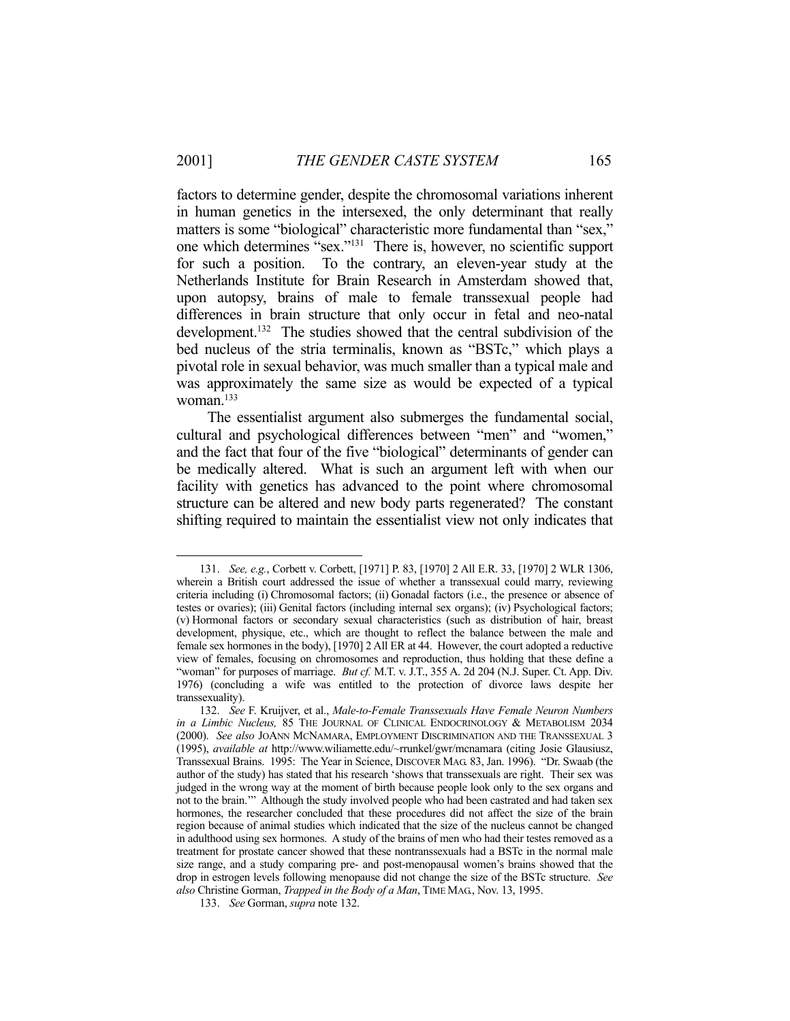1

factors to determine gender, despite the chromosomal variations inherent in human genetics in the intersexed, the only determinant that really matters is some "biological" characteristic more fundamental than "sex," one which determines "sex."131 There is, however, no scientific support for such a position. To the contrary, an eleven-year study at the Netherlands Institute for Brain Research in Amsterdam showed that, upon autopsy, brains of male to female transsexual people had differences in brain structure that only occur in fetal and neo-natal development.<sup>132</sup> The studies showed that the central subdivision of the bed nucleus of the stria terminalis, known as "BSTc," which plays a pivotal role in sexual behavior, was much smaller than a typical male and was approximately the same size as would be expected of a typical woman. $133$ 

 The essentialist argument also submerges the fundamental social, cultural and psychological differences between "men" and "women," and the fact that four of the five "biological" determinants of gender can be medically altered. What is such an argument left with when our facility with genetics has advanced to the point where chromosomal structure can be altered and new body parts regenerated? The constant shifting required to maintain the essentialist view not only indicates that

 <sup>131.</sup> *See, e.g.*, Corbett v. Corbett, [1971] P. 83, [1970] 2 All E.R. 33, [1970] 2 WLR 1306, wherein a British court addressed the issue of whether a transsexual could marry, reviewing criteria including (i) Chromosomal factors; (ii) Gonadal factors (i.e., the presence or absence of testes or ovaries); (iii) Genital factors (including internal sex organs); (iv) Psychological factors; (v) Hormonal factors or secondary sexual characteristics (such as distribution of hair, breast development, physique, etc., which are thought to reflect the balance between the male and female sex hormones in the body), [1970] 2 All ER at 44. However, the court adopted a reductive view of females, focusing on chromosomes and reproduction, thus holding that these define a "woman" for purposes of marriage. *But cf.* M.T. v. J.T., 355 A. 2d 204 (N.J. Super. Ct. App. Div. 1976) (concluding a wife was entitled to the protection of divorce laws despite her transsexuality).

 <sup>132.</sup> *See* F. Kruijver, et al., *Male-to-Female Transsexuals Have Female Neuron Numbers in a Limbic Nucleus,* 85 THE JOURNAL OF CLINICAL ENDOCRINOLOGY & METABOLISM 2034 (2000). *See also* JOANN MCNAMARA, EMPLOYMENT DISCRIMINATION AND THE TRANSSEXUAL 3 (1995), *available at* http://www.wiliamette.edu/~rrunkel/gwr/mcnamara (citing Josie Glausiusz, Transsexual Brains. 1995: The Year in Science, DISCOVER MAG. 83, Jan. 1996). "Dr. Swaab (the author of the study) has stated that his research 'shows that transsexuals are right. Their sex was judged in the wrong way at the moment of birth because people look only to the sex organs and not to the brain.'" Although the study involved people who had been castrated and had taken sex hormones, the researcher concluded that these procedures did not affect the size of the brain region because of animal studies which indicated that the size of the nucleus cannot be changed in adulthood using sex hormones. A study of the brains of men who had their testes removed as a treatment for prostate cancer showed that these nontranssexuals had a BSTc in the normal male size range, and a study comparing pre- and post-menopausal women's brains showed that the drop in estrogen levels following menopause did not change the size of the BSTc structure. *See also* Christine Gorman, *Trapped in the Body of a Man*, TIME MAG., Nov. 13, 1995.

 <sup>133.</sup> *See* Gorman, *supra* note 132.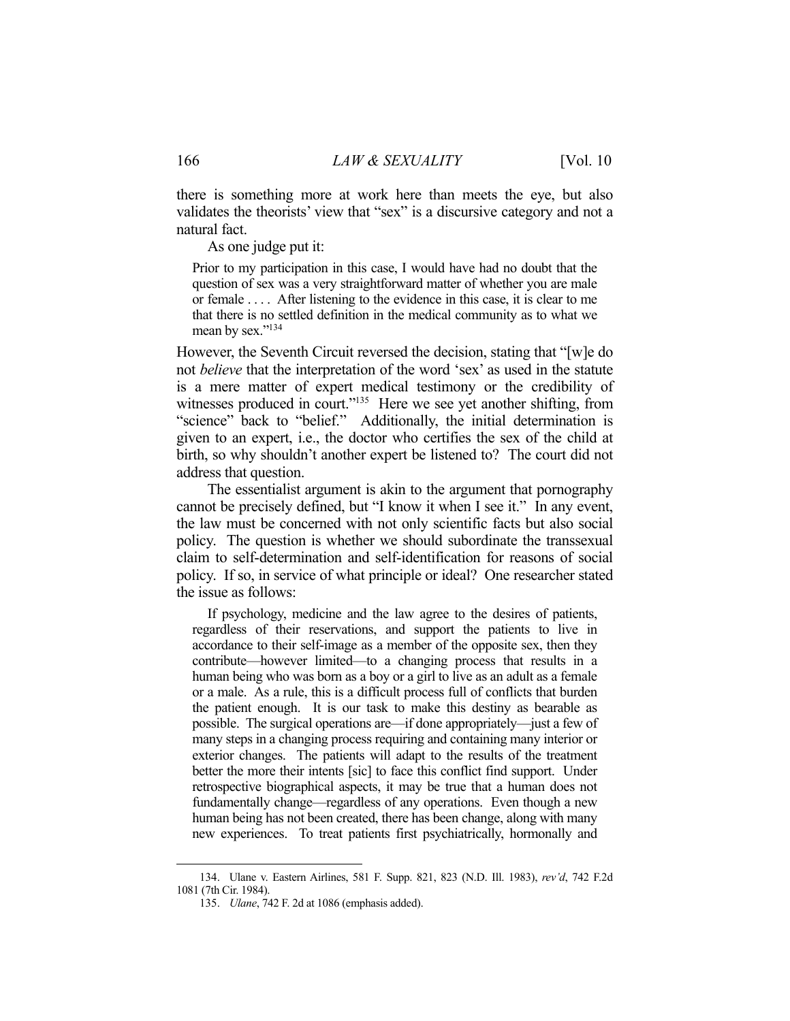there is something more at work here than meets the eye, but also validates the theorists' view that "sex" is a discursive category and not a natural fact.

As one judge put it:

Prior to my participation in this case, I would have had no doubt that the question of sex was a very straightforward matter of whether you are male or female . . . . After listening to the evidence in this case, it is clear to me that there is no settled definition in the medical community as to what we mean by sex."<sup>134</sup>

However, the Seventh Circuit reversed the decision, stating that "[w]e do not *believe* that the interpretation of the word 'sex' as used in the statute is a mere matter of expert medical testimony or the credibility of witnesses produced in court."<sup>135</sup> Here we see yet another shifting, from "science" back to "belief." Additionally, the initial determination is given to an expert, i.e., the doctor who certifies the sex of the child at birth, so why shouldn't another expert be listened to? The court did not address that question.

 The essentialist argument is akin to the argument that pornography cannot be precisely defined, but "I know it when I see it." In any event, the law must be concerned with not only scientific facts but also social policy. The question is whether we should subordinate the transsexual claim to self-determination and self-identification for reasons of social policy. If so, in service of what principle or ideal? One researcher stated the issue as follows:

 If psychology, medicine and the law agree to the desires of patients, regardless of their reservations, and support the patients to live in accordance to their self-image as a member of the opposite sex, then they contribute—however limited—to a changing process that results in a human being who was born as a boy or a girl to live as an adult as a female or a male. As a rule, this is a difficult process full of conflicts that burden the patient enough. It is our task to make this destiny as bearable as possible. The surgical operations are—if done appropriately—just a few of many steps in a changing process requiring and containing many interior or exterior changes. The patients will adapt to the results of the treatment better the more their intents [sic] to face this conflict find support. Under retrospective biographical aspects, it may be true that a human does not fundamentally change—regardless of any operations. Even though a new human being has not been created, there has been change, along with many new experiences. To treat patients first psychiatrically, hormonally and

 <sup>134.</sup> Ulane v. Eastern Airlines, 581 F. Supp. 821, 823 (N.D. Ill. 1983), *rev'd*, 742 F.2d 1081 (7th Cir. 1984).

 <sup>135.</sup> *Ulane*, 742 F. 2d at 1086 (emphasis added).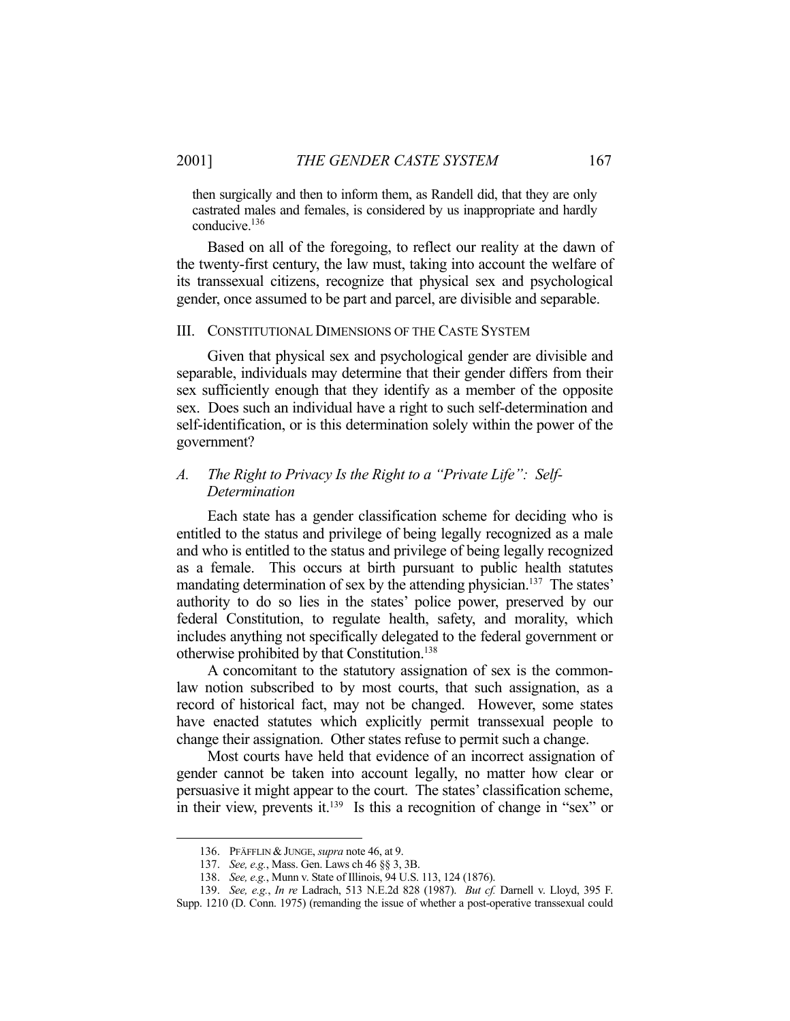then surgically and then to inform them, as Randell did, that they are only castrated males and females, is considered by us inappropriate and hardly conducive.136

 Based on all of the foregoing, to reflect our reality at the dawn of the twenty-first century, the law must, taking into account the welfare of its transsexual citizens, recognize that physical sex and psychological gender, once assumed to be part and parcel, are divisible and separable.

#### III. CONSTITUTIONAL DIMENSIONS OF THE CASTE SYSTEM

 Given that physical sex and psychological gender are divisible and separable, individuals may determine that their gender differs from their sex sufficiently enough that they identify as a member of the opposite sex. Does such an individual have a right to such self-determination and self-identification, or is this determination solely within the power of the government?

# *A. The Right to Privacy Is the Right to a "Private Life": Self-Determination*

 Each state has a gender classification scheme for deciding who is entitled to the status and privilege of being legally recognized as a male and who is entitled to the status and privilege of being legally recognized as a female. This occurs at birth pursuant to public health statutes mandating determination of sex by the attending physician.<sup>137</sup> The states' authority to do so lies in the states' police power, preserved by our federal Constitution, to regulate health, safety, and morality, which includes anything not specifically delegated to the federal government or otherwise prohibited by that Constitution.138

 A concomitant to the statutory assignation of sex is the commonlaw notion subscribed to by most courts, that such assignation, as a record of historical fact, may not be changed. However, some states have enacted statutes which explicitly permit transsexual people to change their assignation. Other states refuse to permit such a change.

 Most courts have held that evidence of an incorrect assignation of gender cannot be taken into account legally, no matter how clear or persuasive it might appear to the court. The states' classification scheme, in their view, prevents it.<sup>139</sup> Is this a recognition of change in "sex" or

 <sup>136.</sup> PFÄFFLIN & JUNGE, *supra* note 46, at 9.

 <sup>137.</sup> *See, e.g.*, Mass. Gen. Laws ch 46 §§ 3, 3B.

 <sup>138.</sup> *See, e.g.*, Munn v. State of Illinois, 94 U.S. 113, 124 (1876).

 <sup>139.</sup> *See, e.g.*, *In re* Ladrach, 513 N.E.2d 828 (1987). *But cf.* Darnell v. Lloyd, 395 F. Supp. 1210 (D. Conn. 1975) (remanding the issue of whether a post-operative transsexual could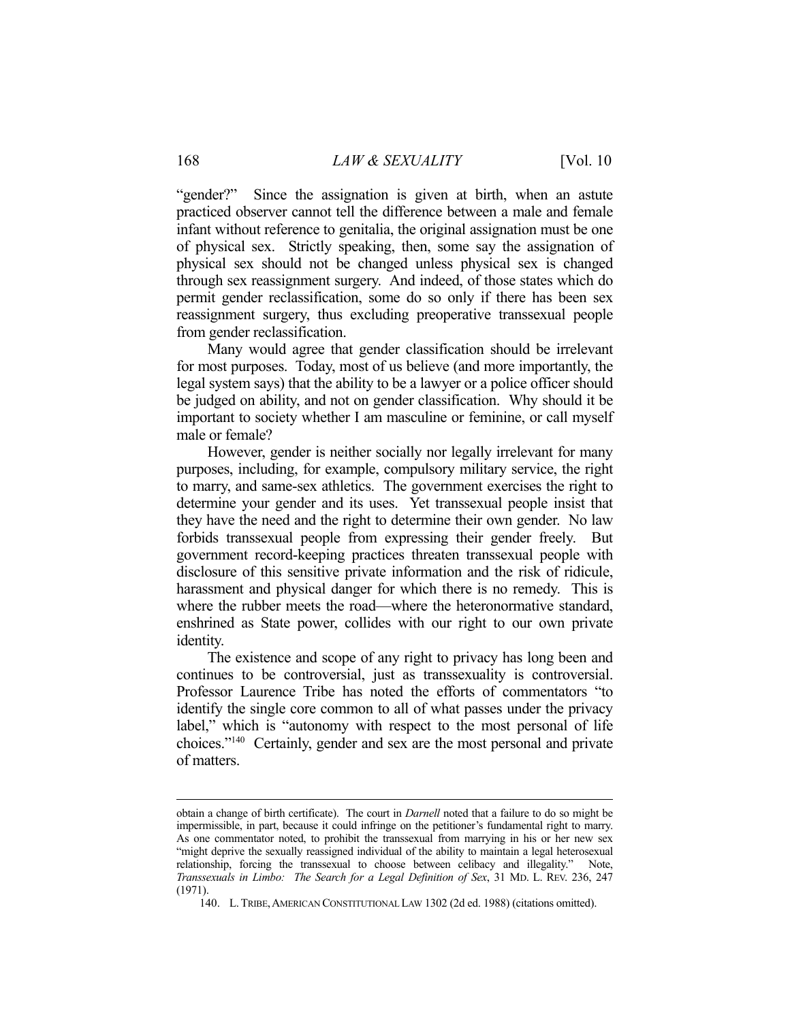"gender?" Since the assignation is given at birth, when an astute practiced observer cannot tell the difference between a male and female infant without reference to genitalia, the original assignation must be one of physical sex. Strictly speaking, then, some say the assignation of physical sex should not be changed unless physical sex is changed through sex reassignment surgery. And indeed, of those states which do permit gender reclassification, some do so only if there has been sex reassignment surgery, thus excluding preoperative transsexual people from gender reclassification.

 Many would agree that gender classification should be irrelevant for most purposes. Today, most of us believe (and more importantly, the legal system says) that the ability to be a lawyer or a police officer should be judged on ability, and not on gender classification. Why should it be important to society whether I am masculine or feminine, or call myself male or female?

 However, gender is neither socially nor legally irrelevant for many purposes, including, for example, compulsory military service, the right to marry, and same-sex athletics. The government exercises the right to determine your gender and its uses. Yet transsexual people insist that they have the need and the right to determine their own gender. No law forbids transsexual people from expressing their gender freely. But government record-keeping practices threaten transsexual people with disclosure of this sensitive private information and the risk of ridicule, harassment and physical danger for which there is no remedy. This is where the rubber meets the road—where the heteronormative standard, enshrined as State power, collides with our right to our own private identity.

 The existence and scope of any right to privacy has long been and continues to be controversial, just as transsexuality is controversial. Professor Laurence Tribe has noted the efforts of commentators "to identify the single core common to all of what passes under the privacy label," which is "autonomy with respect to the most personal of life choices."140 Certainly, gender and sex are the most personal and private of matters.

obtain a change of birth certificate). The court in *Darnell* noted that a failure to do so might be impermissible, in part, because it could infringe on the petitioner's fundamental right to marry. As one commentator noted, to prohibit the transsexual from marrying in his or her new sex "might deprive the sexually reassigned individual of the ability to maintain a legal heterosexual relationship, forcing the transsexual to choose between celibacy and illegality." Note, *Transsexuals in Limbo: The Search for a Legal Definition of Sex*, 31 MD. L. REV. 236, 247 (1971).

 <sup>140.</sup> L.TRIBE,AMERICAN CONSTITUTIONAL LAW 1302 (2d ed. 1988) (citations omitted).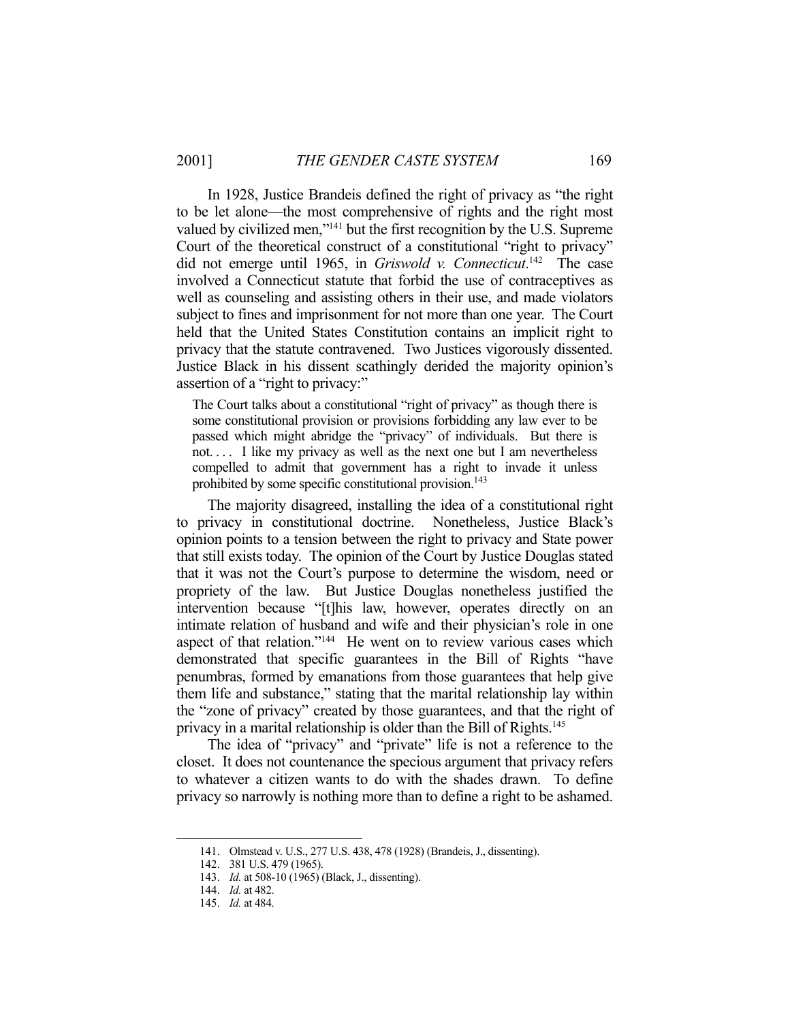In 1928, Justice Brandeis defined the right of privacy as "the right to be let alone—the most comprehensive of rights and the right most valued by civilized men,"141 but the first recognition by the U.S. Supreme Court of the theoretical construct of a constitutional "right to privacy" did not emerge until 1965, in *Griswold v. Connecticut*. 142 The case involved a Connecticut statute that forbid the use of contraceptives as well as counseling and assisting others in their use, and made violators subject to fines and imprisonment for not more than one year. The Court held that the United States Constitution contains an implicit right to privacy that the statute contravened. Two Justices vigorously dissented. Justice Black in his dissent scathingly derided the majority opinion's assertion of a "right to privacy:"

The Court talks about a constitutional "right of privacy" as though there is some constitutional provision or provisions forbidding any law ever to be passed which might abridge the "privacy" of individuals. But there is not. . . . I like my privacy as well as the next one but I am nevertheless compelled to admit that government has a right to invade it unless prohibited by some specific constitutional provision.<sup>143</sup>

 The majority disagreed, installing the idea of a constitutional right to privacy in constitutional doctrine. Nonetheless, Justice Black's opinion points to a tension between the right to privacy and State power that still exists today. The opinion of the Court by Justice Douglas stated that it was not the Court's purpose to determine the wisdom, need or propriety of the law. But Justice Douglas nonetheless justified the intervention because "[t]his law, however, operates directly on an intimate relation of husband and wife and their physician's role in one aspect of that relation."<sup>144</sup> He went on to review various cases which demonstrated that specific guarantees in the Bill of Rights "have penumbras, formed by emanations from those guarantees that help give them life and substance," stating that the marital relationship lay within the "zone of privacy" created by those guarantees, and that the right of privacy in a marital relationship is older than the Bill of Rights.145

 The idea of "privacy" and "private" life is not a reference to the closet. It does not countenance the specious argument that privacy refers to whatever a citizen wants to do with the shades drawn. To define privacy so narrowly is nothing more than to define a right to be ashamed.

 <sup>141.</sup> Olmstead v. U.S., 277 U.S. 438, 478 (1928) (Brandeis, J., dissenting).

 <sup>142. 381</sup> U.S. 479 (1965).

 <sup>143.</sup> *Id.* at 508-10 (1965) (Black, J., dissenting).

 <sup>144.</sup> *Id.* at 482.

 <sup>145.</sup> *Id.* at 484.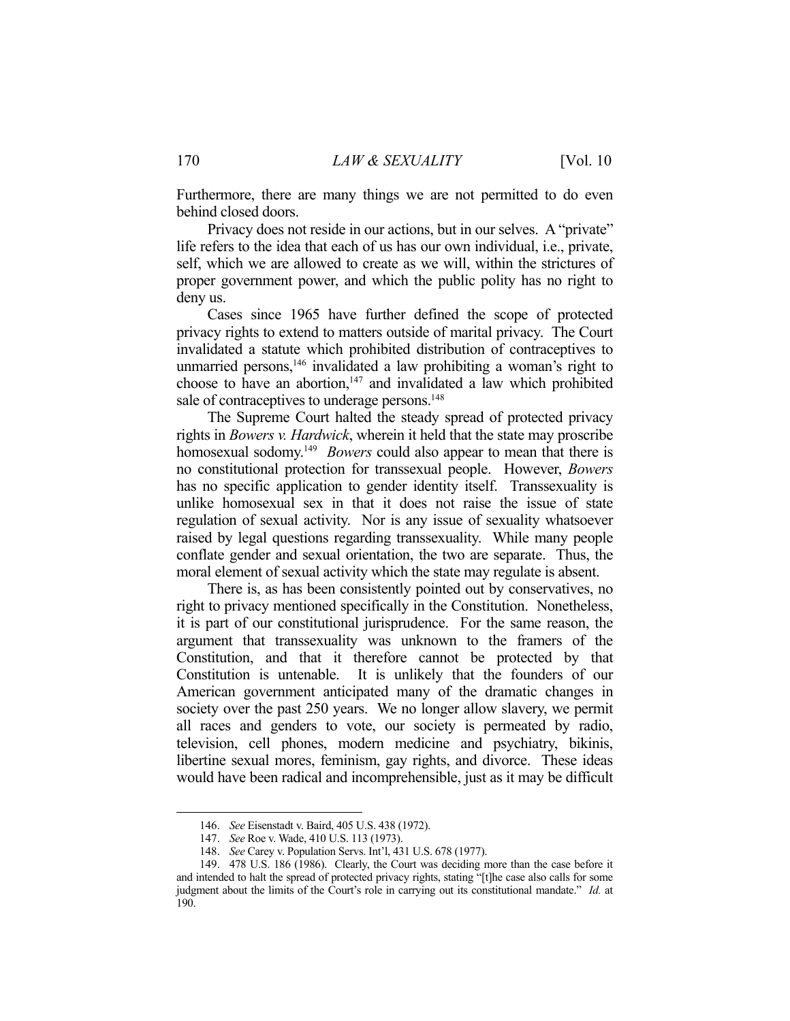Furthermore, there are many things we are not permitted to do even behind closed doors.

 Privacy does not reside in our actions, but in our selves. A "private" life refers to the idea that each of us has our own individual, i.e., private, self, which we are allowed to create as we will, within the strictures of proper government power, and which the public polity has no right to deny us.

 Cases since 1965 have further defined the scope of protected privacy rights to extend to matters outside of marital privacy. The Court invalidated a statute which prohibited distribution of contraceptives to unmarried persons, $146$  invalidated a law prohibiting a woman's right to choose to have an abortion, $147$  and invalidated a law which prohibited sale of contraceptives to underage persons.<sup>148</sup>

 The Supreme Court halted the steady spread of protected privacy rights in *Bowers v. Hardwick*, wherein it held that the state may proscribe homosexual sodomy.149 *Bowers* could also appear to mean that there is no constitutional protection for transsexual people. However, *Bowers* has no specific application to gender identity itself. Transsexuality is unlike homosexual sex in that it does not raise the issue of state regulation of sexual activity. Nor is any issue of sexuality whatsoever raised by legal questions regarding transsexuality. While many people conflate gender and sexual orientation, the two are separate. Thus, the moral element of sexual activity which the state may regulate is absent.

 There is, as has been consistently pointed out by conservatives, no right to privacy mentioned specifically in the Constitution. Nonetheless, it is part of our constitutional jurisprudence. For the same reason, the argument that transsexuality was unknown to the framers of the Constitution, and that it therefore cannot be protected by that Constitution is untenable. It is unlikely that the founders of our American government anticipated many of the dramatic changes in society over the past 250 years. We no longer allow slavery, we permit all races and genders to vote, our society is permeated by radio, television, cell phones, modern medicine and psychiatry, bikinis, libertine sexual mores, feminism, gay rights, and divorce. These ideas would have been radical and incomprehensible, just as it may be difficult

 <sup>146.</sup> *See* Eisenstadt v. Baird, 405 U.S. 438 (1972).

 <sup>147.</sup> *See* Roe v. Wade, 410 U.S. 113 (1973).

 <sup>148.</sup> *See* Carey v. Population Servs. Int'l, 431 U.S. 678 (1977).

 <sup>149. 478</sup> U.S. 186 (1986). Clearly, the Court was deciding more than the case before it and intended to halt the spread of protected privacy rights, stating "[t]he case also calls for some judgment about the limits of the Court's role in carrying out its constitutional mandate." *Id.* at 190.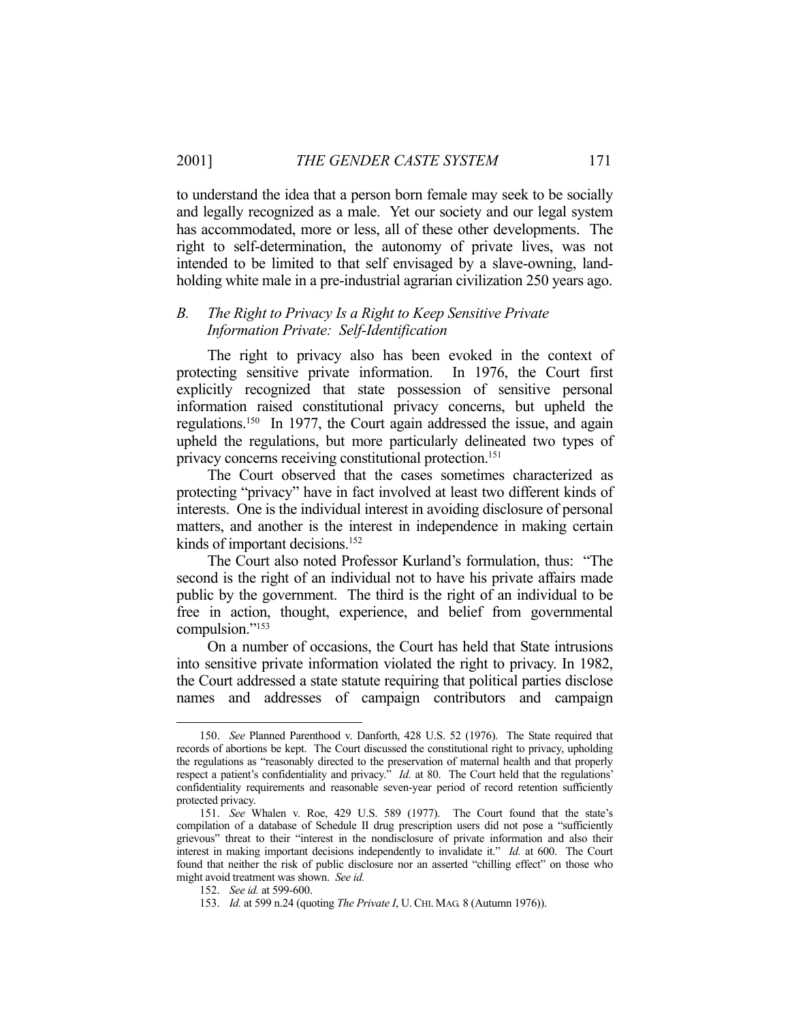to understand the idea that a person born female may seek to be socially and legally recognized as a male. Yet our society and our legal system has accommodated, more or less, all of these other developments. The right to self-determination, the autonomy of private lives, was not intended to be limited to that self envisaged by a slave-owning, landholding white male in a pre-industrial agrarian civilization 250 years ago.

# *B. The Right to Privacy Is a Right to Keep Sensitive Private Information Private: Self-Identification*

 The right to privacy also has been evoked in the context of protecting sensitive private information. In 1976, the Court first explicitly recognized that state possession of sensitive personal information raised constitutional privacy concerns, but upheld the regulations.150 In 1977, the Court again addressed the issue, and again upheld the regulations, but more particularly delineated two types of privacy concerns receiving constitutional protection.151

 The Court observed that the cases sometimes characterized as protecting "privacy" have in fact involved at least two different kinds of interests. One is the individual interest in avoiding disclosure of personal matters, and another is the interest in independence in making certain kinds of important decisions.<sup>152</sup>

 The Court also noted Professor Kurland's formulation, thus: "The second is the right of an individual not to have his private affairs made public by the government. The third is the right of an individual to be free in action, thought, experience, and belief from governmental compulsion."<sup>153</sup>

 On a number of occasions, the Court has held that State intrusions into sensitive private information violated the right to privacy. In 1982, the Court addressed a state statute requiring that political parties disclose names and addresses of campaign contributors and campaign

 <sup>150.</sup> *See* Planned Parenthood v. Danforth, 428 U.S. 52 (1976). The State required that records of abortions be kept. The Court discussed the constitutional right to privacy, upholding the regulations as "reasonably directed to the preservation of maternal health and that properly respect a patient's confidentiality and privacy.<sup>3</sup> *Id.* at 80. The Court held that the regulations' confidentiality requirements and reasonable seven-year period of record retention sufficiently protected privacy.

 <sup>151.</sup> *See* Whalen v. Roe, 429 U.S. 589 (1977). The Court found that the state's compilation of a database of Schedule II drug prescription users did not pose a "sufficiently grievous" threat to their "interest in the nondisclosure of private information and also their interest in making important decisions independently to invalidate it." *Id.* at 600. The Court found that neither the risk of public disclosure nor an asserted "chilling effect" on those who might avoid treatment was shown. *See id.*

 <sup>152.</sup> *See id.* at 599-600.

 <sup>153.</sup> *Id.* at 599 n.24 (quoting *The Private I*, U. CHI. MAG. 8 (Autumn 1976)).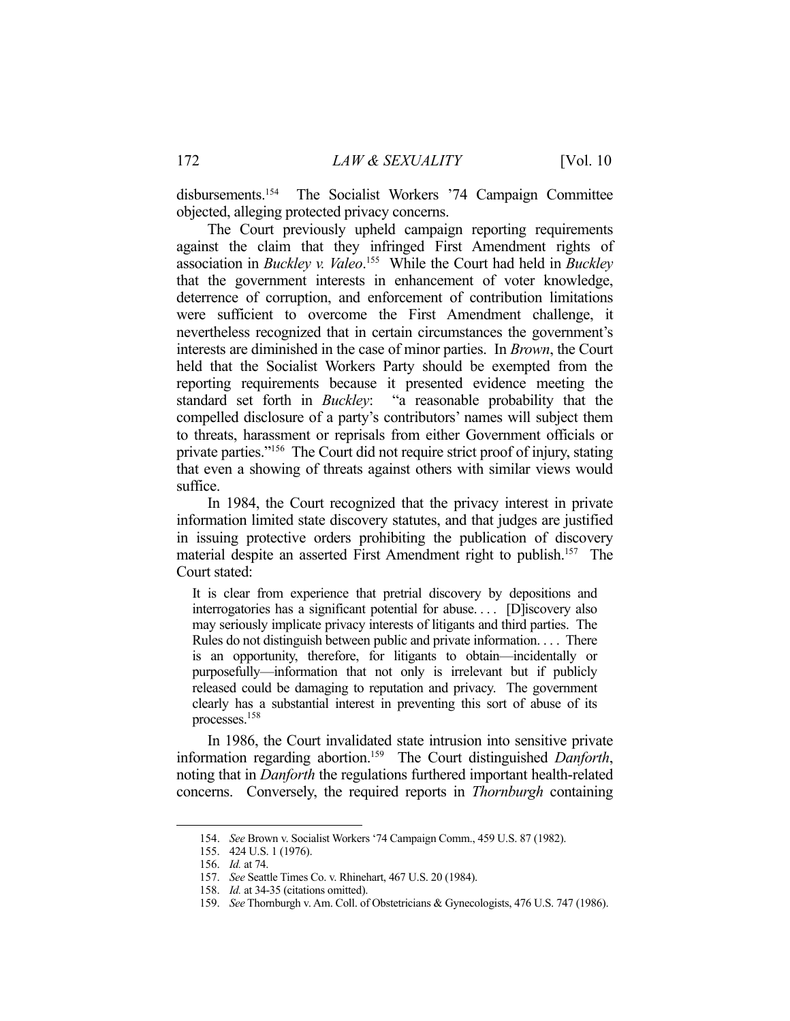disbursements.154 The Socialist Workers '74 Campaign Committee objected, alleging protected privacy concerns.

 The Court previously upheld campaign reporting requirements against the claim that they infringed First Amendment rights of association in *Buckley v. Valeo*. 155 While the Court had held in *Buckley* that the government interests in enhancement of voter knowledge, deterrence of corruption, and enforcement of contribution limitations were sufficient to overcome the First Amendment challenge, it nevertheless recognized that in certain circumstances the government's interests are diminished in the case of minor parties. In *Brown*, the Court held that the Socialist Workers Party should be exempted from the reporting requirements because it presented evidence meeting the standard set forth in *Buckley*: "a reasonable probability that the compelled disclosure of a party's contributors' names will subject them to threats, harassment or reprisals from either Government officials or private parties."156 The Court did not require strict proof of injury, stating that even a showing of threats against others with similar views would suffice.

 In 1984, the Court recognized that the privacy interest in private information limited state discovery statutes, and that judges are justified in issuing protective orders prohibiting the publication of discovery material despite an asserted First Amendment right to publish.<sup>157</sup> The Court stated:

It is clear from experience that pretrial discovery by depositions and interrogatories has a significant potential for abuse. . . . [D]iscovery also may seriously implicate privacy interests of litigants and third parties. The Rules do not distinguish between public and private information. . . . There is an opportunity, therefore, for litigants to obtain—incidentally or purposefully—information that not only is irrelevant but if publicly released could be damaging to reputation and privacy. The government clearly has a substantial interest in preventing this sort of abuse of its processes.158

 In 1986, the Court invalidated state intrusion into sensitive private information regarding abortion.159 The Court distinguished *Danforth*, noting that in *Danforth* the regulations furthered important health-related concerns. Conversely, the required reports in *Thornburgh* containing

 <sup>154.</sup> *See* Brown v. Socialist Workers '74 Campaign Comm., 459 U.S. 87 (1982).

 <sup>155. 424</sup> U.S. 1 (1976).

 <sup>156.</sup> *Id.* at 74.

 <sup>157.</sup> *See* Seattle Times Co. v. Rhinehart, 467 U.S. 20 (1984).

 <sup>158.</sup> *Id.* at 34-35 (citations omitted).

 <sup>159.</sup> *See* Thornburgh v. Am. Coll. of Obstetricians & Gynecologists, 476 U.S. 747 (1986).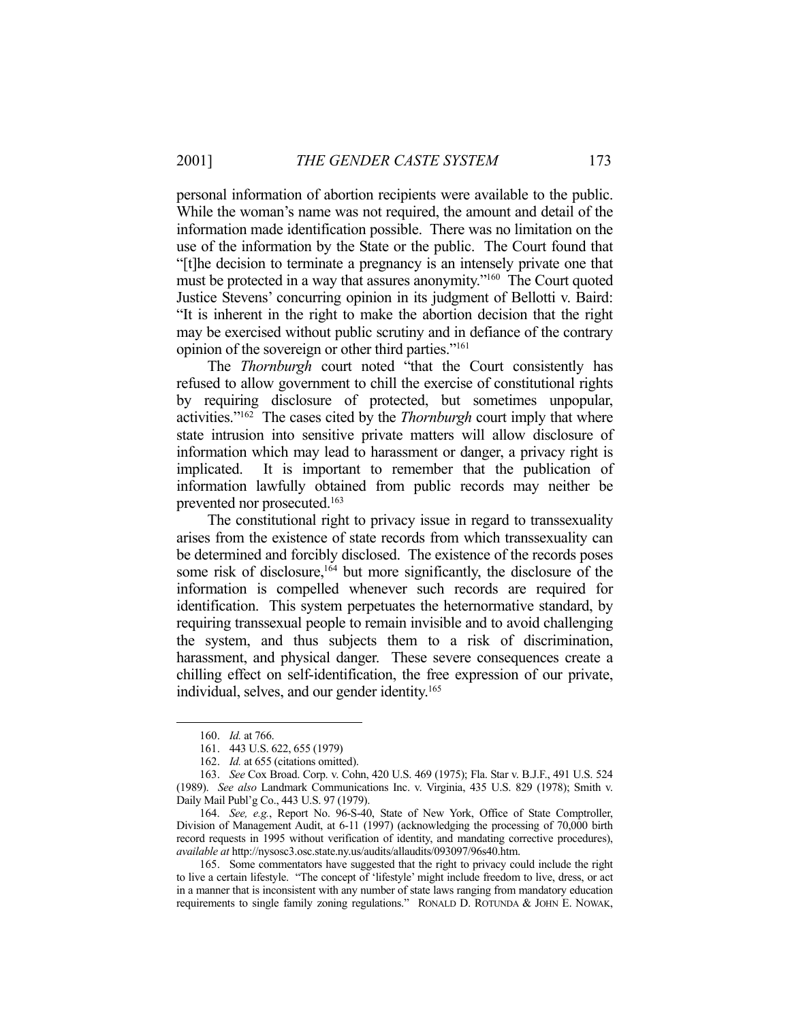personal information of abortion recipients were available to the public. While the woman's name was not required, the amount and detail of the information made identification possible. There was no limitation on the use of the information by the State or the public. The Court found that "[t]he decision to terminate a pregnancy is an intensely private one that must be protected in a way that assures anonymity."160 The Court quoted Justice Stevens' concurring opinion in its judgment of Bellotti v. Baird: "It is inherent in the right to make the abortion decision that the right may be exercised without public scrutiny and in defiance of the contrary opinion of the sovereign or other third parties."161

 The *Thornburgh* court noted "that the Court consistently has refused to allow government to chill the exercise of constitutional rights by requiring disclosure of protected, but sometimes unpopular, activities."162 The cases cited by the *Thornburgh* court imply that where state intrusion into sensitive private matters will allow disclosure of information which may lead to harassment or danger, a privacy right is implicated. It is important to remember that the publication of information lawfully obtained from public records may neither be prevented nor prosecuted.163

 The constitutional right to privacy issue in regard to transsexuality arises from the existence of state records from which transsexuality can be determined and forcibly disclosed. The existence of the records poses some risk of disclosure,<sup>164</sup> but more significantly, the disclosure of the information is compelled whenever such records are required for identification. This system perpetuates the heternormative standard, by requiring transsexual people to remain invisible and to avoid challenging the system, and thus subjects them to a risk of discrimination, harassment, and physical danger. These severe consequences create a chilling effect on self-identification, the free expression of our private, individual, selves, and our gender identity.165

 <sup>160.</sup> *Id.* at 766.

 <sup>161. 443</sup> U.S. 622, 655 (1979)

 <sup>162.</sup> *Id.* at 655 (citations omitted).

 <sup>163.</sup> *See* Cox Broad. Corp. v. Cohn, 420 U.S. 469 (1975); Fla. Star v. B.J.F., 491 U.S. 524 (1989). *See also* Landmark Communications Inc. v. Virginia, 435 U.S. 829 (1978); Smith v. Daily Mail Publ'g Co., 443 U.S. 97 (1979).

 <sup>164.</sup> *See, e.g.*, Report No. 96-S-40, State of New York, Office of State Comptroller, Division of Management Audit, at 6-11 (1997) (acknowledging the processing of 70,000 birth record requests in 1995 without verification of identity, and mandating corrective procedures), *available at* http://nysosc3.osc.state.ny.us/audits/allaudits/093097/96s40.htm.

 <sup>165.</sup> Some commentators have suggested that the right to privacy could include the right to live a certain lifestyle. "The concept of 'lifestyle' might include freedom to live, dress, or act in a manner that is inconsistent with any number of state laws ranging from mandatory education requirements to single family zoning regulations." RONALD D. ROTUNDA & JOHN E. NOWAK,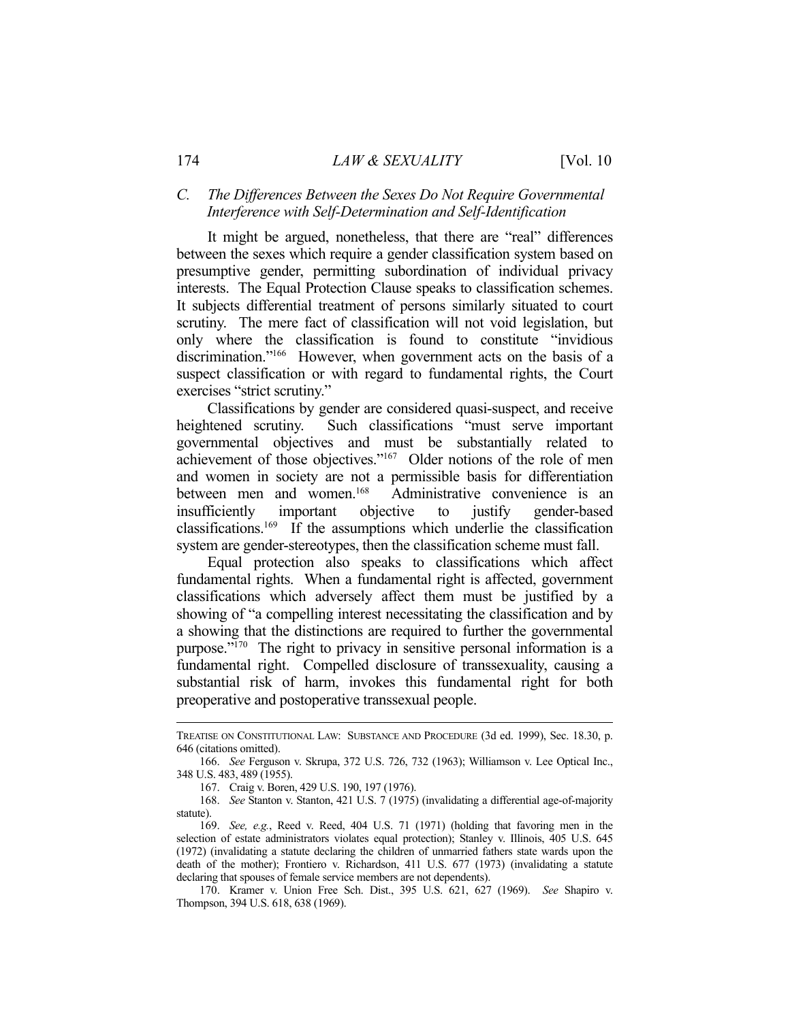#### 174 *LAW & SEXUALITY* [Vol. 10

# *C. The Differences Between the Sexes Do Not Require Governmental Interference with Self-Determination and Self-Identification*

 It might be argued, nonetheless, that there are "real" differences between the sexes which require a gender classification system based on presumptive gender, permitting subordination of individual privacy interests. The Equal Protection Clause speaks to classification schemes. It subjects differential treatment of persons similarly situated to court scrutiny. The mere fact of classification will not void legislation, but only where the classification is found to constitute "invidious discrimination."166 However, when government acts on the basis of a suspect classification or with regard to fundamental rights, the Court exercises "strict scrutiny."

 Classifications by gender are considered quasi-suspect, and receive heightened scrutiny. Such classifications "must serve important governmental objectives and must be substantially related to achievement of those objectives."167 Older notions of the role of men and women in society are not a permissible basis for differentiation between men and women.168 Administrative convenience is an insufficiently important objective to justify gender-based classifications.169 If the assumptions which underlie the classification system are gender-stereotypes, then the classification scheme must fall.

 Equal protection also speaks to classifications which affect fundamental rights. When a fundamental right is affected, government classifications which adversely affect them must be justified by a showing of "a compelling interest necessitating the classification and by a showing that the distinctions are required to further the governmental purpose."170 The right to privacy in sensitive personal information is a fundamental right. Compelled disclosure of transsexuality, causing a substantial risk of harm, invokes this fundamental right for both preoperative and postoperative transsexual people.

167. Craig v. Boren, 429 U.S. 190, 197 (1976).

TREATISE ON CONSTITUTIONAL LAW: SUBSTANCE AND PROCEDURE (3d ed. 1999), Sec. 18.30, p. 646 (citations omitted).

 <sup>166.</sup> *See* Ferguson v. Skrupa, 372 U.S. 726, 732 (1963); Williamson v. Lee Optical Inc., 348 U.S. 483, 489 (1955).

 <sup>168.</sup> *See* Stanton v. Stanton, 421 U.S. 7 (1975) (invalidating a differential age-of-majority statute).

 <sup>169.</sup> *See, e.g.*, Reed v. Reed, 404 U.S. 71 (1971) (holding that favoring men in the selection of estate administrators violates equal protection); Stanley v. Illinois, 405 U.S. 645 (1972) (invalidating a statute declaring the children of unmarried fathers state wards upon the death of the mother); Frontiero v. Richardson, 411 U.S. 677 (1973) (invalidating a statute declaring that spouses of female service members are not dependents).

 <sup>170.</sup> Kramer v. Union Free Sch. Dist., 395 U.S. 621, 627 (1969). *See* Shapiro v. Thompson, 394 U.S. 618, 638 (1969).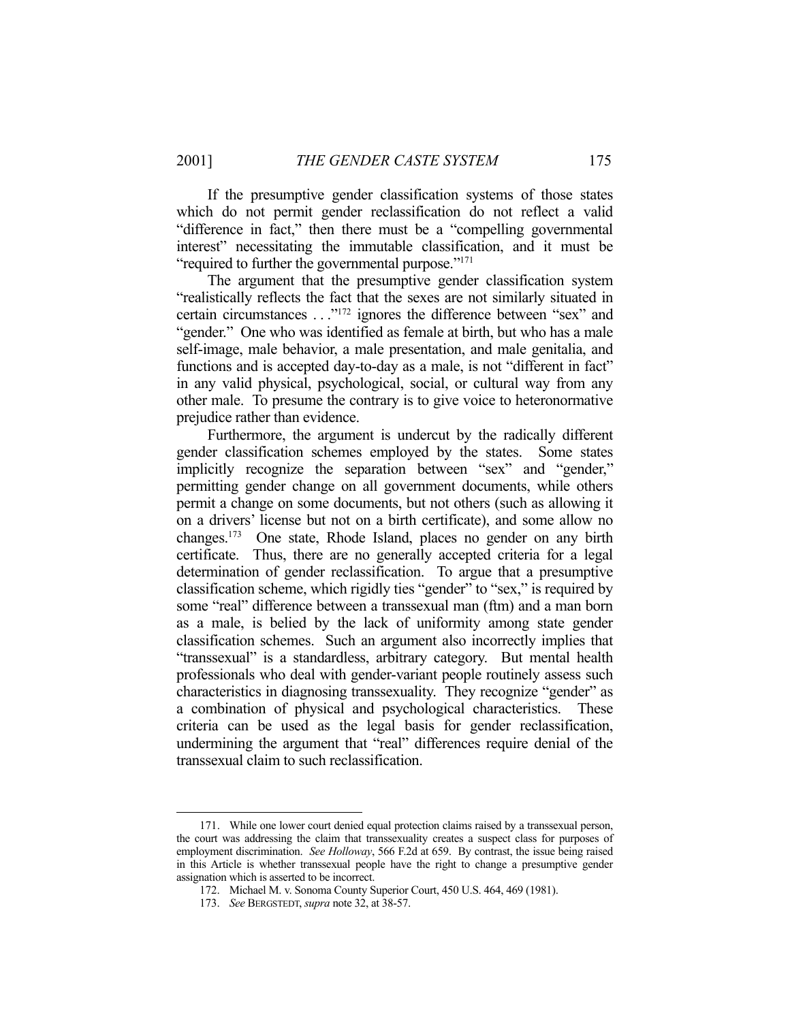1

 If the presumptive gender classification systems of those states which do not permit gender reclassification do not reflect a valid "difference in fact," then there must be a "compelling governmental interest" necessitating the immutable classification, and it must be "required to further the governmental purpose."171

 The argument that the presumptive gender classification system "realistically reflects the fact that the sexes are not similarly situated in certain circumstances . . ."172 ignores the difference between "sex" and "gender." One who was identified as female at birth, but who has a male self-image, male behavior, a male presentation, and male genitalia, and functions and is accepted day-to-day as a male, is not "different in fact" in any valid physical, psychological, social, or cultural way from any other male. To presume the contrary is to give voice to heteronormative prejudice rather than evidence.

 Furthermore, the argument is undercut by the radically different gender classification schemes employed by the states. Some states implicitly recognize the separation between "sex" and "gender," permitting gender change on all government documents, while others permit a change on some documents, but not others (such as allowing it on a drivers' license but not on a birth certificate), and some allow no changes.173 One state, Rhode Island, places no gender on any birth certificate. Thus, there are no generally accepted criteria for a legal determination of gender reclassification. To argue that a presumptive classification scheme, which rigidly ties "gender" to "sex," is required by some "real" difference between a transsexual man (ftm) and a man born as a male, is belied by the lack of uniformity among state gender classification schemes. Such an argument also incorrectly implies that "transsexual" is a standardless, arbitrary category. But mental health professionals who deal with gender-variant people routinely assess such characteristics in diagnosing transsexuality. They recognize "gender" as a combination of physical and psychological characteristics. These criteria can be used as the legal basis for gender reclassification, undermining the argument that "real" differences require denial of the transsexual claim to such reclassification.

 <sup>171.</sup> While one lower court denied equal protection claims raised by a transsexual person, the court was addressing the claim that transsexuality creates a suspect class for purposes of employment discrimination. *See Holloway*, 566 F.2d at 659. By contrast, the issue being raised in this Article is whether transsexual people have the right to change a presumptive gender assignation which is asserted to be incorrect.

 <sup>172.</sup> Michael M. v. Sonoma County Superior Court, 450 U.S. 464, 469 (1981).

 <sup>173.</sup> *See* BERGSTEDT, *supra* note 32, at 38-57.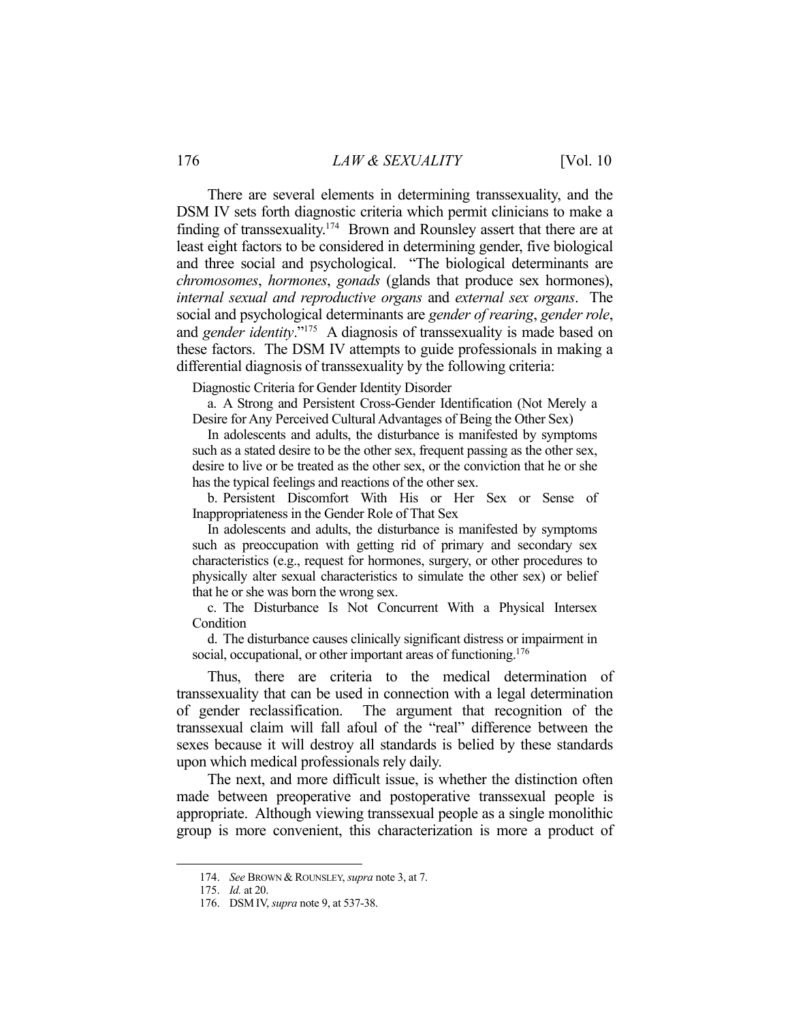There are several elements in determining transsexuality, and the DSM IV sets forth diagnostic criteria which permit clinicians to make a finding of transsexuality.174 Brown and Rounsley assert that there are at least eight factors to be considered in determining gender, five biological and three social and psychological. "The biological determinants are *chromosomes*, *hormones*, *gonads* (glands that produce sex hormones), *internal sexual and reproductive organs* and *external sex organs*. The social and psychological determinants are *gender of rearing*, *gender role*, and *gender identity*."175 A diagnosis of transsexuality is made based on these factors. The DSM IV attempts to guide professionals in making a differential diagnosis of transsexuality by the following criteria:

Diagnostic Criteria for Gender Identity Disorder

 a. A Strong and Persistent Cross-Gender Identification (Not Merely a Desire for Any Perceived Cultural Advantages of Being the Other Sex)

 In adolescents and adults, the disturbance is manifested by symptoms such as a stated desire to be the other sex, frequent passing as the other sex, desire to live or be treated as the other sex, or the conviction that he or she has the typical feelings and reactions of the other sex.

 b. Persistent Discomfort With His or Her Sex or Sense of Inappropriateness in the Gender Role of That Sex

 In adolescents and adults, the disturbance is manifested by symptoms such as preoccupation with getting rid of primary and secondary sex characteristics (e.g., request for hormones, surgery, or other procedures to physically alter sexual characteristics to simulate the other sex) or belief that he or she was born the wrong sex.

 c. The Disturbance Is Not Concurrent With a Physical Intersex Condition

 d. The disturbance causes clinically significant distress or impairment in social, occupational, or other important areas of functioning.<sup>176</sup>

 Thus, there are criteria to the medical determination of transsexuality that can be used in connection with a legal determination of gender reclassification. The argument that recognition of the transsexual claim will fall afoul of the "real" difference between the sexes because it will destroy all standards is belied by these standards upon which medical professionals rely daily.

 The next, and more difficult issue, is whether the distinction often made between preoperative and postoperative transsexual people is appropriate. Although viewing transsexual people as a single monolithic group is more convenient, this characterization is more a product of

 <sup>174.</sup> *See* BROWN & ROUNSLEY, *supra* note 3, at 7.

 <sup>175.</sup> *Id.* at 20.

 <sup>176.</sup> DSM IV, *supra* note 9, at 537-38.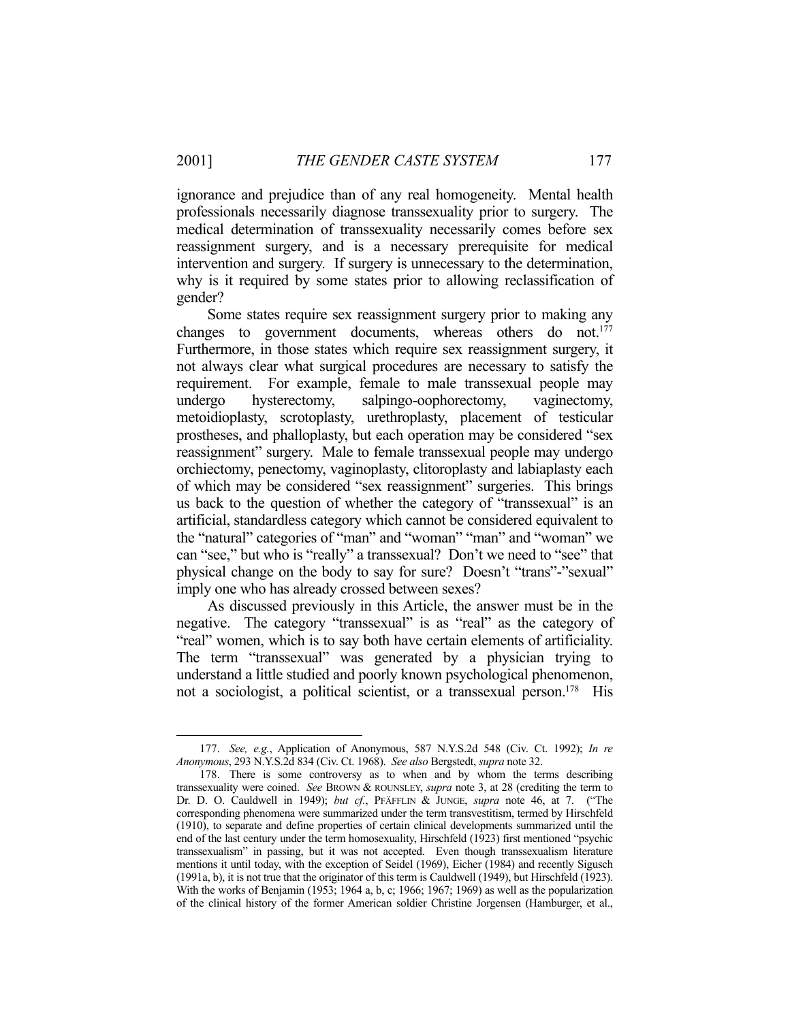<u>.</u>

ignorance and prejudice than of any real homogeneity. Mental health professionals necessarily diagnose transsexuality prior to surgery. The medical determination of transsexuality necessarily comes before sex reassignment surgery, and is a necessary prerequisite for medical intervention and surgery. If surgery is unnecessary to the determination, why is it required by some states prior to allowing reclassification of gender?

 Some states require sex reassignment surgery prior to making any changes to government documents, whereas others do not.<sup>177</sup> Furthermore, in those states which require sex reassignment surgery, it not always clear what surgical procedures are necessary to satisfy the requirement. For example, female to male transsexual people may undergo hysterectomy, salpingo-oophorectomy, vaginectomy, metoidioplasty, scrotoplasty, urethroplasty, placement of testicular prostheses, and phalloplasty, but each operation may be considered "sex reassignment" surgery. Male to female transsexual people may undergo orchiectomy, penectomy, vaginoplasty, clitoroplasty and labiaplasty each of which may be considered "sex reassignment" surgeries. This brings us back to the question of whether the category of "transsexual" is an artificial, standardless category which cannot be considered equivalent to the "natural" categories of "man" and "woman" "man" and "woman" we can "see," but who is "really" a transsexual? Don't we need to "see" that physical change on the body to say for sure? Doesn't "trans"-"sexual" imply one who has already crossed between sexes?

 As discussed previously in this Article, the answer must be in the negative. The category "transsexual" is as "real" as the category of "real" women, which is to say both have certain elements of artificiality. The term "transsexual" was generated by a physician trying to understand a little studied and poorly known psychological phenomenon, not a sociologist, a political scientist, or a transsexual person.<sup>178</sup> His

 <sup>177.</sup> *See, e.g.*, Application of Anonymous, 587 N.Y.S.2d 548 (Civ. Ct. 1992); *In re Anonymous*, 293 N.Y.S.2d 834 (Civ. Ct. 1968). *See also* Bergstedt, *supra* note 32.

 <sup>178.</sup> There is some controversy as to when and by whom the terms describing transsexuality were coined. *See* BROWN & ROUNSLEY, *supra* note 3, at 28 (crediting the term to Dr. D. O. Cauldwell in 1949); *but cf.*, PFÄFFLIN & JUNGE, *supra* note 46, at 7. ("The corresponding phenomena were summarized under the term transvestitism, termed by Hirschfeld (1910), to separate and define properties of certain clinical developments summarized until the end of the last century under the term homosexuality, Hirschfeld (1923) first mentioned "psychic transsexualism" in passing, but it was not accepted. Even though transsexualism literature mentions it until today, with the exception of Seidel (1969), Eicher (1984) and recently Sigusch (1991a, b), it is not true that the originator of this term is Cauldwell (1949), but Hirschfeld (1923). With the works of Benjamin (1953; 1964 a, b, c; 1966; 1967; 1969) as well as the popularization of the clinical history of the former American soldier Christine Jorgensen (Hamburger, et al.,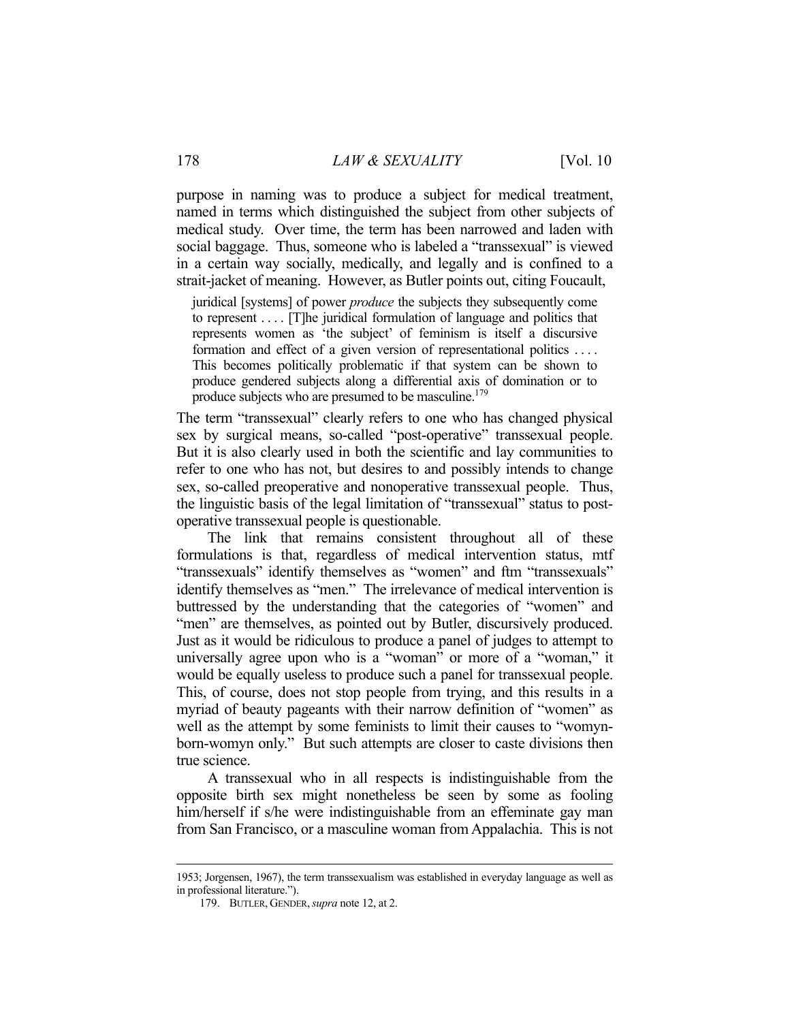purpose in naming was to produce a subject for medical treatment, named in terms which distinguished the subject from other subjects of medical study. Over time, the term has been narrowed and laden with social baggage. Thus, someone who is labeled a "transsexual" is viewed in a certain way socially, medically, and legally and is confined to a strait-jacket of meaning. However, as Butler points out, citing Foucault,

juridical [systems] of power *produce* the subjects they subsequently come to represent . . . . [T]he juridical formulation of language and politics that represents women as 'the subject' of feminism is itself a discursive formation and effect of a given version of representational politics . . . . This becomes politically problematic if that system can be shown to produce gendered subjects along a differential axis of domination or to produce subjects who are presumed to be masculine.<sup>179</sup>

The term "transsexual" clearly refers to one who has changed physical sex by surgical means, so-called "post-operative" transsexual people. But it is also clearly used in both the scientific and lay communities to refer to one who has not, but desires to and possibly intends to change sex, so-called preoperative and nonoperative transsexual people. Thus, the linguistic basis of the legal limitation of "transsexual" status to postoperative transsexual people is questionable.

 The link that remains consistent throughout all of these formulations is that, regardless of medical intervention status, mtf "transsexuals" identify themselves as "women" and ftm "transsexuals" identify themselves as "men." The irrelevance of medical intervention is buttressed by the understanding that the categories of "women" and "men" are themselves, as pointed out by Butler, discursively produced. Just as it would be ridiculous to produce a panel of judges to attempt to universally agree upon who is a "woman" or more of a "woman," it would be equally useless to produce such a panel for transsexual people. This, of course, does not stop people from trying, and this results in a myriad of beauty pageants with their narrow definition of "women" as well as the attempt by some feminists to limit their causes to "womynborn-womyn only." But such attempts are closer to caste divisions then true science.

 A transsexual who in all respects is indistinguishable from the opposite birth sex might nonetheless be seen by some as fooling him/herself if s/he were indistinguishable from an effeminate gay man from San Francisco, or a masculine woman from Appalachia. This is not

 <sup>1953;</sup> Jorgensen, 1967), the term transsexualism was established in everyday language as well as in professional literature.").

 <sup>179.</sup> BUTLER, GENDER,*supra* note 12, at 2.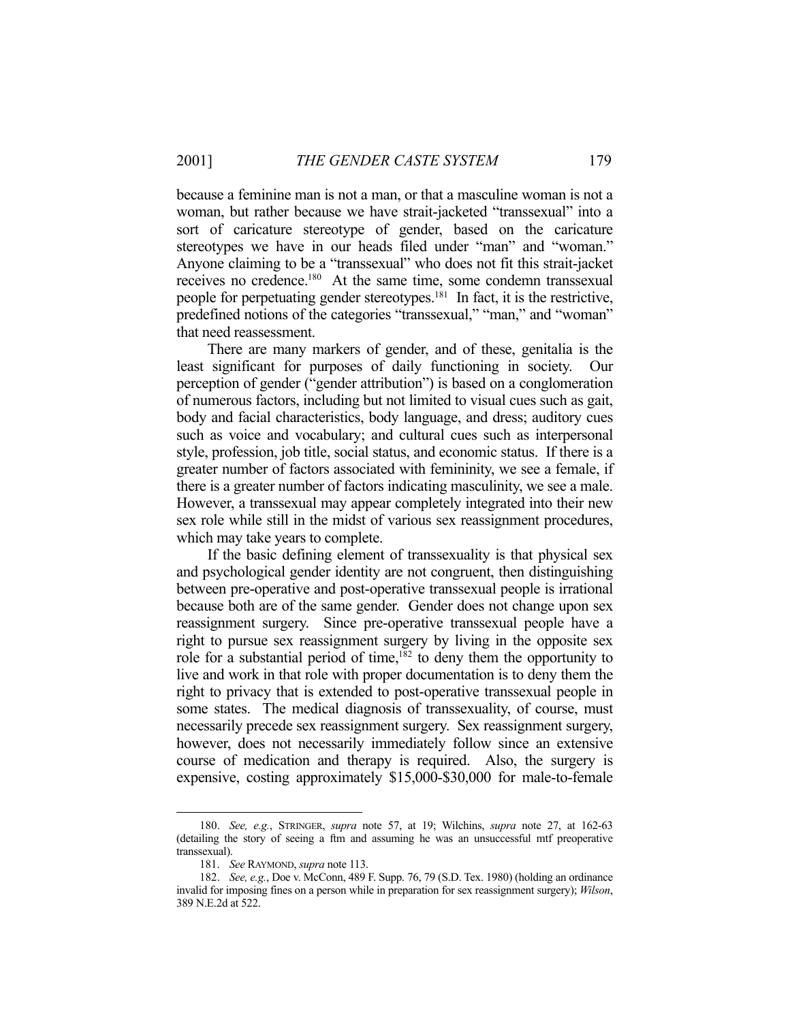because a feminine man is not a man, or that a masculine woman is not a woman, but rather because we have strait-jacketed "transsexual" into a sort of caricature stereotype of gender, based on the caricature stereotypes we have in our heads filed under "man" and "woman." Anyone claiming to be a "transsexual" who does not fit this strait-jacket receives no credence.180 At the same time, some condemn transsexual people for perpetuating gender stereotypes.181 In fact, it is the restrictive, predefined notions of the categories "transsexual," "man," and "woman" that need reassessment.

 There are many markers of gender, and of these, genitalia is the least significant for purposes of daily functioning in society. Our perception of gender ("gender attribution") is based on a conglomeration of numerous factors, including but not limited to visual cues such as gait, body and facial characteristics, body language, and dress; auditory cues such as voice and vocabulary; and cultural cues such as interpersonal style, profession, job title, social status, and economic status. If there is a greater number of factors associated with femininity, we see a female, if there is a greater number of factors indicating masculinity, we see a male. However, a transsexual may appear completely integrated into their new sex role while still in the midst of various sex reassignment procedures, which may take years to complete.

 If the basic defining element of transsexuality is that physical sex and psychological gender identity are not congruent, then distinguishing between pre-operative and post-operative transsexual people is irrational because both are of the same gender. Gender does not change upon sex reassignment surgery. Since pre-operative transsexual people have a right to pursue sex reassignment surgery by living in the opposite sex role for a substantial period of time,<sup>182</sup> to deny them the opportunity to live and work in that role with proper documentation is to deny them the right to privacy that is extended to post-operative transsexual people in some states. The medical diagnosis of transsexuality, of course, must necessarily precede sex reassignment surgery. Sex reassignment surgery, however, does not necessarily immediately follow since an extensive course of medication and therapy is required. Also, the surgery is expensive, costing approximately \$15,000-\$30,000 for male-to-female

 <sup>180.</sup> *See, e.g.*, STRINGER, *supra* note 57, at 19; Wilchins, *supra* note 27, at 162-63 (detailing the story of seeing a ftm and assuming he was an unsuccessful mtf preoperative transsexual).

 <sup>181.</sup> *See* RAYMOND, *supra* note 113.

 <sup>182.</sup> *See, e.g.*, Doe v. McConn, 489 F. Supp. 76, 79 (S.D. Tex. 1980) (holding an ordinance invalid for imposing fines on a person while in preparation for sex reassignment surgery); *Wilson*, 389 N.E.2d at 522.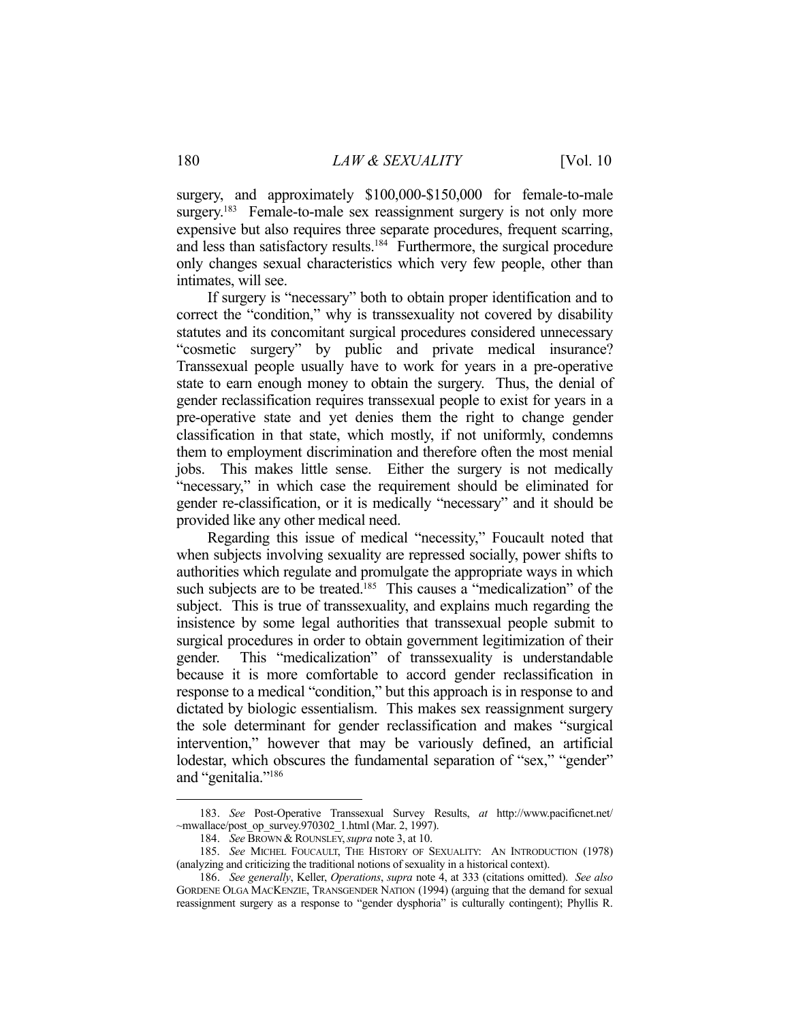surgery, and approximately \$100,000-\$150,000 for female-to-male surgery.<sup>183</sup> Female-to-male sex reassignment surgery is not only more expensive but also requires three separate procedures, frequent scarring, and less than satisfactory results.<sup>184</sup> Furthermore, the surgical procedure only changes sexual characteristics which very few people, other than intimates, will see.

 If surgery is "necessary" both to obtain proper identification and to correct the "condition," why is transsexuality not covered by disability statutes and its concomitant surgical procedures considered unnecessary "cosmetic surgery" by public and private medical insurance? Transsexual people usually have to work for years in a pre-operative state to earn enough money to obtain the surgery. Thus, the denial of gender reclassification requires transsexual people to exist for years in a pre-operative state and yet denies them the right to change gender classification in that state, which mostly, if not uniformly, condemns them to employment discrimination and therefore often the most menial jobs. This makes little sense. Either the surgery is not medically "necessary," in which case the requirement should be eliminated for gender re-classification, or it is medically "necessary" and it should be provided like any other medical need.

 Regarding this issue of medical "necessity," Foucault noted that when subjects involving sexuality are repressed socially, power shifts to authorities which regulate and promulgate the appropriate ways in which such subjects are to be treated.<sup>185</sup> This causes a "medicalization" of the subject. This is true of transsexuality, and explains much regarding the insistence by some legal authorities that transsexual people submit to surgical procedures in order to obtain government legitimization of their gender. This "medicalization" of transsexuality is understandable because it is more comfortable to accord gender reclassification in response to a medical "condition," but this approach is in response to and dictated by biologic essentialism. This makes sex reassignment surgery the sole determinant for gender reclassification and makes "surgical intervention," however that may be variously defined, an artificial lodestar, which obscures the fundamental separation of "sex," "gender" and "genitalia."186

 <sup>183.</sup> *See* Post-Operative Transsexual Survey Results, *at* http://www.pacificnet.net/  $\sim$ mwallace/post op survey.970302 1.html (Mar. 2, 1997).

 <sup>184.</sup> *See* BROWN & ROUNSLEY,*supra* note 3, at 10.

<sup>185.</sup> See MICHEL FOUCAULT, THE HISTORY OF SEXUALITY: AN INTRODUCTION (1978) (analyzing and criticizing the traditional notions of sexuality in a historical context).

 <sup>186.</sup> *See generally*, Keller, *Operations*, *supra* note 4, at 333 (citations omitted). *See also* GORDENE OLGA MACKENZIE, TRANSGENDER NATION (1994) (arguing that the demand for sexual reassignment surgery as a response to "gender dysphoria" is culturally contingent); Phyllis R.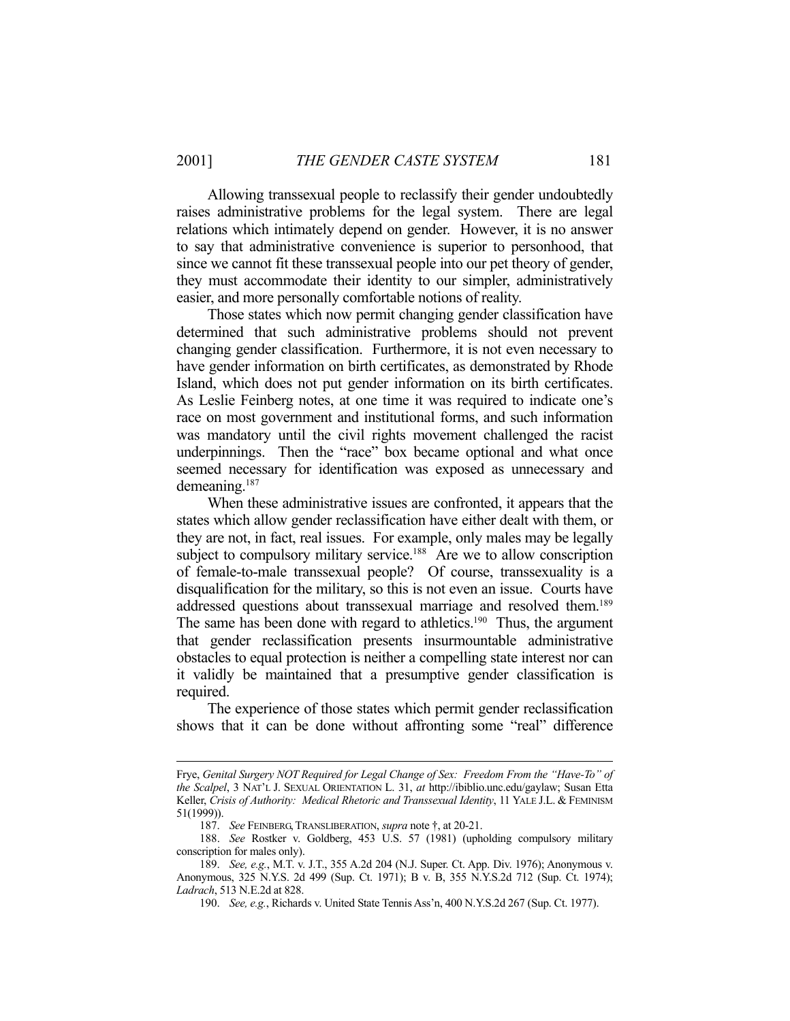Allowing transsexual people to reclassify their gender undoubtedly raises administrative problems for the legal system. There are legal relations which intimately depend on gender. However, it is no answer to say that administrative convenience is superior to personhood, that since we cannot fit these transsexual people into our pet theory of gender, they must accommodate their identity to our simpler, administratively easier, and more personally comfortable notions of reality.

 Those states which now permit changing gender classification have determined that such administrative problems should not prevent changing gender classification. Furthermore, it is not even necessary to have gender information on birth certificates, as demonstrated by Rhode Island, which does not put gender information on its birth certificates. As Leslie Feinberg notes, at one time it was required to indicate one's race on most government and institutional forms, and such information was mandatory until the civil rights movement challenged the racist underpinnings. Then the "race" box became optional and what once seemed necessary for identification was exposed as unnecessary and demeaning.187

 When these administrative issues are confronted, it appears that the states which allow gender reclassification have either dealt with them, or they are not, in fact, real issues. For example, only males may be legally subject to compulsory military service.<sup>188</sup> Are we to allow conscription of female-to-male transsexual people? Of course, transsexuality is a disqualification for the military, so this is not even an issue. Courts have addressed questions about transsexual marriage and resolved them.<sup>189</sup> The same has been done with regard to athletics.<sup>190</sup> Thus, the argument that gender reclassification presents insurmountable administrative obstacles to equal protection is neither a compelling state interest nor can it validly be maintained that a presumptive gender classification is required.

 The experience of those states which permit gender reclassification shows that it can be done without affronting some "real" difference

Frye, *Genital Surgery NOT Required for Legal Change of Sex: Freedom From the "Have-To" of the Scalpel*, 3 NAT'L J. SEXUAL ORIENTATION L. 31, *at* http://ibiblio.unc.edu/gaylaw; Susan Etta Keller, *Crisis of Authority: Medical Rhetoric and Transsexual Identity*, 11 YALE J.L. & FEMINISM 51(1999)).

 <sup>187.</sup> *See* FEINBERG,TRANSLIBERATION, *supra* note †, at 20-21.

 <sup>188.</sup> *See* Rostker v. Goldberg, 453 U.S. 57 (1981) (upholding compulsory military conscription for males only).

 <sup>189.</sup> *See, e.g.*, M.T. v. J.T., 355 A.2d 204 (N.J. Super. Ct. App. Div. 1976); Anonymous v. Anonymous, 325 N.Y.S. 2d 499 (Sup. Ct. 1971); B v. B, 355 N.Y.S.2d 712 (Sup. Ct. 1974); *Ladrach*, 513 N.E.2d at 828.

 <sup>190.</sup> *See, e.g.*, Richards v. United State Tennis Ass'n, 400 N.Y.S.2d 267 (Sup. Ct. 1977).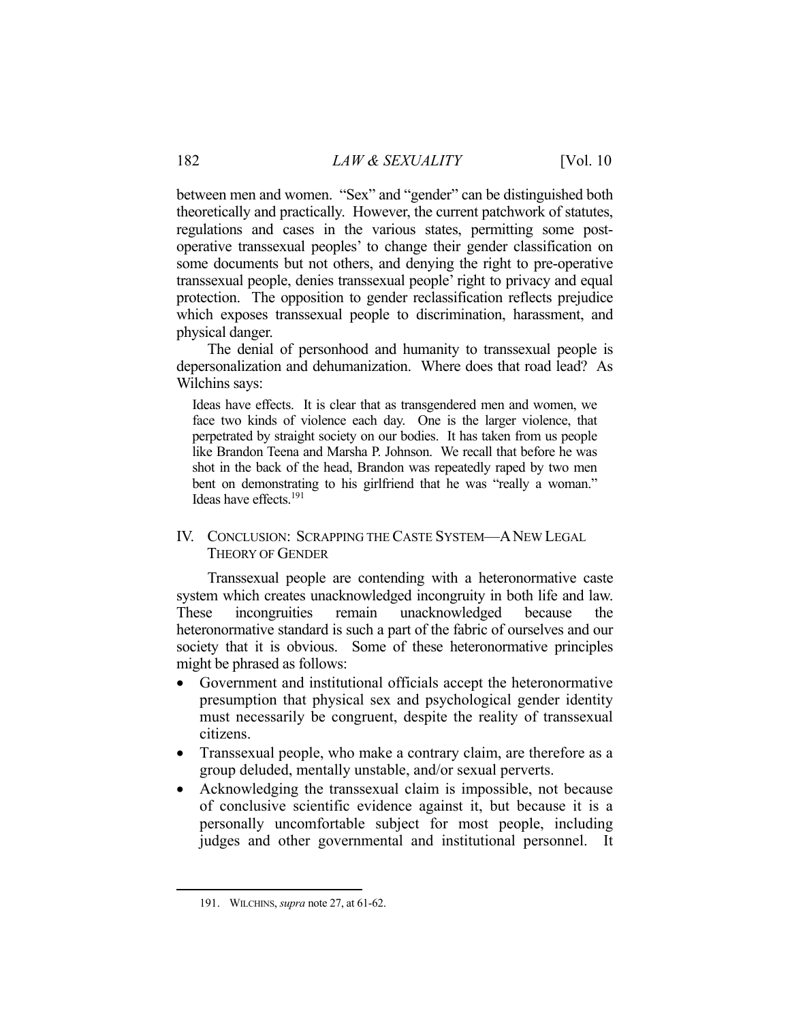between men and women. "Sex" and "gender" can be distinguished both theoretically and practically. However, the current patchwork of statutes, regulations and cases in the various states, permitting some postoperative transsexual peoples' to change their gender classification on some documents but not others, and denying the right to pre-operative transsexual people, denies transsexual people' right to privacy and equal protection. The opposition to gender reclassification reflects prejudice which exposes transsexual people to discrimination, harassment, and physical danger.

 The denial of personhood and humanity to transsexual people is depersonalization and dehumanization. Where does that road lead? As Wilchins says:

Ideas have effects. It is clear that as transgendered men and women, we face two kinds of violence each day. One is the larger violence, that perpetrated by straight society on our bodies. It has taken from us people like Brandon Teena and Marsha P. Johnson. We recall that before he was shot in the back of the head, Brandon was repeatedly raped by two men bent on demonstrating to his girlfriend that he was "really a woman." Ideas have effects.191

# IV. CONCLUSION: SCRAPPING THE CASTE SYSTEM—ANEW LEGAL THEORY OF GENDER

 Transsexual people are contending with a heteronormative caste system which creates unacknowledged incongruity in both life and law. These incongruities remain unacknowledged because the heteronormative standard is such a part of the fabric of ourselves and our society that it is obvious. Some of these heteronormative principles might be phrased as follows:

- Government and institutional officials accept the heteronormative presumption that physical sex and psychological gender identity must necessarily be congruent, despite the reality of transsexual citizens.
- Transsexual people, who make a contrary claim, are therefore as a group deluded, mentally unstable, and/or sexual perverts.
- Acknowledging the transsexual claim is impossible, not because of conclusive scientific evidence against it, but because it is a personally uncomfortable subject for most people, including judges and other governmental and institutional personnel. It

 <sup>191.</sup> WILCHINS, *supra* note 27, at 61-62.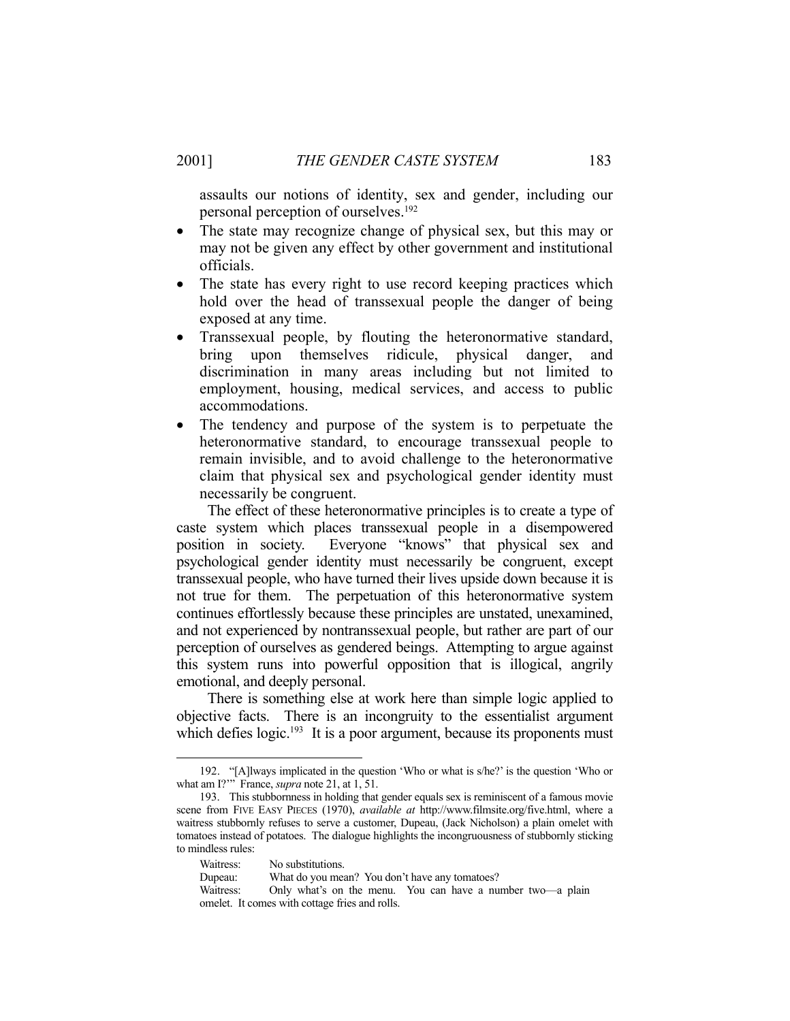assaults our notions of identity, sex and gender, including our personal perception of ourselves.192

- The state may recognize change of physical sex, but this may or may not be given any effect by other government and institutional officials.
- The state has every right to use record keeping practices which hold over the head of transsexual people the danger of being exposed at any time.
- Transsexual people, by flouting the heteronormative standard, bring upon themselves ridicule, physical danger, and discrimination in many areas including but not limited to employment, housing, medical services, and access to public accommodations.
- The tendency and purpose of the system is to perpetuate the heteronormative standard, to encourage transsexual people to remain invisible, and to avoid challenge to the heteronormative claim that physical sex and psychological gender identity must necessarily be congruent.

 The effect of these heteronormative principles is to create a type of caste system which places transsexual people in a disempowered position in society. Everyone "knows" that physical sex and psychological gender identity must necessarily be congruent, except transsexual people, who have turned their lives upside down because it is not true for them. The perpetuation of this heteronormative system continues effortlessly because these principles are unstated, unexamined, and not experienced by nontranssexual people, but rather are part of our perception of ourselves as gendered beings. Attempting to argue against this system runs into powerful opposition that is illogical, angrily emotional, and deeply personal.

 There is something else at work here than simple logic applied to objective facts. There is an incongruity to the essentialist argument which defies  $logic$ <sup>193</sup> It is a poor argument, because its proponents must

1

Dupeau: What do you mean? You don't have any tomatoes?

 <sup>192. &</sup>quot;[A]lways implicated in the question 'Who or what is s/he?' is the question 'Who or what am I?'" France, *supra* note 21, at 1, 51.

 <sup>193.</sup> This stubbornness in holding that gender equals sex is reminiscent of a famous movie scene from FIVE EASY PIECES (1970), *available at* http://www.filmsite.org/five.html, where a waitress stubbornly refuses to serve a customer, Dupeau, (Jack Nicholson) a plain omelet with tomatoes instead of potatoes. The dialogue highlights the incongruousness of stubbornly sticking to mindless rules:

Waitress: No substitutions.

Waitress: Only what's on the menu. You can have a number two—a plain omelet. It comes with cottage fries and rolls.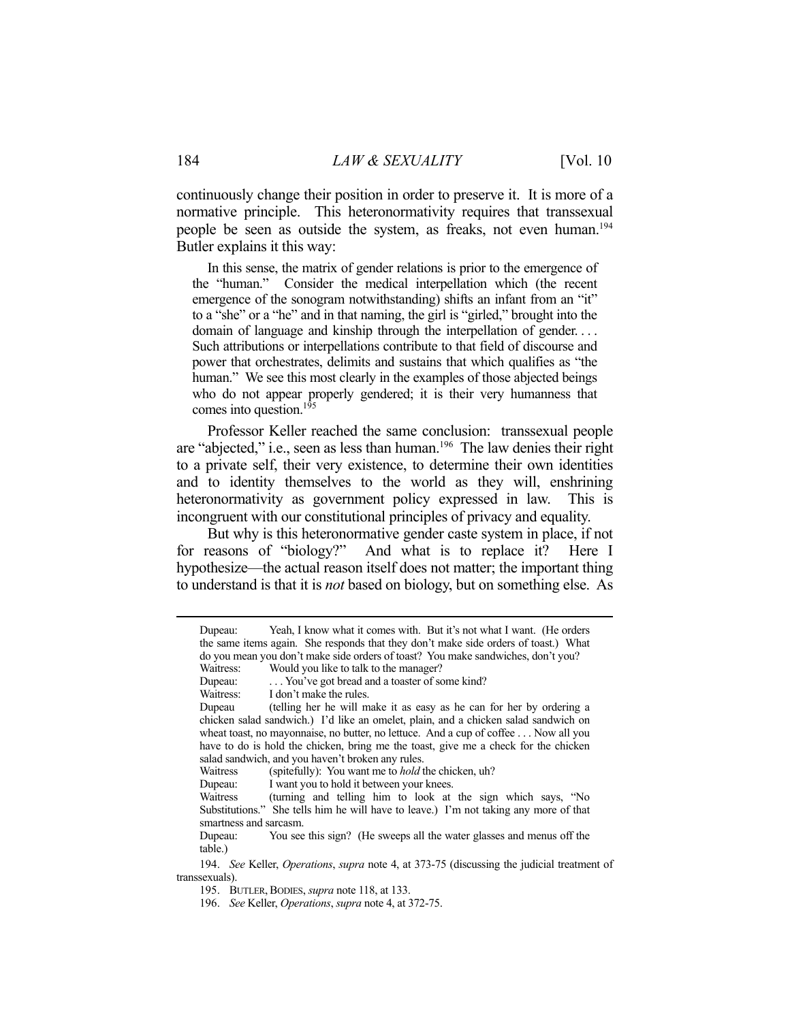continuously change their position in order to preserve it. It is more of a normative principle. This heteronormativity requires that transsexual people be seen as outside the system, as freaks, not even human. 194 Butler explains it this way:

 In this sense, the matrix of gender relations is prior to the emergence of the "human." Consider the medical interpellation which (the recent emergence of the sonogram notwithstanding) shifts an infant from an "it" to a "she" or a "he" and in that naming, the girl is "girled," brought into the domain of language and kinship through the interpellation of gender. . . . Such attributions or interpellations contribute to that field of discourse and power that orchestrates, delimits and sustains that which qualifies as "the human." We see this most clearly in the examples of those abjected beings who do not appear properly gendered; it is their very humanness that comes into question.195

 Professor Keller reached the same conclusion: transsexual people are "abjected," i.e., seen as less than human.196 The law denies their right to a private self, their very existence, to determine their own identities and to identity themselves to the world as they will, enshrining heteronormativity as government policy expressed in law. This is incongruent with our constitutional principles of privacy and equality.

 But why is this heteronormative gender caste system in place, if not for reasons of "biology?" And what is to replace it? Here I hypothesize—the actual reason itself does not matter; the important thing to understand is that it is *not* based on biology, but on something else. As

Dupeau: Yeah, I know what it comes with. But it's not what I want. (He orders the same items again. She responds that they don't make side orders of toast.) What do you mean you don't make side orders of toast? You make sandwiches, don't you? Waitress: Would you like to talk to the manager? Dupeau: ... You've got bread and a toaster of some kind?<br>Waitress: I don't make the rules. I don't make the rules. Dupeau (telling her he will make it as easy as he can for her by ordering a chicken salad sandwich.) I'd like an omelet, plain, and a chicken salad sandwich on wheat toast, no mayonnaise, no butter, no lettuce. And a cup of coffee . . . Now all you have to do is hold the chicken, bring me the toast, give me a check for the chicken salad sandwich, and you haven't broken any rules. Waitress (spitefully): You want me to *hold* the chicken, uh? Dupeau: I want you to hold it between your knees. Waitress (turning and telling him to look at the sign which says, "No Substitutions." She tells him he will have to leave.) I'm not taking any more of that smartness and sarcasm. Dupeau: You see this sign? (He sweeps all the water glasses and menus off the table.) 194. *See* Keller, *Operations*, *supra* note 4, at 373-75 (discussing the judicial treatment of transsexuals). 195. BUTLER, BODIES, *supra* note 118, at 133.

 <sup>196.</sup> *See* Keller, *Operations*, *supra* note 4, at 372-75.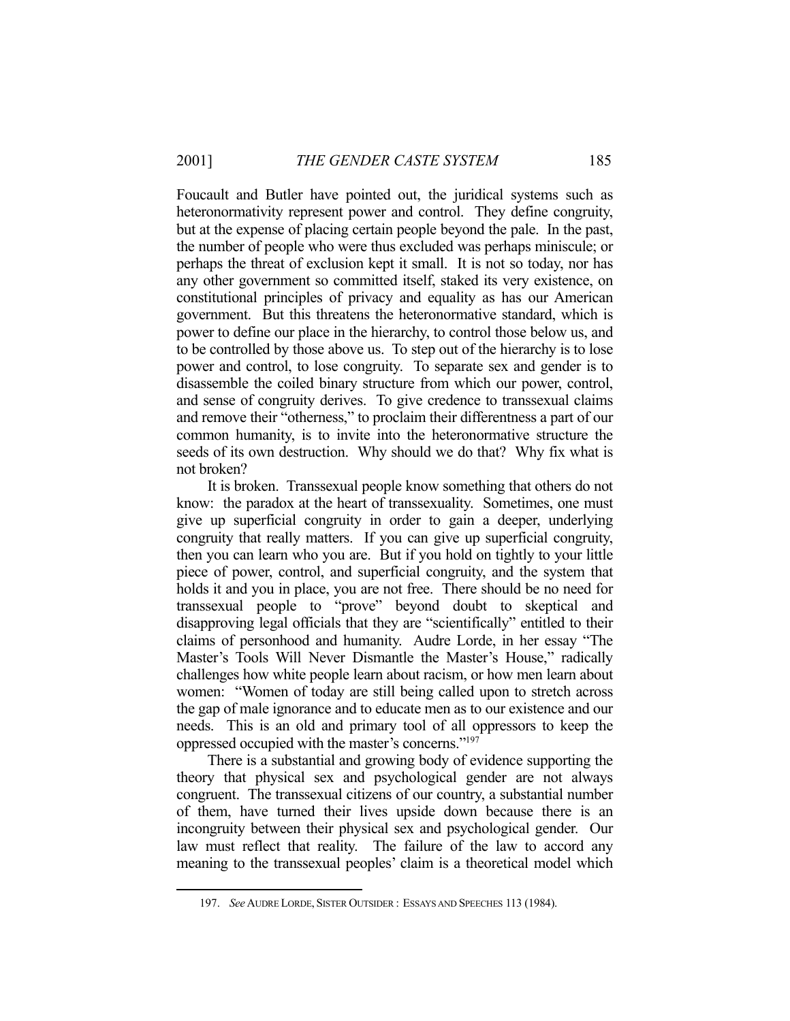1

Foucault and Butler have pointed out, the juridical systems such as heteronormativity represent power and control. They define congruity, but at the expense of placing certain people beyond the pale. In the past, the number of people who were thus excluded was perhaps miniscule; or perhaps the threat of exclusion kept it small. It is not so today, nor has any other government so committed itself, staked its very existence, on constitutional principles of privacy and equality as has our American government. But this threatens the heteronormative standard, which is power to define our place in the hierarchy, to control those below us, and to be controlled by those above us. To step out of the hierarchy is to lose power and control, to lose congruity. To separate sex and gender is to disassemble the coiled binary structure from which our power, control, and sense of congruity derives. To give credence to transsexual claims and remove their "otherness," to proclaim their differentness a part of our common humanity, is to invite into the heteronormative structure the seeds of its own destruction. Why should we do that? Why fix what is not broken?

 It is broken. Transsexual people know something that others do not know: the paradox at the heart of transsexuality. Sometimes, one must give up superficial congruity in order to gain a deeper, underlying congruity that really matters. If you can give up superficial congruity, then you can learn who you are. But if you hold on tightly to your little piece of power, control, and superficial congruity, and the system that holds it and you in place, you are not free. There should be no need for transsexual people to "prove" beyond doubt to skeptical and disapproving legal officials that they are "scientifically" entitled to their claims of personhood and humanity. Audre Lorde, in her essay "The Master's Tools Will Never Dismantle the Master's House," radically challenges how white people learn about racism, or how men learn about women: "Women of today are still being called upon to stretch across the gap of male ignorance and to educate men as to our existence and our needs. This is an old and primary tool of all oppressors to keep the oppressed occupied with the master's concerns."197

 There is a substantial and growing body of evidence supporting the theory that physical sex and psychological gender are not always congruent. The transsexual citizens of our country, a substantial number of them, have turned their lives upside down because there is an incongruity between their physical sex and psychological gender. Our law must reflect that reality. The failure of the law to accord any meaning to the transsexual peoples' claim is a theoretical model which

 <sup>197.</sup> *See* AUDRE LORDE, SISTER OUTSIDER : ESSAYS AND SPEECHES 113 (1984).